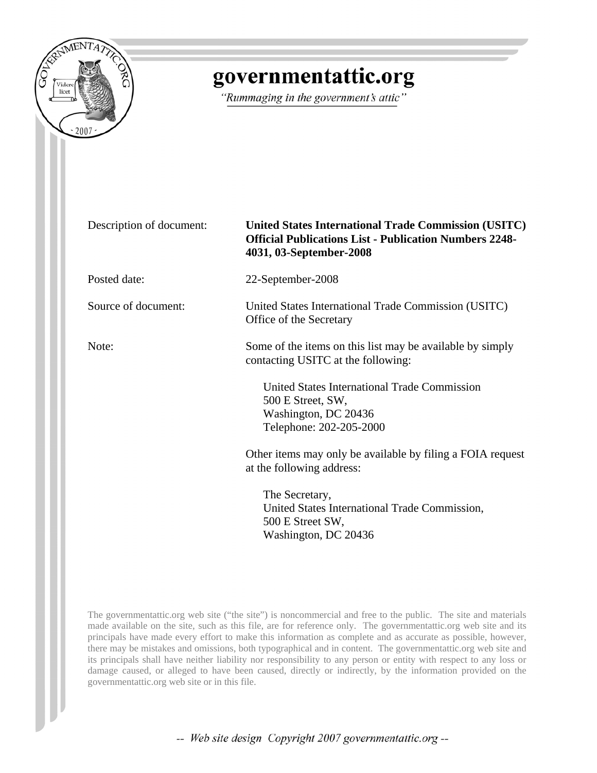

# governmentattic.org

"Rummaging in the government's attic"

Description of document: **United States International Trade Commission (USITC) Official Publications List - Publication Numbers 2248- 4031, 03-September-2008**  Posted date: 22-September-2008 Source of document: United States International Trade Commission (USITC) Office of the Secretary Note: Some of the items on this list may be available by simply contacting USITC at the following: United States International Trade Commission 500 E Street, SW, Washington, DC 20436 Telephone: 202-205-2000 Other items may only be available by filing a FOIA request at the following address: The Secretary, United States International Trade Commission, 500 E Street SW, Washington, DC 20436

The governmentattic.org web site ("the site") is noncommercial and free to the public. The site and materials made available on the site, such as this file, are for reference only. The governmentattic.org web site and its principals have made every effort to make this information as complete and as accurate as possible, however, there may be mistakes and omissions, both typographical and in content. The governmentattic.org web site and its principals shall have neither liability nor responsibility to any person or entity with respect to any loss or damage caused, or alleged to have been caused, directly or indirectly, by the information provided on the governmentattic.org web site or in this file.

-- Web site design Copyright 2007 governmentattic.org --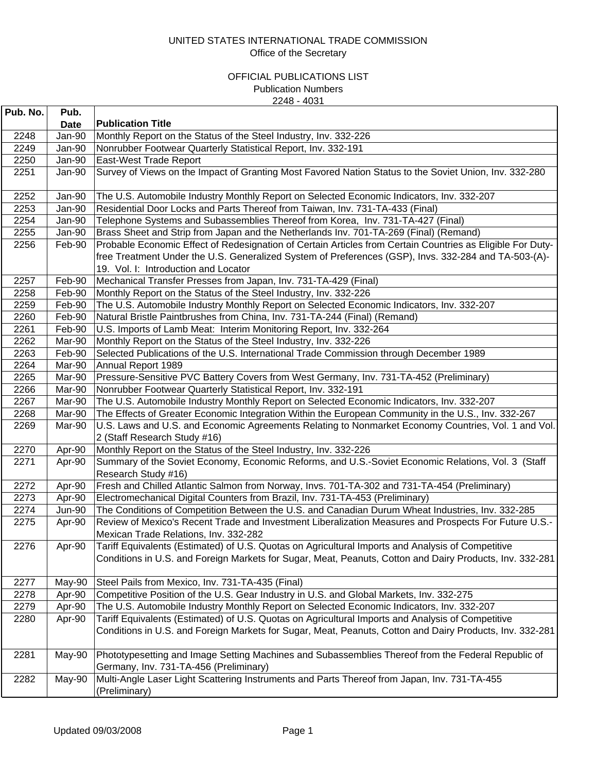| Pub. No. | Pub.        |                                                                                                                                                                                                                                                            |
|----------|-------------|------------------------------------------------------------------------------------------------------------------------------------------------------------------------------------------------------------------------------------------------------------|
|          | <b>Date</b> | <b>Publication Title</b>                                                                                                                                                                                                                                   |
| 2248     | Jan-90      | Monthly Report on the Status of the Steel Industry, Inv. 332-226                                                                                                                                                                                           |
| 2249     | Jan-90      | Nonrubber Footwear Quarterly Statistical Report, Inv. 332-191                                                                                                                                                                                              |
| 2250     | Jan-90      | East-West Trade Report                                                                                                                                                                                                                                     |
| 2251     | Jan-90      | Survey of Views on the Impact of Granting Most Favored Nation Status to the Soviet Union, Inv. 332-280                                                                                                                                                     |
| 2252     | Jan-90      | The U.S. Automobile Industry Monthly Report on Selected Economic Indicators, Inv. 332-207                                                                                                                                                                  |
| 2253     | Jan-90      | Residential Door Locks and Parts Thereof from Taiwan, Inv. 731-TA-433 (Final)                                                                                                                                                                              |
| 2254     | Jan-90      | Telephone Systems and Subassemblies Thereof from Korea, Inv. 731-TA-427 (Final)                                                                                                                                                                            |
| 2255     | Jan-90      | Brass Sheet and Strip from Japan and the Netherlands Inv. 701-TA-269 (Final) (Remand)                                                                                                                                                                      |
| 2256     | Feb-90      | Probable Economic Effect of Redesignation of Certain Articles from Certain Countries as Eligible For Duty-<br>free Treatment Under the U.S. Generalized System of Preferences (GSP), Invs. 332-284 and TA-503-(A)-<br>19. Vol. I: Introduction and Locator |
| 2257     | Feb-90      | Mechanical Transfer Presses from Japan, Inv. 731-TA-429 (Final)                                                                                                                                                                                            |
| 2258     | Feb-90      | Monthly Report on the Status of the Steel Industry, Inv. 332-226                                                                                                                                                                                           |
| 2259     | Feb-90      | The U.S. Automobile Industry Monthly Report on Selected Economic Indicators, Inv. 332-207                                                                                                                                                                  |
| 2260     | Feb-90      | Natural Bristle Paintbrushes from China, Inv. 731-TA-244 (Final) (Remand)                                                                                                                                                                                  |
| 2261     | Feb-90      | U.S. Imports of Lamb Meat: Interim Monitoring Report, Inv. 332-264                                                                                                                                                                                         |
| 2262     | Mar-90      | Monthly Report on the Status of the Steel Industry, Inv. 332-226                                                                                                                                                                                           |
| 2263     | Feb-90      | Selected Publications of the U.S. International Trade Commission through December 1989                                                                                                                                                                     |
| 2264     | Mar-90      | Annual Report 1989                                                                                                                                                                                                                                         |
| 2265     | Mar-90      | Pressure-Sensitive PVC Battery Covers from West Germany, Inv. 731-TA-452 (Preliminary)                                                                                                                                                                     |
| 2266     | Mar-90      | Nonrubber Footwear Quarterly Statistical Report, Inv. 332-191                                                                                                                                                                                              |
| 2267     | Mar-90      | The U.S. Automobile Industry Monthly Report on Selected Economic Indicators, Inv. 332-207                                                                                                                                                                  |
| 2268     | Mar-90      | The Effects of Greater Economic Integration Within the European Community in the U.S., Inv. 332-267                                                                                                                                                        |
| 2269     | Mar-90      | U.S. Laws and U.S. and Economic Agreements Relating to Nonmarket Economy Countries, Vol. 1 and Vol.<br>2 (Staff Research Study #16)                                                                                                                        |
| 2270     | Apr-90      | Monthly Report on the Status of the Steel Industry, Inv. 332-226                                                                                                                                                                                           |
| 2271     | Apr-90      | Summary of the Soviet Economy, Economic Reforms, and U.S.-Soviet Economic Relations, Vol. 3 (Staff<br>Research Study #16)                                                                                                                                  |
| 2272     | Apr-90      | Fresh and Chilled Atlantic Salmon from Norway, Invs. 701-TA-302 and 731-TA-454 (Preliminary)                                                                                                                                                               |
| 2273     | Apr-90      | Electromechanical Digital Counters from Brazil, Inv. 731-TA-453 (Preliminary)                                                                                                                                                                              |
| 2274     | Jun-90      | The Conditions of Competition Between the U.S. and Canadian Durum Wheat Industries, Inv. 332-285                                                                                                                                                           |
| 2275     | Apr-90      | Review of Mexico's Recent Trade and Investment Liberalization Measures and Prospects For Future U.S.-<br>Mexican Trade Relations, Inv. 332-282                                                                                                             |
| 2276     | Apr-90      | Tariff Equivalents (Estimated) of U.S. Quotas on Agricultural Imports and Analysis of Competitive<br>Conditions in U.S. and Foreign Markets for Sugar, Meat, Peanuts, Cotton and Dairy Products, Inv. 332-281                                              |
| 2277     | May-90      | Steel Pails from Mexico, Inv. 731-TA-435 (Final)                                                                                                                                                                                                           |
| 2278     | Apr-90      | Competitive Position of the U.S. Gear Industry in U.S. and Global Markets, Inv. 332-275                                                                                                                                                                    |
| 2279     | Apr-90      | The U.S. Automobile Industry Monthly Report on Selected Economic Indicators, Inv. 332-207                                                                                                                                                                  |
| 2280     | Apr-90      | Tariff Equivalents (Estimated) of U.S. Quotas on Agricultural Imports and Analysis of Competitive<br>Conditions in U.S. and Foreign Markets for Sugar, Meat, Peanuts, Cotton and Dairy Products, Inv. 332-281                                              |
| 2281     | May-90      | Phototypesetting and Image Setting Machines and Subassemblies Thereof from the Federal Republic of<br>Germany, Inv. 731-TA-456 (Preliminary)                                                                                                               |
| 2282     | May-90      | Multi-Angle Laser Light Scattering Instruments and Parts Thereof from Japan, Inv. 731-TA-455<br>(Preliminary)                                                                                                                                              |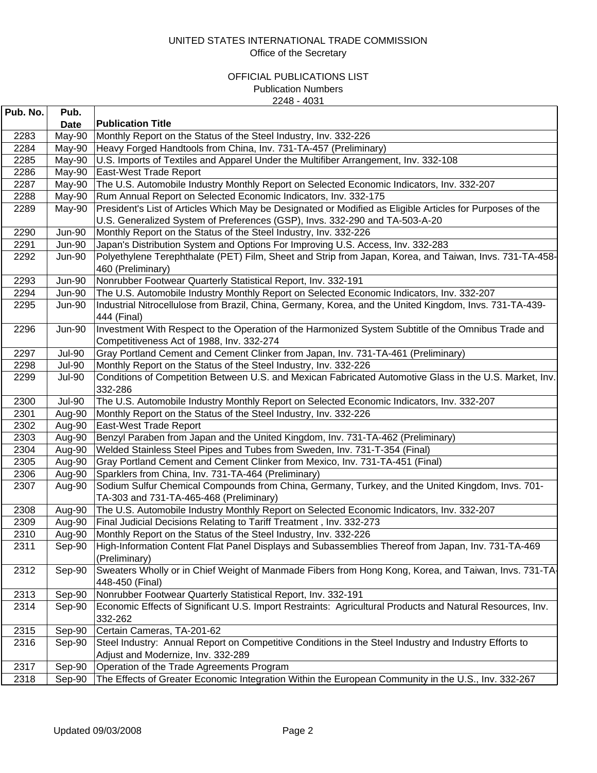| Pub. No. | Pub.          |                                                                                                           |
|----------|---------------|-----------------------------------------------------------------------------------------------------------|
|          | Date          | <b>Publication Title</b>                                                                                  |
| 2283     | May-90        | Monthly Report on the Status of the Steel Industry, Inv. 332-226                                          |
| 2284     | May-90        | Heavy Forged Handtools from China, Inv. 731-TA-457 (Preliminary)                                          |
| 2285     | May-90        | U.S. Imports of Textiles and Apparel Under the Multifiber Arrangement, Inv. 332-108                       |
| 2286     | May-90        | East-West Trade Report                                                                                    |
| 2287     | May-90        | The U.S. Automobile Industry Monthly Report on Selected Economic Indicators, Inv. 332-207                 |
| 2288     | May-90        | Rum Annual Report on Selected Economic Indicators, Inv. 332-175                                           |
| 2289     | May-90        | President's List of Articles Which May be Designated or Modified as Eligible Articles for Purposes of the |
|          |               | U.S. Generalized System of Preferences (GSP), Invs. 332-290 and TA-503-A-20                               |
| 2290     | <b>Jun-90</b> | Monthly Report on the Status of the Steel Industry, Inv. 332-226                                          |
| 2291     | <b>Jun-90</b> | Japan's Distribution System and Options For Improving U.S. Access, Inv. 332-283                           |
| 2292     | Jun-90        | Polyethylene Terephthalate (PET) Film, Sheet and Strip from Japan, Korea, and Taiwan, Invs. 731-TA-458-   |
|          |               | 460 (Preliminary)                                                                                         |
| 2293     | <b>Jun-90</b> | Nonrubber Footwear Quarterly Statistical Report, Inv. 332-191                                             |
| 2294     | <b>Jun-90</b> | The U.S. Automobile Industry Monthly Report on Selected Economic Indicators, Inv. 332-207                 |
| 2295     | <b>Jun-90</b> | Industrial Nitrocellulose from Brazil, China, Germany, Korea, and the United Kingdom, Invs. 731-TA-439-   |
|          |               | 444 (Final)                                                                                               |
| 2296     | <b>Jun-90</b> | Investment With Respect to the Operation of the Harmonized System Subtitle of the Omnibus Trade and       |
|          |               | Competitiveness Act of 1988, Inv. 332-274                                                                 |
| 2297     | <b>Jul-90</b> | Gray Portland Cement and Cement Clinker from Japan, Inv. 731-TA-461 (Preliminary)                         |
| 2298     | <b>Jul-90</b> | Monthly Report on the Status of the Steel Industry, Inv. 332-226                                          |
| 2299     | <b>Jul-90</b> | Conditions of Competition Between U.S. and Mexican Fabricated Automotive Glass in the U.S. Market, Inv.   |
|          |               | 332-286                                                                                                   |
| 2300     | <b>Jul-90</b> | The U.S. Automobile Industry Monthly Report on Selected Economic Indicators, Inv. 332-207                 |
| 2301     | Aug-90        | Monthly Report on the Status of the Steel Industry, Inv. 332-226                                          |
| 2302     | Aug-90        | East-West Trade Report                                                                                    |
| 2303     | Aug-90        | Benzyl Paraben from Japan and the United Kingdom, Inv. 731-TA-462 (Preliminary)                           |
| 2304     | Aug-90        | Welded Stainless Steel Pipes and Tubes from Sweden, Inv. 731-T-354 (Final)                                |
| 2305     | Aug-90        | Gray Portland Cement and Cement Clinker from Mexico, Inv. 731-TA-451 (Final)                              |
| 2306     | Aug-90        | Sparklers from China, Inv. 731-TA-464 (Preliminary)                                                       |
| 2307     | Aug-90        | Sodium Sulfur Chemical Compounds from China, Germany, Turkey, and the United Kingdom, Invs. 701-          |
|          |               | TA-303 and 731-TA-465-468 (Preliminary)                                                                   |
| 2308     | Aug-90        | The U.S. Automobile Industry Monthly Report on Selected Economic Indicators, Inv. 332-207                 |
| 2309     | Aug-90        | Final Judicial Decisions Relating to Tariff Treatment, Inv. 332-273                                       |
| 2310     | Aug-90        | Monthly Report on the Status of the Steel Industry, Inv. 332-226                                          |
| 2311     | Sep-90        | High-Information Content Flat Panel Displays and Subassemblies Thereof from Japan, Inv. 731-TA-469        |
|          |               | (Preliminary)                                                                                             |
| 2312     | Sep-90        | Sweaters Wholly or in Chief Weight of Manmade Fibers from Hong Kong, Korea, and Taiwan, Invs. 731-TA      |
|          |               | 448-450 (Final)                                                                                           |
| 2313     | Sep-90        | Nonrubber Footwear Quarterly Statistical Report, Inv. 332-191                                             |
| 2314     | Sep-90        | Economic Effects of Significant U.S. Import Restraints: Agricultural Products and Natural Resources, Inv. |
|          |               | 332-262                                                                                                   |
| 2315     | Sep-90        | Certain Cameras, TA-201-62                                                                                |
| 2316     | Sep-90        | Steel Industry: Annual Report on Competitive Conditions in the Steel Industry and Industry Efforts to     |
|          |               | Adjust and Modernize, Inv. 332-289                                                                        |
| 2317     | Sep-90        | Operation of the Trade Agreements Program                                                                 |
| 2318     | Sep-90        | The Effects of Greater Economic Integration Within the European Community in the U.S., Inv. 332-267       |
|          |               |                                                                                                           |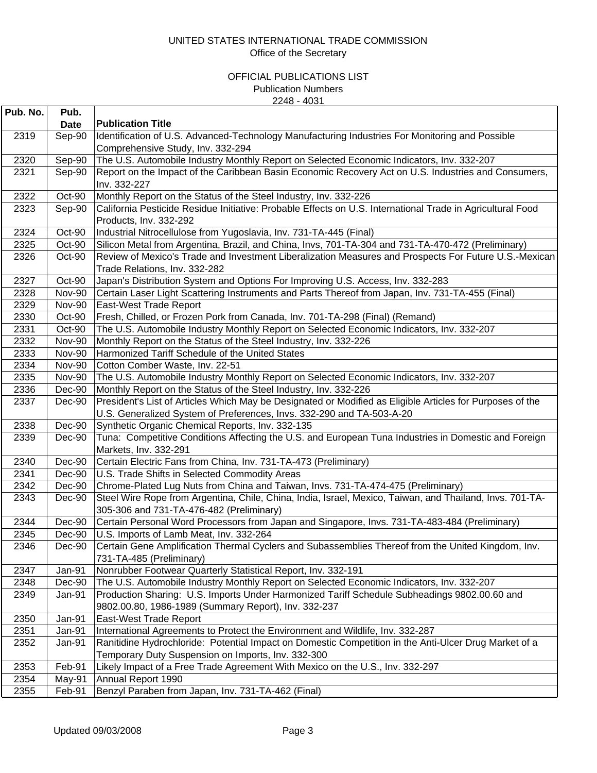| Pub. No.     | Pub.                           |                                                                                                                                                                               |
|--------------|--------------------------------|-------------------------------------------------------------------------------------------------------------------------------------------------------------------------------|
|              | <b>Date</b>                    | <b>Publication Title</b>                                                                                                                                                      |
| 2319         | Sep-90                         | Identification of U.S. Advanced-Technology Manufacturing Industries For Monitoring and Possible                                                                               |
|              |                                | Comprehensive Study, Inv. 332-294                                                                                                                                             |
| 2320         | Sep-90                         | The U.S. Automobile Industry Monthly Report on Selected Economic Indicators, Inv. 332-207                                                                                     |
| 2321         | Sep-90                         | Report on the Impact of the Caribbean Basin Economic Recovery Act on U.S. Industries and Consumers,                                                                           |
|              |                                | Inv. 332-227                                                                                                                                                                  |
| 2322         | Oct-90                         | Monthly Report on the Status of the Steel Industry, Inv. 332-226                                                                                                              |
| 2323         | Sep-90                         | California Pesticide Residue Initiative: Probable Effects on U.S. International Trade in Agricultural Food                                                                    |
|              |                                | Products, Inv. 332-292                                                                                                                                                        |
| 2324         | Oct-90                         | Industrial Nitrocellulose from Yugoslavia, Inv. 731-TA-445 (Final)                                                                                                            |
| 2325         | Oct-90                         | Silicon Metal from Argentina, Brazil, and China, Invs, 701-TA-304 and 731-TA-470-472 (Preliminary)                                                                            |
| 2326         | Oct-90                         | Review of Mexico's Trade and Investment Liberalization Measures and Prospects For Future U.S.-Mexican                                                                         |
|              |                                | Trade Relations, Inv. 332-282                                                                                                                                                 |
| 2327         | Oct-90                         | Japan's Distribution System and Options For Improving U.S. Access, Inv. 332-283                                                                                               |
| 2328         | <b>Nov-90</b>                  | Certain Laser Light Scattering Instruments and Parts Thereof from Japan, Inv. 731-TA-455 (Final)                                                                              |
| 2329         | <b>Nov-90</b>                  | East-West Trade Report                                                                                                                                                        |
| 2330         | Oct-90                         | Fresh, Chilled, or Frozen Pork from Canada, Inv. 701-TA-298 (Final) (Remand)                                                                                                  |
| 2331         | Oct-90                         | The U.S. Automobile Industry Monthly Report on Selected Economic Indicators, Inv. 332-207                                                                                     |
| 2332         | <b>Nov-90</b>                  | Monthly Report on the Status of the Steel Industry, Inv. 332-226                                                                                                              |
| 2333         | <b>Nov-90</b>                  | Harmonized Tariff Schedule of the United States                                                                                                                               |
| 2334         | <b>Nov-90</b><br><b>Nov-90</b> | Cotton Comber Waste, Inv. 22-51<br>The U.S. Automobile Industry Monthly Report on Selected Economic Indicators, Inv. 332-207                                                  |
| 2335         |                                |                                                                                                                                                                               |
| 2336<br>2337 | Dec-90<br>Dec-90               | Monthly Report on the Status of the Steel Industry, Inv. 332-226<br>President's List of Articles Which May be Designated or Modified as Eligible Articles for Purposes of the |
|              |                                | U.S. Generalized System of Preferences, Invs. 332-290 and TA-503-A-20                                                                                                         |
| 2338         | Dec-90                         | Synthetic Organic Chemical Reports, Inv. 332-135                                                                                                                              |
| 2339         | Dec-90                         | Tuna: Competitive Conditions Affecting the U.S. and European Tuna Industries in Domestic and Foreign                                                                          |
|              |                                | Markets, Inv. 332-291                                                                                                                                                         |
| 2340         | Dec-90                         | Certain Electric Fans from China, Inv. 731-TA-473 (Preliminary)                                                                                                               |
| 2341         | Dec-90                         | U.S. Trade Shifts in Selected Commodity Areas                                                                                                                                 |
| 2342         | Dec-90                         | Chrome-Plated Lug Nuts from China and Taiwan, Invs. 731-TA-474-475 (Preliminary)                                                                                              |
| 2343         | Dec-90                         | Steel Wire Rope from Argentina, Chile, China, India, Israel, Mexico, Taiwan, and Thailand, Invs. 701-TA-                                                                      |
|              |                                | 305-306 and 731-TA-476-482 (Preliminary)                                                                                                                                      |
| 2344         | Dec-90                         | Certain Personal Word Processors from Japan and Singapore, Invs. 731-TA-483-484 (Preliminary)                                                                                 |
| 2345         | Dec-90                         | U.S. Imports of Lamb Meat, Inv. 332-264                                                                                                                                       |
| 2346         | Dec-90                         | Certain Gene Amplification Thermal Cyclers and Subassemblies Thereof from the United Kingdom, Inv.                                                                            |
|              |                                | 731-TA-485 (Preliminary)                                                                                                                                                      |
| 2347         | Jan-91                         | Nonrubber Footwear Quarterly Statistical Report, Inv. 332-191                                                                                                                 |
| 2348         | Dec-90                         | The U.S. Automobile Industry Monthly Report on Selected Economic Indicators, Inv. 332-207                                                                                     |
| 2349         | Jan-91                         | Production Sharing: U.S. Imports Under Harmonized Tariff Schedule Subheadings 9802.00.60 and                                                                                  |
|              |                                | 9802.00.80, 1986-1989 (Summary Report), Inv. 332-237                                                                                                                          |
| 2350         | Jan-91                         | <b>East-West Trade Report</b>                                                                                                                                                 |
| 2351         | Jan-91                         | International Agreements to Protect the Environment and Wildlife, Inv. 332-287                                                                                                |
| 2352         | Jan-91                         | Ranitidine Hydrochloride: Potential Impact on Domestic Competition in the Anti-Ulcer Drug Market of a                                                                         |
|              |                                | Temporary Duty Suspension on Imports, Inv. 332-300                                                                                                                            |
| 2353         | Feb-91                         | Likely Impact of a Free Trade Agreement With Mexico on the U.S., Inv. 332-297                                                                                                 |
| 2354         | May-91                         | Annual Report 1990                                                                                                                                                            |
| 2355         | Feb-91                         | Benzyl Paraben from Japan, Inv. 731-TA-462 (Final)                                                                                                                            |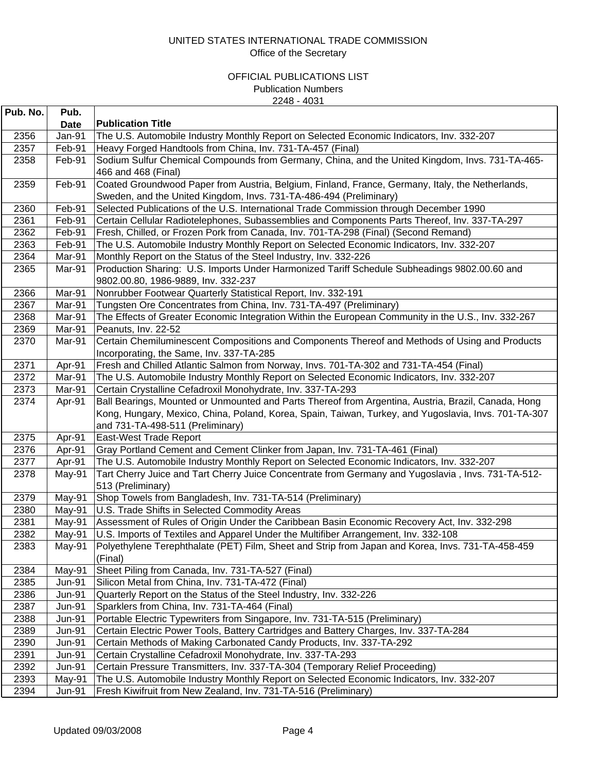| Pub. No.     | Pub.          |                                                                                                                                                                          |
|--------------|---------------|--------------------------------------------------------------------------------------------------------------------------------------------------------------------------|
|              | <b>Date</b>   | <b>Publication Title</b>                                                                                                                                                 |
| 2356         | Jan-91        | The U.S. Automobile Industry Monthly Report on Selected Economic Indicators, Inv. 332-207                                                                                |
| 2357         | Feb-91        | Heavy Forged Handtools from China, Inv. 731-TA-457 (Final)                                                                                                               |
| 2358         | Feb-91        | Sodium Sulfur Chemical Compounds from Germany, China, and the United Kingdom, Invs. 731-TA-465-<br>466 and 468 (Final)                                                   |
| 2359         | Feb-91        | Coated Groundwood Paper from Austria, Belgium, Finland, France, Germany, Italy, the Netherlands,<br>Sweden, and the United Kingdom, Invs. 731-TA-486-494 (Preliminary)   |
| 2360         | Feb-91        | Selected Publications of the U.S. International Trade Commission through December 1990                                                                                   |
| 2361         | Feb-91        | Certain Cellular Radiotelephones, Subassemblies and Components Parts Thereof, Inv. 337-TA-297                                                                            |
| 2362         | Feb-91        | Fresh, Chilled, or Frozen Pork from Canada, Inv. 701-TA-298 (Final) (Second Remand)                                                                                      |
| 2363         | Feb-91        | The U.S. Automobile Industry Monthly Report on Selected Economic Indicators, Inv. 332-207                                                                                |
| 2364         | Mar-91        | Monthly Report on the Status of the Steel Industry, Inv. 332-226                                                                                                         |
| 2365         | Mar-91        | Production Sharing: U.S. Imports Under Harmonized Tariff Schedule Subheadings 9802.00.60 and<br>9802.00.80, 1986-9889, Inv. 332-237                                      |
| 2366         | Mar-91        | Nonrubber Footwear Quarterly Statistical Report, Inv. 332-191                                                                                                            |
| 2367         | Mar-91        | Tungsten Ore Concentrates from China, Inv. 731-TA-497 (Preliminary)                                                                                                      |
| 2368         | Mar-91        | The Effects of Greater Economic Integration Within the European Community in the U.S., Inv. 332-267                                                                      |
| 2369         | Mar-91        | Peanuts, Inv. 22-52                                                                                                                                                      |
| 2370         | Mar-91        | Certain Chemiluminescent Compositions and Components Thereof and Methods of Using and Products                                                                           |
|              |               | Incorporating, the Same, Inv. 337-TA-285                                                                                                                                 |
| 2371         | Apr-91        | Fresh and Chilled Atlantic Salmon from Norway, Invs. 701-TA-302 and 731-TA-454 (Final)                                                                                   |
| 2372         | Mar-91        | The U.S. Automobile Industry Monthly Report on Selected Economic Indicators, Inv. 332-207                                                                                |
| 2373         | Mar-91        | Certain Crystalline Cefadroxil Monohydrate, Inv. 337-TA-293                                                                                                              |
| 2374         | Apr-91        | Ball Bearings, Mounted or Unmounted and Parts Thereof from Argentina, Austria, Brazil, Canada, Hong                                                                      |
|              |               | Kong, Hungary, Mexico, China, Poland, Korea, Spain, Taiwan, Turkey, and Yugoslavia, Invs. 701-TA-307                                                                     |
|              |               | and 731-TA-498-511 (Preliminary)                                                                                                                                         |
| 2375         | Apr-91        | East-West Trade Report                                                                                                                                                   |
| 2376<br>2377 | Apr-91        | Gray Portland Cement and Cement Clinker from Japan, Inv. 731-TA-461 (Final)<br>The U.S. Automobile Industry Monthly Report on Selected Economic Indicators, Inv. 332-207 |
| 2378         | Apr-91        | Tart Cherry Juice and Tart Cherry Juice Concentrate from Germany and Yugoslavia, Invs. 731-TA-512-                                                                       |
|              | May-91        | 513 (Preliminary)                                                                                                                                                        |
| 2379         | May-91        | Shop Towels from Bangladesh, Inv. 731-TA-514 (Preliminary)                                                                                                               |
| 2380         | May-91        | U.S. Trade Shifts in Selected Commodity Areas                                                                                                                            |
| 2381         | May-91        | Assessment of Rules of Origin Under the Caribbean Basin Economic Recovery Act, Inv. 332-298                                                                              |
| 2382         | May-91        | U.S. Imports of Textiles and Apparel Under the Multifiber Arrangement, Inv. 332-108                                                                                      |
| 2383         | May-91        | Polyethylene Terephthalate (PET) Film, Sheet and Strip from Japan and Korea, Invs. 731-TA-458-459<br>(Final)                                                             |
| 2384         | May-91        | Sheet Piling from Canada, Inv. 731-TA-527 (Final)                                                                                                                        |
| 2385         | <b>Jun-91</b> | Silicon Metal from China, Inv. 731-TA-472 (Final)                                                                                                                        |
| 2386         | <b>Jun-91</b> | Quarterly Report on the Status of the Steel Industry, Inv. 332-226                                                                                                       |
| 2387         | <b>Jun-91</b> | Sparklers from China, Inv. 731-TA-464 (Final)                                                                                                                            |
| 2388         | <b>Jun-91</b> | Portable Electric Typewriters from Singapore, Inv. 731-TA-515 (Preliminary)                                                                                              |
| 2389         | <b>Jun-91</b> | Certain Electric Power Tools, Battery Cartridges and Battery Charges, Inv. 337-TA-284                                                                                    |
| 2390         | <b>Jun-91</b> | Certain Methods of Making Carbonated Candy Products, Inv. 337-TA-292                                                                                                     |
| 2391         | <b>Jun-91</b> | Certain Crystalline Cefadroxil Monohydrate, Inv. 337-TA-293                                                                                                              |
| 2392         | <b>Jun-91</b> | Certain Pressure Transmitters, Inv. 337-TA-304 (Temporary Relief Proceeding)                                                                                             |
| 2393         | May-91        | The U.S. Automobile Industry Monthly Report on Selected Economic Indicators, Inv. 332-207                                                                                |
| 2394         | <b>Jun-91</b> | Fresh Kiwifruit from New Zealand, Inv. 731-TA-516 (Preliminary)                                                                                                          |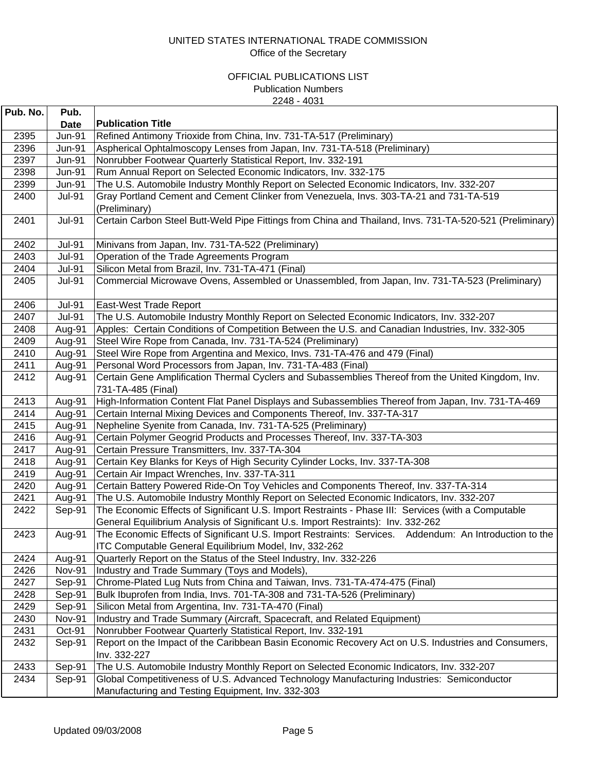| Pub. No.     | Pub.          |                                                                                                                                                                      |
|--------------|---------------|----------------------------------------------------------------------------------------------------------------------------------------------------------------------|
|              | <b>Date</b>   | <b>Publication Title</b>                                                                                                                                             |
| 2395         | <b>Jun-91</b> | Refined Antimony Trioxide from China, Inv. 731-TA-517 (Preliminary)                                                                                                  |
| 2396         | <b>Jun-91</b> | Aspherical Ophtalmoscopy Lenses from Japan, Inv. 731-TA-518 (Preliminary)                                                                                            |
| 2397         | <b>Jun-91</b> | Nonrubber Footwear Quarterly Statistical Report, Inv. 332-191                                                                                                        |
| 2398         | <b>Jun-91</b> | Rum Annual Report on Selected Economic Indicators, Inv. 332-175                                                                                                      |
| 2399         | <b>Jun-91</b> | The U.S. Automobile Industry Monthly Report on Selected Economic Indicators, Inv. 332-207                                                                            |
| 2400         | <b>Jul-91</b> | Gray Portland Cement and Cement Clinker from Venezuela, Invs. 303-TA-21 and 731-TA-519                                                                               |
|              |               | (Preliminary)                                                                                                                                                        |
| 2401         | <b>Jul-91</b> | Certain Carbon Steel Butt-Weld Pipe Fittings from China and Thailand, Invs. 731-TA-520-521 (Preliminary)                                                             |
|              |               |                                                                                                                                                                      |
| 2402         | <b>Jul-91</b> | Minivans from Japan, Inv. 731-TA-522 (Preliminary)                                                                                                                   |
| 2403         | <b>Jul-91</b> | Operation of the Trade Agreements Program                                                                                                                            |
| 2404         | <b>Jul-91</b> | Silicon Metal from Brazil, Inv. 731-TA-471 (Final)                                                                                                                   |
| 2405         | <b>Jul-91</b> | Commercial Microwave Ovens, Assembled or Unassembled, from Japan, Inv. 731-TA-523 (Preliminary)                                                                      |
|              |               |                                                                                                                                                                      |
| 2406         | <b>Jul-91</b> | East-West Trade Report                                                                                                                                               |
| 2407         | <b>Jul-91</b> | The U.S. Automobile Industry Monthly Report on Selected Economic Indicators, Inv. 332-207                                                                            |
| 2408         | Aug-91        | Apples: Certain Conditions of Competition Between the U.S. and Canadian Industries, Inv. 332-305                                                                     |
| 2409         | Aug-91        | Steel Wire Rope from Canada, Inv. 731-TA-524 (Preliminary)                                                                                                           |
| 2410         | Aug-91        | Steel Wire Rope from Argentina and Mexico, Invs. 731-TA-476 and 479 (Final)                                                                                          |
| 2411         | Aug-91        | Personal Word Processors from Japan, Inv. 731-TA-483 (Final)                                                                                                         |
| 2412         | Aug-91        | Certain Gene Amplification Thermal Cyclers and Subassemblies Thereof from the United Kingdom, Inv.                                                                   |
|              |               | 731-TA-485 (Final)                                                                                                                                                   |
| 2413         | Aug-91        | High-Information Content Flat Panel Displays and Subassemblies Thereof from Japan, Inv. 731-TA-469                                                                   |
| 2414         | Aug-91        | Certain Internal Mixing Devices and Components Thereof, Inv. 337-TA-317                                                                                              |
| 2415         | Aug-91        | Nepheline Syenite from Canada, Inv. 731-TA-525 (Preliminary)                                                                                                         |
| 2416         | Aug-91        | Certain Polymer Geogrid Products and Processes Thereof, Inv. 337-TA-303                                                                                              |
| 2417         | Aug-91        | Certain Pressure Transmitters, Inv. 337-TA-304                                                                                                                       |
| 2418         | Aug-91        | Certain Key Blanks for Keys of High Security Cylinder Locks, Inv. 337-TA-308                                                                                         |
| 2419         | Aug-91        | Certain Air Impact Wrenches, Inv. 337-TA-311                                                                                                                         |
| 2420         | Aug-91        | Certain Battery Powered Ride-On Toy Vehicles and Components Thereof, Inv. 337-TA-314                                                                                 |
| 2421         | Aug-91        | The U.S. Automobile Industry Monthly Report on Selected Economic Indicators, Inv. 332-207                                                                            |
| 2422         | Sep-91        | The Economic Effects of Significant U.S. Import Restraints - Phase III: Services (with a Computable                                                                  |
|              |               | General Equilibrium Analysis of Significant U.s. Import Restraints): Inv. 332-262                                                                                    |
| 2423         | Aug-91        | The Economic Effects of Significant U.S. Import Restraints: Services. Addendum: An Introduction to the                                                               |
|              | Aug-91        | ITC Computable General Equilibrium Model, Inv, 332-262                                                                                                               |
| 2424<br>2426 | <b>Nov-91</b> | Quarterly Report on the Status of the Steel Industry, Inv. 332-226<br>Industry and Trade Summary (Toys and Models),                                                  |
| 2427         | Sep-91        | Chrome-Plated Lug Nuts from China and Taiwan, Invs. 731-TA-474-475 (Final)                                                                                           |
| 2428         | Sep-91        | Bulk Ibuprofen from India, Invs. 701-TA-308 and 731-TA-526 (Preliminary)                                                                                             |
| 2429         | Sep-91        | Silicon Metal from Argentina, Inv. 731-TA-470 (Final)                                                                                                                |
| 2430         | <b>Nov-91</b> | Industry and Trade Summary (Aircraft, Spacecraft, and Related Equipment)                                                                                             |
| 2431         | Oct-91        |                                                                                                                                                                      |
| 2432         | Sep-91        | Nonrubber Footwear Quarterly Statistical Report, Inv. 332-191<br>Report on the Impact of the Caribbean Basin Economic Recovery Act on U.S. Industries and Consumers, |
|              |               | Inv. 332-227                                                                                                                                                         |
| 2433         | Sep-91        | The U.S. Automobile Industry Monthly Report on Selected Economic Indicators, Inv. 332-207                                                                            |
| 2434         | Sep-91        | Global Competitiveness of U.S. Advanced Technology Manufacturing Industries: Semiconductor                                                                           |
|              |               | Manufacturing and Testing Equipment, Inv. 332-303                                                                                                                    |
|              |               |                                                                                                                                                                      |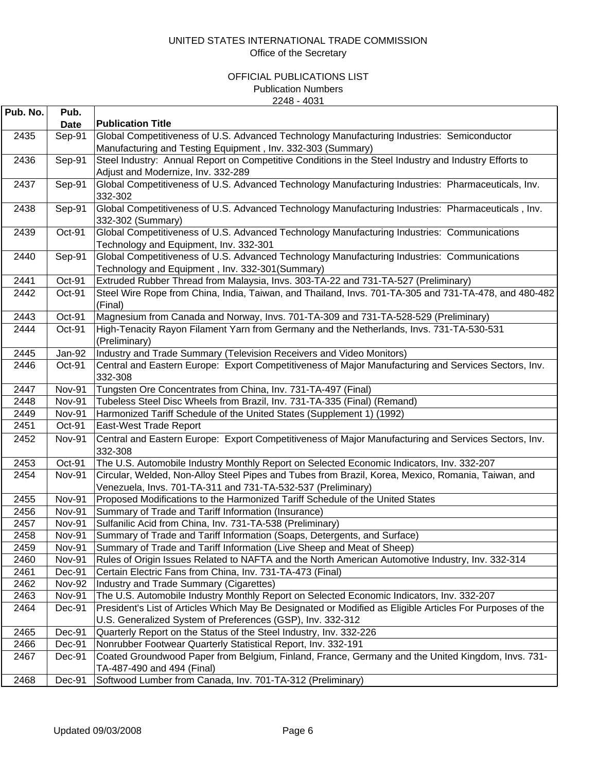| Pub. No. | Pub.          |                                                                                                           |
|----------|---------------|-----------------------------------------------------------------------------------------------------------|
|          | <b>Date</b>   | <b>Publication Title</b>                                                                                  |
| 2435     | Sep-91        | Global Competitiveness of U.S. Advanced Technology Manufacturing Industries: Semiconductor                |
|          |               | Manufacturing and Testing Equipment, Inv. 332-303 (Summary)                                               |
| 2436     | Sep-91        | Steel Industry: Annual Report on Competitive Conditions in the Steel Industry and Industry Efforts to     |
|          |               | Adjust and Modernize, Inv. 332-289                                                                        |
| 2437     | Sep-91        | Global Competitiveness of U.S. Advanced Technology Manufacturing Industries: Pharmaceuticals, Inv.        |
|          |               | 332-302                                                                                                   |
| 2438     | Sep-91        | Global Competitiveness of U.S. Advanced Technology Manufacturing Industries: Pharmaceuticals, Inv.        |
|          |               | 332-302 (Summary)                                                                                         |
| 2439     | Oct-91        | Global Competitiveness of U.S. Advanced Technology Manufacturing Industries: Communications               |
|          |               | Technology and Equipment, Inv. 332-301                                                                    |
| 2440     | Sep-91        | Global Competitiveness of U.S. Advanced Technology Manufacturing Industries: Communications               |
|          |               | Technology and Equipment, Inv. 332-301(Summary)                                                           |
| 2441     | Oct-91        | Extruded Rubber Thread from Malaysia, Invs. 303-TA-22 and 731-TA-527 (Preliminary)                        |
| 2442     | Oct-91        | Steel Wire Rope from China, India, Taiwan, and Thailand, Invs. 701-TA-305 and 731-TA-478, and 480-482     |
|          |               | (Final)                                                                                                   |
| 2443     | Oct-91        | Magnesium from Canada and Norway, Invs. 701-TA-309 and 731-TA-528-529 (Preliminary)                       |
| 2444     | Oct-91        | High-Tenacity Rayon Filament Yarn from Germany and the Netherlands, Invs. 731-TA-530-531                  |
|          |               | (Preliminary)                                                                                             |
| 2445     | Jan-92        | Industry and Trade Summary (Television Receivers and Video Monitors)                                      |
| 2446     | Oct-91        | Central and Eastern Europe: Export Competitiveness of Major Manufacturing and Services Sectors, Inv.      |
|          |               | 332-308                                                                                                   |
| 2447     | <b>Nov-91</b> | Tungsten Ore Concentrates from China, Inv. 731-TA-497 (Final)                                             |
| 2448     | <b>Nov-91</b> | Tubeless Steel Disc Wheels from Brazil, Inv. 731-TA-335 (Final) (Remand)                                  |
| 2449     | <b>Nov-91</b> | Harmonized Tariff Schedule of the United States (Supplement 1) (1992)                                     |
| 2451     | Oct-91        | East-West Trade Report                                                                                    |
| 2452     | <b>Nov-91</b> | Central and Eastern Europe: Export Competitiveness of Major Manufacturing and Services Sectors, Inv.      |
|          |               | 332-308                                                                                                   |
| 2453     | Oct-91        | The U.S. Automobile Industry Monthly Report on Selected Economic Indicators, Inv. 332-207                 |
| 2454     | <b>Nov-91</b> | Circular, Welded, Non-Alloy Steel Pipes and Tubes from Brazil, Korea, Mexico, Romania, Taiwan, and        |
|          |               | Venezuela, Invs. 701-TA-311 and 731-TA-532-537 (Preliminary)                                              |
| 2455     | <b>Nov-91</b> | Proposed Modifications to the Harmonized Tariff Schedule of the United States                             |
| 2456     | <b>Nov-91</b> | Summary of Trade and Tariff Information (Insurance)                                                       |
| 2457     | <b>Nov-91</b> | Sulfanilic Acid from China, Inv. 731-TA-538 (Preliminary)                                                 |
| 2458     | <b>Nov-91</b> | Summary of Trade and Tariff Information (Soaps, Detergents, and Surface)                                  |
| 2459     | <b>Nov-91</b> | Summary of Trade and Tariff Information (Live Sheep and Meat of Sheep)                                    |
| 2460     | <b>Nov-91</b> | Rules of Origin Issues Related to NAFTA and the North American Automotive Industry, Inv. 332-314          |
| 2461     | Dec-91        | Certain Electric Fans from China, Inv. 731-TA-473 (Final)                                                 |
| 2462     | <b>Nov-92</b> | Industry and Trade Summary (Cigarettes)                                                                   |
| 2463     | <b>Nov-91</b> | The U.S. Automobile Industry Monthly Report on Selected Economic Indicators, Inv. 332-207                 |
| 2464     | Dec-91        | President's List of Articles Which May Be Designated or Modified as Eligible Articles For Purposes of the |
|          |               | U.S. Generalized System of Preferences (GSP), Inv. 332-312                                                |
| 2465     | Dec-91        | Quarterly Report on the Status of the Steel Industry, Inv. 332-226                                        |
| 2466     | Dec-91        | Nonrubber Footwear Quarterly Statistical Report, Inv. 332-191                                             |
| 2467     | Dec-91        | Coated Groundwood Paper from Belgium, Finland, France, Germany and the United Kingdom, Invs. 731-         |
|          |               | TA-487-490 and 494 (Final)                                                                                |
| 2468     | Dec-91        | Softwood Lumber from Canada, Inv. 701-TA-312 (Preliminary)                                                |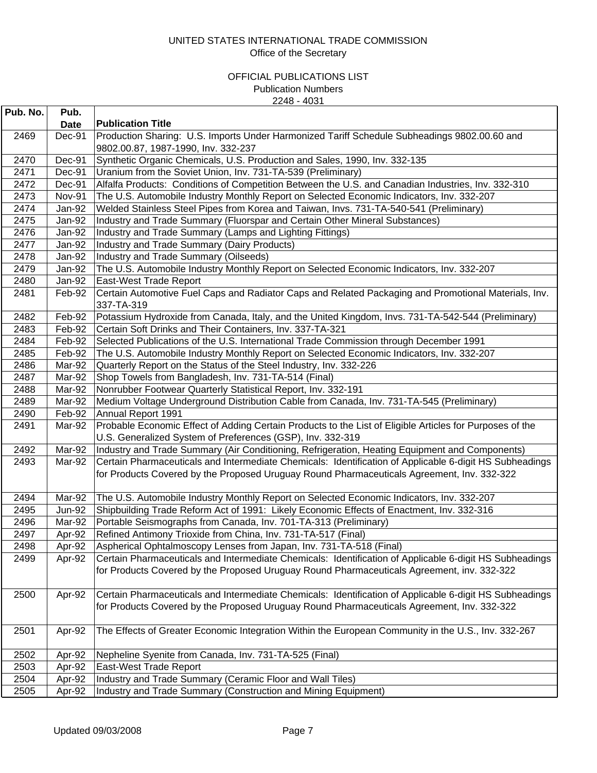| Pub. No. | Pub.          |                                                                                                                    |
|----------|---------------|--------------------------------------------------------------------------------------------------------------------|
|          | <b>Date</b>   | <b>Publication Title</b>                                                                                           |
| 2469     | Dec-91        | Production Sharing: U.S. Imports Under Harmonized Tariff Schedule Subheadings 9802.00.60 and                       |
|          |               | 9802.00.87, 1987-1990, Inv. 332-237                                                                                |
| 2470     | Dec-91        | Synthetic Organic Chemicals, U.S. Production and Sales, 1990, Inv. 332-135                                         |
| 2471     | Dec-91        | Uranium from the Soviet Union, Inv. 731-TA-539 (Preliminary)                                                       |
| 2472     | Dec-91        | Alfalfa Products: Conditions of Competition Between the U.S. and Canadian Industries, Inv. 332-310                 |
| 2473     | Nov-91        | The U.S. Automobile Industry Monthly Report on Selected Economic Indicators, Inv. 332-207                          |
| 2474     | Jan-92        | Welded Stainless Steel Pipes from Korea and Taiwan, Invs. 731-TA-540-541 (Preliminary)                             |
| 2475     | Jan-92        | Industry and Trade Summary (Fluorspar and Certain Other Mineral Substances)                                        |
| 2476     | Jan-92        | Industry and Trade Summary (Lamps and Lighting Fittings)                                                           |
| 2477     | Jan-92        | Industry and Trade Summary (Dairy Products)                                                                        |
| 2478     | Jan-92        | Industry and Trade Summary (Oilseeds)                                                                              |
| 2479     | Jan-92        | The U.S. Automobile Industry Monthly Report on Selected Economic Indicators, Inv. 332-207                          |
| 2480     | Jan-92        | East-West Trade Report                                                                                             |
| 2481     | Feb-92        | Certain Automotive Fuel Caps and Radiator Caps and Related Packaging and Promotional Materials, Inv.<br>337-TA-319 |
| 2482     | Feb-92        | Potassium Hydroxide from Canada, Italy, and the United Kingdom, Invs. 731-TA-542-544 (Preliminary)                 |
| 2483     | Feb-92        | Certain Soft Drinks and Their Containers, Inv. 337-TA-321                                                          |
| 2484     | Feb-92        | Selected Publications of the U.S. International Trade Commission through December 1991                             |
| 2485     | Feb-92        | The U.S. Automobile Industry Monthly Report on Selected Economic Indicators, Inv. 332-207                          |
| 2486     | Mar-92        | Quarterly Report on the Status of the Steel Industry, Inv. 332-226                                                 |
| 2487     | Mar-92        | Shop Towels from Bangladesh, Inv. 731-TA-514 (Final)                                                               |
| 2488     | Mar-92        | Nonrubber Footwear Quarterly Statistical Report, Inv. 332-191                                                      |
| 2489     | Mar-92        | Medium Voltage Underground Distribution Cable from Canada, Inv. 731-TA-545 (Preliminary)                           |
| 2490     | Feb-92        | Annual Report 1991                                                                                                 |
| 2491     | Mar-92        | Probable Economic Effect of Adding Certain Products to the List of Eligible Articles for Purposes of the           |
|          |               | U.S. Generalized System of Preferences (GSP), Inv. 332-319                                                         |
| 2492     | Mar-92        | Industry and Trade Summary (Air Conditioning, Refrigeration, Heating Equipment and Components)                     |
| 2493     | Mar-92        | Certain Pharmaceuticals and Intermediate Chemicals: Identification of Applicable 6-digit HS Subheadings            |
|          |               | for Products Covered by the Proposed Uruguay Round Pharmaceuticals Agreement, Inv. 332-322                         |
| 2494     | Mar-92        | The U.S. Automobile Industry Monthly Report on Selected Economic Indicators, Inv. 332-207                          |
| 2495     | <b>Jun-92</b> | Shipbuilding Trade Reform Act of 1991: Likely Economic Effects of Enactment, Inv. 332-316                          |
| 2496     | Mar-92        | Portable Seismographs from Canada, Inv. 701-TA-313 (Preliminary)                                                   |
| 2497     | Apr-92        | Refined Antimony Trioxide from China, Inv. 731-TA-517 (Final)                                                      |
| 2498     | Apr-92        | Aspherical Ophtalmoscopy Lenses from Japan, Inv. 731-TA-518 (Final)                                                |
| 2499     | Apr-92        | Certain Pharmaceuticals and Intermediate Chemicals: Identification of Applicable 6-digit HS Subheadings            |
|          |               | for Products Covered by the Proposed Uruguay Round Pharmaceuticals Agreement, inv. 332-322                         |
| 2500     | Apr-92        | Certain Pharmaceuticals and Intermediate Chemicals: Identification of Applicable 6-digit HS Subheadings            |
|          |               | for Products Covered by the Proposed Uruguay Round Pharmaceuticals Agreement, Inv. 332-322                         |
| 2501     | Apr-92        | The Effects of Greater Economic Integration Within the European Community in the U.S., Inv. 332-267                |
| 2502     | Apr-92        | Nepheline Syenite from Canada, Inv. 731-TA-525 (Final)                                                             |
| 2503     | Apr-92        | East-West Trade Report                                                                                             |
| 2504     | Apr-92        | Industry and Trade Summary (Ceramic Floor and Wall Tiles)                                                          |
| 2505     | Apr-92        | Industry and Trade Summary (Construction and Mining Equipment)                                                     |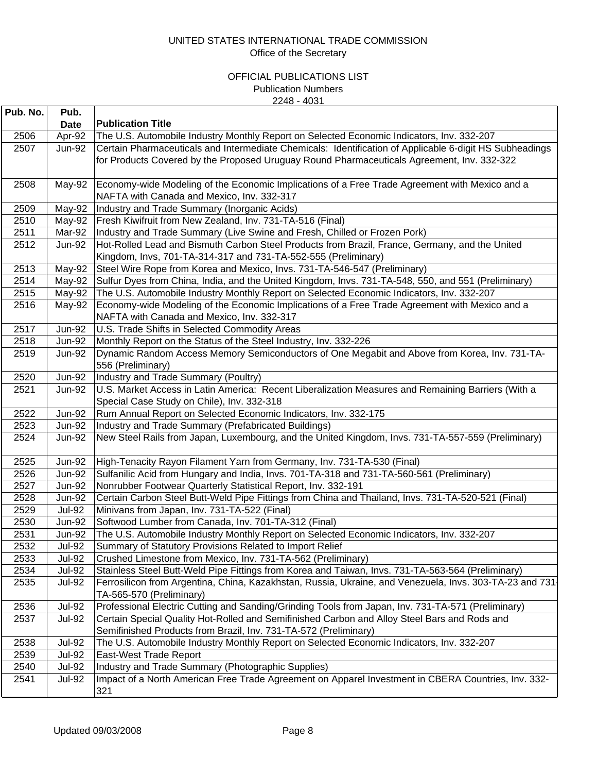| Pub. No. | Pub.          |                                                                                                         |
|----------|---------------|---------------------------------------------------------------------------------------------------------|
|          | <b>Date</b>   | <b>Publication Title</b>                                                                                |
| 2506     | Apr-92        | The U.S. Automobile Industry Monthly Report on Selected Economic Indicators, Inv. 332-207               |
| 2507     | <b>Jun-92</b> | Certain Pharmaceuticals and Intermediate Chemicals: Identification of Applicable 6-digit HS Subheadings |
|          |               | for Products Covered by the Proposed Uruguay Round Pharmaceuticals Agreement, Inv. 332-322              |
| 2508     | May-92        | Economy-wide Modeling of the Economic Implications of a Free Trade Agreement with Mexico and a          |
|          |               | NAFTA with Canada and Mexico, Inv. 332-317                                                              |
| 2509     | May-92        | Industry and Trade Summary (Inorganic Acids)                                                            |
| 2510     | May-92        | Fresh Kiwifruit from New Zealand, Inv. 731-TA-516 (Final)                                               |
| 2511     | Mar-92        | Industry and Trade Summary (Live Swine and Fresh, Chilled or Frozen Pork)                               |
| 2512     | <b>Jun-92</b> | Hot-Rolled Lead and Bismuth Carbon Steel Products from Brazil, France, Germany, and the United          |
|          |               | Kingdom, Invs, 701-TA-314-317 and 731-TA-552-555 (Preliminary)                                          |
| 2513     | May-92        | Steel Wire Rope from Korea and Mexico, Invs. 731-TA-546-547 (Preliminary)                               |
| 2514     | May-92        | Sulfur Dyes from China, India, and the United Kingdom, Invs. 731-TA-548, 550, and 551 (Preliminary)     |
| 2515     | May-92        | The U.S. Automobile Industry Monthly Report on Selected Economic Indicators, Inv. 332-207               |
| 2516     | May-92        | Economy-wide Modeling of the Economic Implications of a Free Trade Agreement with Mexico and a          |
|          |               | NAFTA with Canada and Mexico, Inv. 332-317                                                              |
| 2517     | <b>Jun-92</b> | U.S. Trade Shifts in Selected Commodity Areas                                                           |
| 2518     | <b>Jun-92</b> | Monthly Report on the Status of the Steel Industry, Inv. 332-226                                        |
| 2519     | <b>Jun-92</b> | Dynamic Random Access Memory Semiconductors of One Megabit and Above from Korea, Inv. 731-TA-           |
|          |               | 556 (Preliminary)                                                                                       |
| 2520     | <b>Jun-92</b> | Industry and Trade Summary (Poultry)                                                                    |
| 2521     | <b>Jun-92</b> | U.S. Market Access in Latin America: Recent Liberalization Measures and Remaining Barriers (With a      |
|          |               | Special Case Study on Chile), Inv. 332-318                                                              |
| 2522     | <b>Jun-92</b> | Rum Annual Report on Selected Economic Indicators, Inv. 332-175                                         |
| 2523     | <b>Jun-92</b> | Industry and Trade Summary (Prefabricated Buildings)                                                    |
| 2524     | <b>Jun-92</b> | New Steel Rails from Japan, Luxembourg, and the United Kingdom, Invs. 731-TA-557-559 (Preliminary)      |
| 2525     | <b>Jun-92</b> | High-Tenacity Rayon Filament Yarn from Germany, Inv. 731-TA-530 (Final)                                 |
| 2526     | <b>Jun-92</b> | Sulfanilic Acid from Hungary and India, Invs. 701-TA-318 and 731-TA-560-561 (Preliminary)               |
| 2527     | <b>Jun-92</b> | Nonrubber Footwear Quarterly Statistical Report, Inv. 332-191                                           |
| 2528     | <b>Jun-92</b> | Certain Carbon Steel Butt-Weld Pipe Fittings from China and Thailand, Invs. 731-TA-520-521 (Final)      |
| 2529     | <b>Jul-92</b> | Minivans from Japan, Inv. 731-TA-522 (Final)                                                            |
| 2530     | <b>Jun-92</b> | Softwood Lumber from Canada, Inv. 701-TA-312 (Final)                                                    |
| 2531     | <b>Jun-92</b> | The U.S. Automobile Industry Monthly Report on Selected Economic Indicators, Inv. 332-207               |
| 2532     | <b>Jul-92</b> | Summary of Statutory Provisions Related to Import Relief                                                |
| 2533     | <b>Jul-92</b> | Crushed Limestone from Mexico, Inv. 731-TA-562 (Preliminary)                                            |
| 2534     | <b>Jul-92</b> | Stainless Steel Butt-Weld Pipe Fittings from Korea and Taiwan, Invs. 731-TA-563-564 (Preliminary)       |
| 2535     | <b>Jul-92</b> | Ferrosilicon from Argentina, China, Kazakhstan, Russia, Ukraine, and Venezuela, Invs. 303-TA-23 and 731 |
|          |               | TA-565-570 (Preliminary)                                                                                |
| 2536     | <b>Jul-92</b> | Professional Electric Cutting and Sanding/Grinding Tools from Japan, Inv. 731-TA-571 (Preliminary)      |
| 2537     | <b>Jul-92</b> | Certain Special Quality Hot-Rolled and Semifinished Carbon and Alloy Steel Bars and Rods and            |
|          |               | Semifinished Products from Brazil, Inv. 731-TA-572 (Preliminary)                                        |
| 2538     | <b>Jul-92</b> | The U.S. Automobile Industry Monthly Report on Selected Economic Indicators, Inv. 332-207               |
| 2539     | <b>Jul-92</b> | East-West Trade Report                                                                                  |
| 2540     | <b>Jul-92</b> | Industry and Trade Summary (Photographic Supplies)                                                      |
| 2541     | <b>Jul-92</b> | Impact of a North American Free Trade Agreement on Apparel Investment in CBERA Countries, Inv. 332-     |
|          |               | 321                                                                                                     |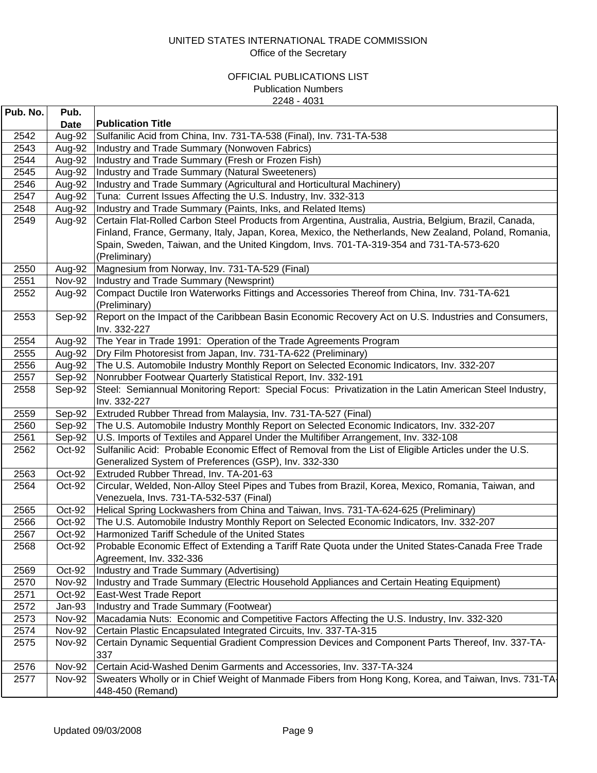| Pub. No.     | Pub.             |                                                                                                                                                                        |
|--------------|------------------|------------------------------------------------------------------------------------------------------------------------------------------------------------------------|
|              | Date             | <b>Publication Title</b>                                                                                                                                               |
| 2542         | Aug-92           | Sulfanilic Acid from China, Inv. 731-TA-538 (Final), Inv. 731-TA-538                                                                                                   |
| 2543         | Aug-92           | Industry and Trade Summary (Nonwoven Fabrics)                                                                                                                          |
| 2544         | Aug-92           | Industry and Trade Summary (Fresh or Frozen Fish)                                                                                                                      |
| 2545         | Aug-92           | Industry and Trade Summary (Natural Sweeteners)                                                                                                                        |
| 2546         | Aug-92           | Industry and Trade Summary (Agricultural and Horticultural Machinery)                                                                                                  |
| 2547         | Aug-92           | Tuna: Current Issues Affecting the U.S. Industry, Inv. 332-313                                                                                                         |
| 2548         | Aug-92           | Industry and Trade Summary (Paints, Inks, and Related Items)                                                                                                           |
| 2549         | Aug-92           | Certain Flat-Rolled Carbon Steel Products from Argentina, Australia, Austria, Belgium, Brazil, Canada,                                                                 |
|              |                  | Finland, France, Germany, Italy, Japan, Korea, Mexico, the Netherlands, New Zealand, Poland, Romania,                                                                  |
|              |                  | Spain, Sweden, Taiwan, and the United Kingdom, Invs. 701-TA-319-354 and 731-TA-573-620                                                                                 |
|              |                  | (Preliminary)                                                                                                                                                          |
| 2550         | Aug-92           | Magnesium from Norway, Inv. 731-TA-529 (Final)                                                                                                                         |
| 2551         | <b>Nov-92</b>    | Industry and Trade Summary (Newsprint)                                                                                                                                 |
| 2552         | Aug-92           | Compact Ductile Iron Waterworks Fittings and Accessories Thereof from China, Inv. 731-TA-621                                                                           |
|              |                  | (Preliminary)                                                                                                                                                          |
| 2553         | Sep-92           | Report on the Impact of the Caribbean Basin Economic Recovery Act on U.S. Industries and Consumers,                                                                    |
|              |                  | Inv. 332-227                                                                                                                                                           |
| 2554         | Aug-92           | The Year in Trade 1991: Operation of the Trade Agreements Program                                                                                                      |
| 2555         | Aug-92           | Dry Film Photoresist from Japan, Inv. 731-TA-622 (Preliminary)                                                                                                         |
| 2556         | Aug-92           | The U.S. Automobile Industry Monthly Report on Selected Economic Indicators, Inv. 332-207                                                                              |
| 2557         | Sep-92           | Nonrubber Footwear Quarterly Statistical Report, Inv. 332-191                                                                                                          |
| 2558         | Sep-92           | Steel: Semiannual Monitoring Report: Special Focus: Privatization in the Latin American Steel Industry,                                                                |
|              |                  | Inv. 332-227                                                                                                                                                           |
| 2559         | Sep-92           | Extruded Rubber Thread from Malaysia, Inv. 731-TA-527 (Final)                                                                                                          |
| 2560         | Sep-92           | The U.S. Automobile Industry Monthly Report on Selected Economic Indicators, Inv. 332-207                                                                              |
| 2561         | Sep-92           | U.S. Imports of Textiles and Apparel Under the Multifiber Arrangement, Inv. 332-108                                                                                    |
| 2562         | Oct-92           | Sulfanilic Acid: Probable Economic Effect of Removal from the List of Eligible Articles under the U.S.                                                                 |
|              |                  | Generalized System of Preferences (GSP), Inv. 332-330                                                                                                                  |
| 2563         | Oct-92           | Extruded Rubber Thread, Inv. TA-201-63                                                                                                                                 |
| 2564         | Oct-92           | Circular, Welded, Non-Alloy Steel Pipes and Tubes from Brazil, Korea, Mexico, Romania, Taiwan, and                                                                     |
|              |                  | Venezuela, Invs. 731-TA-532-537 (Final)                                                                                                                                |
| 2565         | Oct-92           | Helical Spring Lockwashers from China and Taiwan, Invs. 731-TA-624-625 (Preliminary)                                                                                   |
| 2566         | Oct-92           | The U.S. Automobile Industry Monthly Report on Selected Economic Indicators, Inv. 332-207                                                                              |
| 2567         | Oct-92           | Harmonized Tariff Schedule of the United States                                                                                                                        |
| 2568         | Oct-92           | Probable Economic Effect of Extending a Tariff Rate Quota under the United States-Canada Free Trade                                                                    |
|              |                  | Agreement, Inv. 332-336                                                                                                                                                |
| 2569         | Oct-92           | Industry and Trade Summary (Advertising)                                                                                                                               |
| 2570         | <b>Nov-92</b>    | Industry and Trade Summary (Electric Household Appliances and Certain Heating Equipment)<br>East-West Trade Report                                                     |
| 2571<br>2572 | Oct-92<br>Jan-93 | Industry and Trade Summary (Footwear)                                                                                                                                  |
| 2573         | <b>Nov-92</b>    | Macadamia Nuts: Economic and Competitive Factors Affecting the U.S. Industry, Inv. 332-320                                                                             |
|              | <b>Nov-92</b>    |                                                                                                                                                                        |
| 2574<br>2575 | <b>Nov-92</b>    | Certain Plastic Encapsulated Integrated Circuits, Inv. 337-TA-315<br>Certain Dynamic Sequential Gradient Compression Devices and Component Parts Thereof, Inv. 337-TA- |
|              |                  | 337                                                                                                                                                                    |
| 2576         | <b>Nov-92</b>    | Certain Acid-Washed Denim Garments and Accessories, Inv. 337-TA-324                                                                                                    |
| 2577         | <b>Nov-92</b>    | Sweaters Wholly or in Chief Weight of Manmade Fibers from Hong Kong, Korea, and Taiwan, Invs. 731-TA                                                                   |
|              |                  | 448-450 (Remand)                                                                                                                                                       |
|              |                  |                                                                                                                                                                        |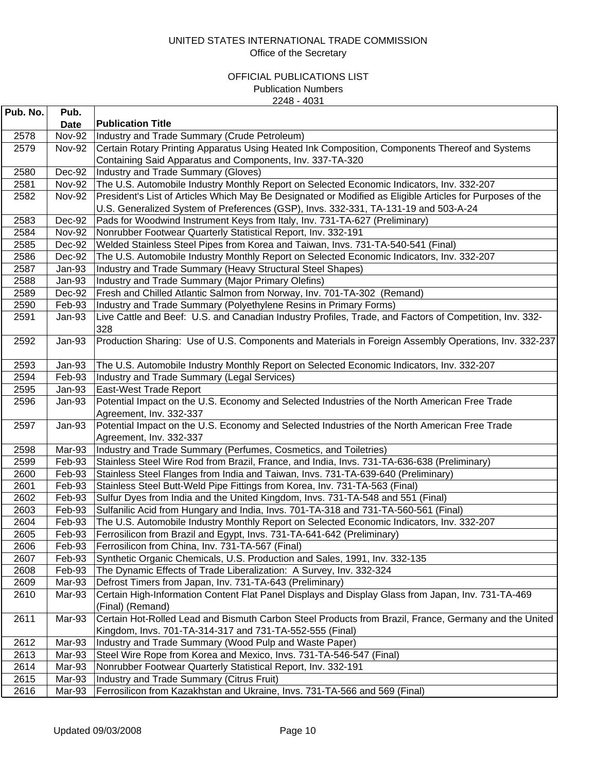| Pub. No. | Pub.          |                                                                                                                |
|----------|---------------|----------------------------------------------------------------------------------------------------------------|
|          | <b>Date</b>   | <b>Publication Title</b>                                                                                       |
| 2578     | <b>Nov-92</b> | Industry and Trade Summary (Crude Petroleum)                                                                   |
| 2579     | <b>Nov-92</b> | Certain Rotary Printing Apparatus Using Heated Ink Composition, Components Thereof and Systems                 |
|          |               | Containing Said Apparatus and Components, Inv. 337-TA-320                                                      |
| 2580     | Dec-92        | Industry and Trade Summary (Gloves)                                                                            |
| 2581     | <b>Nov-92</b> | The U.S. Automobile Industry Monthly Report on Selected Economic Indicators, Inv. 332-207                      |
| 2582     | <b>Nov-92</b> | President's List of Articles Which May Be Designated or Modified as Eligible Articles for Purposes of the      |
|          |               | U.S. Generalized System of Preferences (GSP), Invs. 332-331, TA-131-19 and 503-A-24                            |
| 2583     | Dec-92        | Pads for Woodwind Instrument Keys from Italy, Inv. 731-TA-627 (Preliminary)                                    |
| 2584     | <b>Nov-92</b> | Nonrubber Footwear Quarterly Statistical Report, Inv. 332-191                                                  |
| 2585     | Dec-92        | Welded Stainless Steel Pipes from Korea and Taiwan, Invs. 731-TA-540-541 (Final)                               |
| 2586     | Dec-92        | The U.S. Automobile Industry Monthly Report on Selected Economic Indicators, Inv. 332-207                      |
| 2587     | Jan-93        | Industry and Trade Summary (Heavy Structural Steel Shapes)                                                     |
| 2588     | Jan-93        | Industry and Trade Summary (Major Primary Olefins)                                                             |
| 2589     | Dec-92        | Fresh and Chilled Atlantic Salmon from Norway, Inv. 701-TA-302 (Remand)                                        |
| 2590     | Feb-93        | Industry and Trade Summary (Polyethylene Resins in Primary Forms)                                              |
| 2591     | Jan-93        | Live Cattle and Beef: U.S. and Canadian Industry Profiles, Trade, and Factors of Competition, Inv. 332-<br>328 |
| 2592     | Jan-93        | Production Sharing: Use of U.S. Components and Materials in Foreign Assembly Operations, Inv. 332-237          |
| 2593     | Jan-93        | The U.S. Automobile Industry Monthly Report on Selected Economic Indicators, Inv. 332-207                      |
| 2594     | Feb-93        | Industry and Trade Summary (Legal Services)                                                                    |
| 2595     | Jan-93        | East-West Trade Report                                                                                         |
| 2596     | Jan-93        | Potential Impact on the U.S. Economy and Selected Industries of the North American Free Trade                  |
|          |               | Agreement, Inv. 332-337                                                                                        |
| 2597     | Jan-93        | Potential Impact on the U.S. Economy and Selected Industries of the North American Free Trade                  |
|          |               | Agreement, Inv. 332-337                                                                                        |
| 2598     | Mar-93        | Industry and Trade Summary (Perfumes, Cosmetics, and Toiletries)                                               |
| 2599     | Feb-93        | Stainless Steel Wire Rod from Brazil, France, and India, Invs. 731-TA-636-638 (Preliminary)                    |
| 2600     | Feb-93        | Stainless Steel Flanges from India and Taiwan, Invs. 731-TA-639-640 (Preliminary)                              |
| 2601     | Feb-93        | Stainless Steel Butt-Weld Pipe Fittings from Korea, Inv. 731-TA-563 (Final)                                    |
| 2602     | Feb-93        | Sulfur Dyes from India and the United Kingdom, Invs. 731-TA-548 and 551 (Final)                                |
| 2603     | Feb-93        | Sulfanilic Acid from Hungary and India, Invs. 701-TA-318 and 731-TA-560-561 (Final)                            |
| 2604     | Feb-93        | The U.S. Automobile Industry Monthly Report on Selected Economic Indicators, Inv. 332-207                      |
| 2605     | Feb-93        | Ferrosilicon from Brazil and Egypt, Invs. 731-TA-641-642 (Preliminary)                                         |
| 2606     | Feb-93        | Ferrosilicon from China, Inv. 731-TA-567 (Final)                                                               |
| 2607     | Feb-93        | Synthetic Organic Chemicals, U.S. Production and Sales, 1991, Inv. 332-135                                     |
| 2608     | Feb-93        | The Dynamic Effects of Trade Liberalization: A Survey, Inv. 332-324                                            |
| 2609     | Mar-93        | Defrost Timers from Japan, Inv. 731-TA-643 (Preliminary)                                                       |
| 2610     | Mar-93        | Certain High-Information Content Flat Panel Displays and Display Glass from Japan, Inv. 731-TA-469             |
|          |               | (Final) (Remand)                                                                                               |
| 2611     | Mar-93        | Certain Hot-Rolled Lead and Bismuth Carbon Steel Products from Brazil, France, Germany and the United          |
|          |               | Kingdom, Invs. 701-TA-314-317 and 731-TA-552-555 (Final)                                                       |
| 2612     | Mar-93        | Industry and Trade Summary (Wood Pulp and Waste Paper)                                                         |
| 2613     | Mar-93        | Steel Wire Rope from Korea and Mexico, Invs. 731-TA-546-547 (Final)                                            |
| 2614     | Mar-93        | Nonrubber Footwear Quarterly Statistical Report, Inv. 332-191                                                  |
| 2615     | Mar-93        | Industry and Trade Summary (Citrus Fruit)                                                                      |
| 2616     | Mar-93        | Ferrosilicon from Kazakhstan and Ukraine, Invs. 731-TA-566 and 569 (Final)                                     |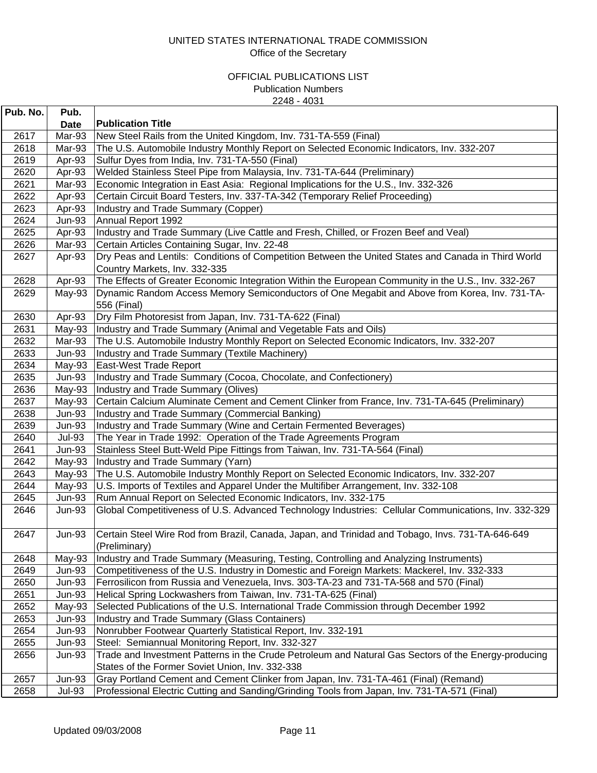| Pub. No. | Pub.          |                                                                                                                   |
|----------|---------------|-------------------------------------------------------------------------------------------------------------------|
|          | <b>Date</b>   | <b>Publication Title</b>                                                                                          |
| 2617     | Mar-93        | New Steel Rails from the United Kingdom, Inv. 731-TA-559 (Final)                                                  |
| 2618     | Mar-93        | The U.S. Automobile Industry Monthly Report on Selected Economic Indicators, Inv. 332-207                         |
| 2619     | Apr-93        | Sulfur Dyes from India, Inv. 731-TA-550 (Final)                                                                   |
| 2620     | Apr-93        | Welded Stainless Steel Pipe from Malaysia, Inv. 731-TA-644 (Preliminary)                                          |
| 2621     | Mar-93        | Economic Integration in East Asia: Regional Implications for the U.S., Inv. 332-326                               |
| 2622     | Apr-93        | Certain Circuit Board Testers, Inv. 337-TA-342 (Temporary Relief Proceeding)                                      |
| 2623     | Apr-93        | Industry and Trade Summary (Copper)                                                                               |
| 2624     | <b>Jun-93</b> | Annual Report 1992                                                                                                |
| 2625     | Apr-93        | Industry and Trade Summary (Live Cattle and Fresh, Chilled, or Frozen Beef and Veal)                              |
| 2626     | Mar-93        | Certain Articles Containing Sugar, Inv. 22-48                                                                     |
| 2627     | Apr-93        | Dry Peas and Lentils: Conditions of Competition Between the United States and Canada in Third World               |
|          |               | Country Markets, Inv. 332-335                                                                                     |
| 2628     | Apr-93        | The Effects of Greater Economic Integration Within the European Community in the U.S., Inv. 332-267               |
| 2629     | $May-93$      | Dynamic Random Access Memory Semiconductors of One Megabit and Above from Korea, Inv. 731-TA-                     |
|          |               | 556 (Final)                                                                                                       |
| 2630     | Apr-93        | Dry Film Photoresist from Japan, Inv. 731-TA-622 (Final)                                                          |
| 2631     | May-93        | Industry and Trade Summary (Animal and Vegetable Fats and Oils)                                                   |
| 2632     | Mar-93        | The U.S. Automobile Industry Monthly Report on Selected Economic Indicators, Inv. 332-207                         |
| 2633     | <b>Jun-93</b> | Industry and Trade Summary (Textile Machinery)                                                                    |
| 2634     | May-93        | East-West Trade Report                                                                                            |
| 2635     | $Jun-93$      | Industry and Trade Summary (Cocoa, Chocolate, and Confectionery)                                                  |
| 2636     | May-93        | Industry and Trade Summary (Olives)                                                                               |
| 2637     | May-93        | Certain Calcium Aluminate Cement and Cement Clinker from France, Inv. 731-TA-645 (Preliminary)                    |
| 2638     | <b>Jun-93</b> | Industry and Trade Summary (Commercial Banking)                                                                   |
| 2639     | <b>Jun-93</b> | Industry and Trade Summary (Wine and Certain Fermented Beverages)                                                 |
| 2640     | <b>Jul-93</b> | The Year in Trade 1992: Operation of the Trade Agreements Program                                                 |
| 2641     | <b>Jun-93</b> | Stainless Steel Butt-Weld Pipe Fittings from Taiwan, Inv. 731-TA-564 (Final)                                      |
| 2642     | May-93        | Industry and Trade Summary (Yarn)                                                                                 |
| 2643     | May-93        | The U.S. Automobile Industry Monthly Report on Selected Economic Indicators, Inv. 332-207                         |
| 2644     | May-93        | U.S. Imports of Textiles and Apparel Under the Multifiber Arrangement, Inv. 332-108                               |
| 2645     | $Jun-93$      | Rum Annual Report on Selected Economic Indicators, Inv. 332-175                                                   |
| 2646     | <b>Jun-93</b> | Global Competitiveness of U.S. Advanced Technology Industries: Cellular Communications, Inv. 332-329              |
| 2647     | <b>Jun-93</b> | Certain Steel Wire Rod from Brazil, Canada, Japan, and Trinidad and Tobago, Invs. 731-TA-646-649<br>(Preliminary) |
| 2648     | May-93        | Industry and Trade Summary (Measuring, Testing, Controlling and Analyzing Instruments)                            |
| 2649     | Jun-93        | Competitiveness of the U.S. Industry in Domestic and Foreign Markets: Mackerel, Inv. 332-333                      |
| 2650     | <b>Jun-93</b> | Ferrosilicon from Russia and Venezuela, Invs. 303-TA-23 and 731-TA-568 and 570 (Final)                            |
| 2651     | <b>Jun-93</b> | Helical Spring Lockwashers from Taiwan, Inv. 731-TA-625 (Final)                                                   |
| 2652     | May-93        | Selected Publications of the U.S. International Trade Commission through December 1992                            |
| 2653     | Jun-93        | Industry and Trade Summary (Glass Containers)                                                                     |
| 2654     | <b>Jun-93</b> | Nonrubber Footwear Quarterly Statistical Report, Inv. 332-191                                                     |
| 2655     | $Jun-93$      | Steel: Semiannual Monitoring Report, Inv. 332-327                                                                 |
| 2656     | <b>Jun-93</b> | Trade and Investment Patterns in the Crude Petroleum and Natural Gas Sectors of the Energy-producing              |
|          |               | States of the Former Soviet Union, Inv. 332-338                                                                   |
| 2657     | <b>Jun-93</b> | Gray Portland Cement and Cement Clinker from Japan, Inv. 731-TA-461 (Final) (Remand)                              |
| 2658     | <b>Jul-93</b> | Professional Electric Cutting and Sanding/Grinding Tools from Japan, Inv. 731-TA-571 (Final)                      |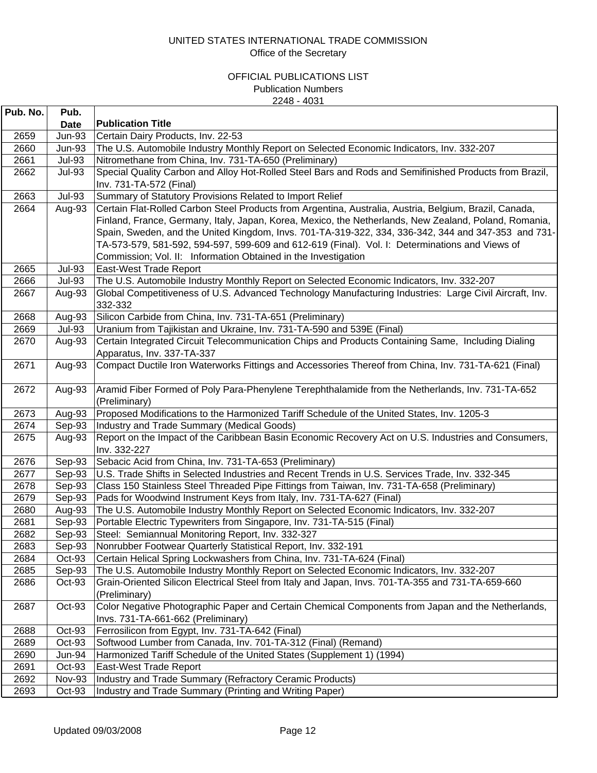| Pub. No. | Pub.          |                                                                                                         |
|----------|---------------|---------------------------------------------------------------------------------------------------------|
|          | Date          | <b>Publication Title</b>                                                                                |
| 2659     | <b>Jun-93</b> | Certain Dairy Products, Inv. 22-53                                                                      |
| 2660     | <b>Jun-93</b> | The U.S. Automobile Industry Monthly Report on Selected Economic Indicators, Inv. 332-207               |
| 2661     | <b>Jul-93</b> | Nitromethane from China, Inv. 731-TA-650 (Preliminary)                                                  |
| 2662     | <b>Jul-93</b> | Special Quality Carbon and Alloy Hot-Rolled Steel Bars and Rods and Semifinished Products from Brazil,  |
|          |               | Inv. 731-TA-572 (Final)                                                                                 |
| 2663     | <b>Jul-93</b> | Summary of Statutory Provisions Related to Import Relief                                                |
| 2664     | Aug-93        | Certain Flat-Rolled Carbon Steel Products from Argentina, Australia, Austria, Belgium, Brazil, Canada,  |
|          |               | Finland, France, Germany, Italy, Japan, Korea, Mexico, the Netherlands, New Zealand, Poland, Romania,   |
|          |               | Spain, Sweden, and the United Kingdom, Invs. 701-TA-319-322, 334, 336-342, 344 and 347-353 and 731-     |
|          |               | TA-573-579, 581-592, 594-597, 599-609 and 612-619 (Final). Vol. I: Determinations and Views of          |
|          |               | Commission; Vol. II: Information Obtained in the Investigation                                          |
| 2665     | <b>Jul-93</b> | East-West Trade Report                                                                                  |
| 2666     | <b>Jul-93</b> | The U.S. Automobile Industry Monthly Report on Selected Economic Indicators, Inv. 332-207               |
| 2667     | Aug-93        | Global Competitiveness of U.S. Advanced Technology Manufacturing Industries: Large Civil Aircraft, Inv. |
|          |               | 332-332                                                                                                 |
| 2668     | Aug-93        | Silicon Carbide from China, Inv. 731-TA-651 (Preliminary)                                               |
| 2669     | <b>Jul-93</b> | Uranium from Tajikistan and Ukraine, Inv. 731-TA-590 and 539E (Final)                                   |
| 2670     | Aug-93        | Certain Integrated Circuit Telecommunication Chips and Products Containing Same, Including Dialing      |
|          |               | Apparatus, Inv. 337-TA-337                                                                              |
| 2671     | Aug-93        | Compact Ductile Iron Waterworks Fittings and Accessories Thereof from China, Inv. 731-TA-621 (Final)    |
| 2672     | Aug-93        | Aramid Fiber Formed of Poly Para-Phenylene Terephthalamide from the Netherlands, Inv. 731-TA-652        |
|          |               | (Preliminary)                                                                                           |
| 2673     | Aug-93        | Proposed Modifications to the Harmonized Tariff Schedule of the United States, Inv. 1205-3              |
| 2674     | Sep-93        | Industry and Trade Summary (Medical Goods)                                                              |
| 2675     | Aug-93        | Report on the Impact of the Caribbean Basin Economic Recovery Act on U.S. Industries and Consumers,     |
|          |               | Inv. 332-227                                                                                            |
| 2676     | Sep-93        | Sebacic Acid from China, Inv. 731-TA-653 (Preliminary)                                                  |
| 2677     | Sep-93        | U.S. Trade Shifts in Selected Industries and Recent Trends in U.S. Services Trade, Inv. 332-345         |
| 2678     | Sep-93        | Class 150 Stainless Steel Threaded Pipe Fittings from Taiwan, Inv. 731-TA-658 (Preliminary)             |
| 2679     | Sep-93        | Pads for Woodwind Instrument Keys from Italy, Inv. 731-TA-627 (Final)                                   |
| 2680     | Aug-93        | The U.S. Automobile Industry Monthly Report on Selected Economic Indicators, Inv. 332-207               |
| 2681     | Sep-93        | Portable Electric Typewriters from Singapore, Inv. 731-TA-515 (Final)                                   |
| 2682     | Sep-93        | Steel: Semiannual Monitoring Report, Inv. 332-327                                                       |
| 2683     | Sep-93        | Nonrubber Footwear Quarterly Statistical Report, Inv. 332-191                                           |
| 2684     | Oct-93        | Certain Helical Spring Lockwashers from China, Inv. 731-TA-624 (Final)                                  |
| 2685     | Sep-93        | The U.S. Automobile Industry Monthly Report on Selected Economic Indicators, Inv. 332-207               |
| 2686     | Oct-93        | Grain-Oriented Silicon Electrical Steel from Italy and Japan, Invs. 701-TA-355 and 731-TA-659-660       |
|          |               | (Preliminary)                                                                                           |
| 2687     | Oct-93        | Color Negative Photographic Paper and Certain Chemical Components from Japan and the Netherlands,       |
|          |               | Invs. 731-TA-661-662 (Preliminary)                                                                      |
| 2688     | Oct-93        | Ferrosilicon from Egypt, Inv. 731-TA-642 (Final)                                                        |
| 2689     | Oct-93        | Softwood Lumber from Canada, Inv. 701-TA-312 (Final) (Remand)                                           |
| 2690     | Jun-94        | Harmonized Tariff Schedule of the United States (Supplement 1) (1994)                                   |
| 2691     | Oct-93        | East-West Trade Report                                                                                  |
| 2692     | Nov-93        | Industry and Trade Summary (Refractory Ceramic Products)                                                |
| 2693     | Oct-93        | Industry and Trade Summary (Printing and Writing Paper)                                                 |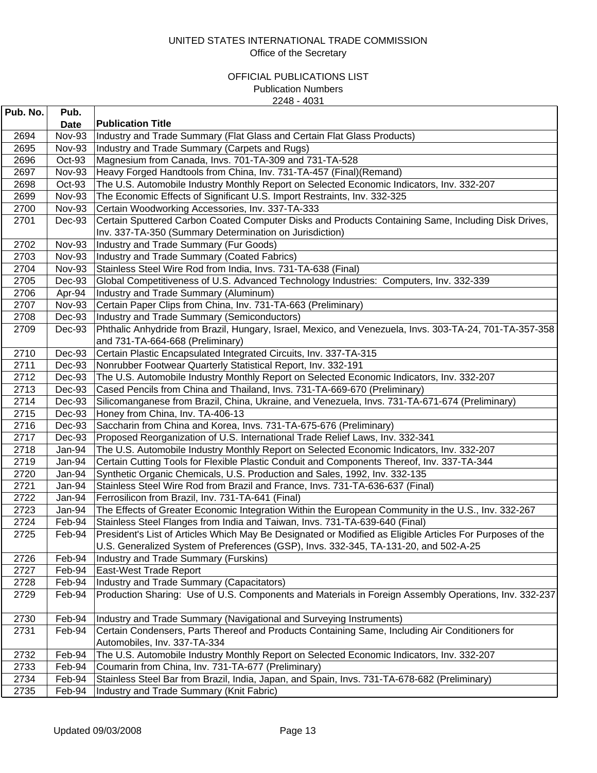| Pub. No. | Pub.          |                                                                                                                                                                                                   |
|----------|---------------|---------------------------------------------------------------------------------------------------------------------------------------------------------------------------------------------------|
|          | <b>Date</b>   | <b>Publication Title</b>                                                                                                                                                                          |
| 2694     | Nov-93        | Industry and Trade Summary (Flat Glass and Certain Flat Glass Products)                                                                                                                           |
| 2695     | Nov-93        | Industry and Trade Summary (Carpets and Rugs)                                                                                                                                                     |
| 2696     | Oct-93        | Magnesium from Canada, Invs. 701-TA-309 and 731-TA-528                                                                                                                                            |
| 2697     | <b>Nov-93</b> | Heavy Forged Handtools from China, Inv. 731-TA-457 (Final) (Remand)                                                                                                                               |
| 2698     | Oct-93        | The U.S. Automobile Industry Monthly Report on Selected Economic Indicators, Inv. 332-207                                                                                                         |
| 2699     | <b>Nov-93</b> | The Economic Effects of Significant U.S. Import Restraints, Inv. 332-325                                                                                                                          |
| 2700     | <b>Nov-93</b> | Certain Woodworking Accessories, Inv. 337-TA-333                                                                                                                                                  |
| 2701     | Dec-93        | Certain Sputtered Carbon Coated Computer Disks and Products Containing Same, Including Disk Drives,                                                                                               |
|          |               | Inv. 337-TA-350 (Summary Determination on Jurisdiction)                                                                                                                                           |
| 2702     | Nov-93        | Industry and Trade Summary (Fur Goods)                                                                                                                                                            |
| 2703     | <b>Nov-93</b> | Industry and Trade Summary (Coated Fabrics)                                                                                                                                                       |
| 2704     | <b>Nov-93</b> | Stainless Steel Wire Rod from India, Invs. 731-TA-638 (Final)                                                                                                                                     |
| 2705     | Dec-93        | Global Competitiveness of U.S. Advanced Technology Industries: Computers, Inv. 332-339                                                                                                            |
| 2706     | Apr-94        | Industry and Trade Summary (Aluminum)                                                                                                                                                             |
| 2707     | <b>Nov-93</b> | Certain Paper Clips from China, Inv. 731-TA-663 (Preliminary)                                                                                                                                     |
| 2708     | Dec-93        | Industry and Trade Summary (Semiconductors)                                                                                                                                                       |
| 2709     | Dec-93        | Phthalic Anhydride from Brazil, Hungary, Israel, Mexico, and Venezuela, Invs. 303-TA-24, 701-TA-357-358                                                                                           |
|          |               | and 731-TA-664-668 (Preliminary)                                                                                                                                                                  |
| 2710     | Dec-93        | Certain Plastic Encapsulated Integrated Circuits, Inv. 337-TA-315                                                                                                                                 |
| 2711     | Dec-93        | Nonrubber Footwear Quarterly Statistical Report, Inv. 332-191                                                                                                                                     |
| 2712     | Dec-93        | The U.S. Automobile Industry Monthly Report on Selected Economic Indicators, Inv. 332-207                                                                                                         |
| 2713     | Dec-93        | Cased Pencils from China and Thailand, Invs. 731-TA-669-670 (Preliminary)                                                                                                                         |
| 2714     | Dec-93        | Silicomanganese from Brazil, China, Ukraine, and Venezuela, Invs. 731-TA-671-674 (Preliminary)                                                                                                    |
| 2715     | Dec-93        | Honey from China, Inv. TA-406-13                                                                                                                                                                  |
| 2716     | Dec-93        | Saccharin from China and Korea, Invs. 731-TA-675-676 (Preliminary)                                                                                                                                |
| 2717     | Dec-93        | Proposed Reorganization of U.S. International Trade Relief Laws, Inv. 332-341                                                                                                                     |
| 2718     | Jan-94        | The U.S. Automobile Industry Monthly Report on Selected Economic Indicators, Inv. 332-207                                                                                                         |
| 2719     | Jan-94        | Certain Cutting Tools for Flexible Plastic Conduit and Components Thereof, Inv. 337-TA-344                                                                                                        |
| 2720     | Jan-94        | Synthetic Organic Chemicals, U.S. Production and Sales, 1992, Inv. 332-135                                                                                                                        |
| 2721     | Jan-94        | Stainless Steel Wire Rod from Brazil and France, Invs. 731-TA-636-637 (Final)                                                                                                                     |
| 2722     | Jan-94        | Ferrosilicon from Brazil, Inv. 731-TA-641 (Final)                                                                                                                                                 |
| 2723     | Jan-94        | The Effects of Greater Economic Integration Within the European Community in the U.S., Inv. 332-267                                                                                               |
| 2724     | Feb-94        | Stainless Steel Flanges from India and Taiwan, Invs. 731-TA-639-640 (Final)                                                                                                                       |
| 2725     | Feb-94        | President's List of Articles Which May Be Designated or Modified as Eligible Articles For Purposes of the<br>U.S. Generalized System of Preferences (GSP), Invs. 332-345, TA-131-20, and 502-A-25 |
| 2726     | Feb-94        | Industry and Trade Summary (Furskins)                                                                                                                                                             |
| 2727     | Feb-94        | East-West Trade Report                                                                                                                                                                            |
| 2728     | Feb-94        | Industry and Trade Summary (Capacitators)                                                                                                                                                         |
| 2729     | Feb-94        | Production Sharing: Use of U.S. Components and Materials in Foreign Assembly Operations, Inv. 332-237                                                                                             |
|          |               |                                                                                                                                                                                                   |
| 2730     | Feb-94        | Industry and Trade Summary (Navigational and Surveying Instruments)                                                                                                                               |
| 2731     | Feb-94        | Certain Condensers, Parts Thereof and Products Containing Same, Including Air Conditioners for                                                                                                    |
|          |               | Automobiles, Inv. 337-TA-334                                                                                                                                                                      |
| 2732     | Feb-94        | The U.S. Automobile Industry Monthly Report on Selected Economic Indicators, Inv. 332-207                                                                                                         |
| 2733     | Feb-94        | Coumarin from China, Inv. 731-TA-677 (Preliminary)                                                                                                                                                |
| 2734     | Feb-94        | Stainless Steel Bar from Brazil, India, Japan, and Spain, Invs. 731-TA-678-682 (Preliminary)                                                                                                      |
| 2735     | Feb-94        | Industry and Trade Summary (Knit Fabric)                                                                                                                                                          |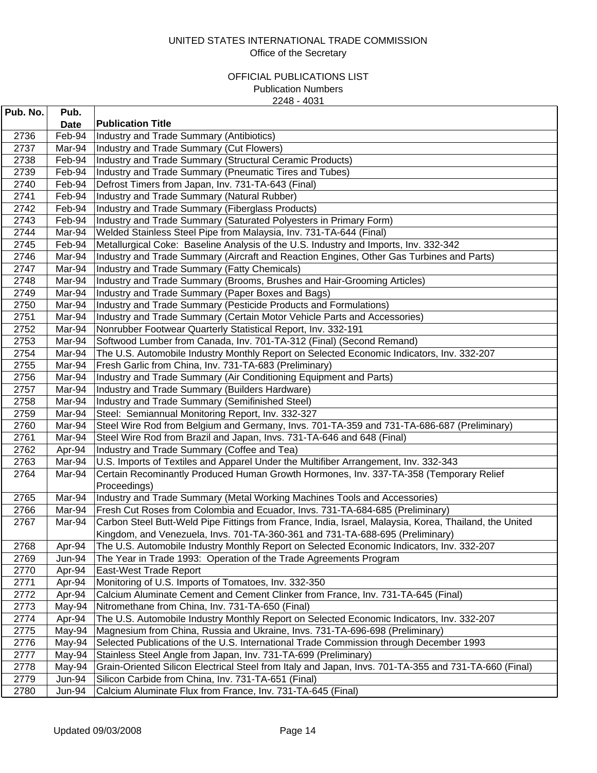| Pub. No. | Pub.        |                                                                                                        |
|----------|-------------|--------------------------------------------------------------------------------------------------------|
|          | <b>Date</b> | <b>Publication Title</b>                                                                               |
| 2736     | Feb-94      | Industry and Trade Summary (Antibiotics)                                                               |
| 2737     | Mar-94      | Industry and Trade Summary (Cut Flowers)                                                               |
| 2738     | Feb-94      | Industry and Trade Summary (Structural Ceramic Products)                                               |
| 2739     | Feb-94      | Industry and Trade Summary (Pneumatic Tires and Tubes)                                                 |
| 2740     | Feb-94      | Defrost Timers from Japan, Inv. 731-TA-643 (Final)                                                     |
| 2741     | Feb-94      | Industry and Trade Summary (Natural Rubber)                                                            |
| 2742     | Feb-94      | Industry and Trade Summary (Fiberglass Products)                                                       |
| 2743     | Feb-94      | Industry and Trade Summary (Saturated Polyesters in Primary Form)                                      |
| 2744     | Mar-94      | Welded Stainless Steel Pipe from Malaysia, Inv. 731-TA-644 (Final)                                     |
| 2745     | Feb-94      | Metallurgical Coke: Baseline Analysis of the U.S. Industry and Imports, Inv. 332-342                   |
| 2746     | Mar-94      | Industry and Trade Summary (Aircraft and Reaction Engines, Other Gas Turbines and Parts)               |
| 2747     | Mar-94      | Industry and Trade Summary (Fatty Chemicals)                                                           |
| 2748     | Mar-94      | Industry and Trade Summary (Brooms, Brushes and Hair-Grooming Articles)                                |
| 2749     | Mar-94      | Industry and Trade Summary (Paper Boxes and Bags)                                                      |
| 2750     | Mar-94      | Industry and Trade Summary (Pesticide Products and Formulations)                                       |
| 2751     | Mar-94      | Industry and Trade Summary (Certain Motor Vehicle Parts and Accessories)                               |
| 2752     | Mar-94      | Nonrubber Footwear Quarterly Statistical Report, Inv. 332-191                                          |
| 2753     | Mar-94      | Softwood Lumber from Canada, Inv. 701-TA-312 (Final) (Second Remand)                                   |
| 2754     | Mar-94      | The U.S. Automobile Industry Monthly Report on Selected Economic Indicators, Inv. 332-207              |
| 2755     | Mar-94      | Fresh Garlic from China, Inv. 731-TA-683 (Preliminary)                                                 |
| 2756     | Mar-94      | Industry and Trade Summary (Air Conditioning Equipment and Parts)                                      |
| 2757     | Mar-94      | Industry and Trade Summary (Builders Hardware)                                                         |
| 2758     | Mar-94      | Industry and Trade Summary (Semifinished Steel)                                                        |
| 2759     | Mar-94      | Steel: Semiannual Monitoring Report, Inv. 332-327                                                      |
| 2760     | Mar-94      | Steel Wire Rod from Belgium and Germany, Invs. 701-TA-359 and 731-TA-686-687 (Preliminary)             |
| 2761     | Mar-94      | Steel Wire Rod from Brazil and Japan, Invs. 731-TA-646 and 648 (Final)                                 |
| 2762     | Apr-94      | Industry and Trade Summary (Coffee and Tea)                                                            |
| 2763     | Mar-94      | U.S. Imports of Textiles and Apparel Under the Multifiber Arrangement, Inv. 332-343                    |
| 2764     | Mar-94      | Certain Recominantly Produced Human Growth Hormones, Inv. 337-TA-358 (Temporary Relief                 |
|          |             | Proceedings)                                                                                           |
| 2765     | Mar-94      | Industry and Trade Summary (Metal Working Machines Tools and Accessories)                              |
| 2766     | Mar-94      | Fresh Cut Roses from Colombia and Ecuador, Invs. 731-TA-684-685 (Preliminary)                          |
| 2767     | Mar-94      | Carbon Steel Butt-Weld Pipe Fittings from France, India, Israel, Malaysia, Korea, Thailand, the United |
|          |             | Kingdom, and Venezuela, Invs. 701-TA-360-361 and 731-TA-688-695 (Preliminary)                          |
| 2768     | Apr-94      | The U.S. Automobile Industry Monthly Report on Selected Economic Indicators, Inv. 332-207              |
| 2769     | Jun-94      | The Year in Trade 1993: Operation of the Trade Agreements Program                                      |
| 2770     | Apr-94      | <b>East-West Trade Report</b>                                                                          |
| 2771     | Apr-94      | Monitoring of U.S. Imports of Tomatoes, Inv. 332-350                                                   |
| 2772     | Apr-94      | Calcium Aluminate Cement and Cement Clinker from France, Inv. 731-TA-645 (Final)                       |
| 2773     | May-94      | Nitromethane from China, Inv. 731-TA-650 (Final)                                                       |
| 2774     | Apr-94      | The U.S. Automobile Industry Monthly Report on Selected Economic Indicators, Inv. 332-207              |
| 2775     | May-94      | Magnesium from China, Russia and Ukraine, Invs. 731-TA-696-698 (Preliminary)                           |
| 2776     | May-94      | Selected Publications of the U.S. International Trade Commission through December 1993                 |
| 2777     | May-94      | Stainless Steel Angle from Japan, Inv. 731-TA-699 (Preliminary)                                        |
| 2778     | May-94      | Grain-Oriented Silicon Electrical Steel from Italy and Japan, Invs. 701-TA-355 and 731-TA-660 (Final)  |
| 2779     | Jun-94      | Silicon Carbide from China, Inv. 731-TA-651 (Final)                                                    |
| 2780     | Jun-94      | Calcium Aluminate Flux from France, Inv. 731-TA-645 (Final)                                            |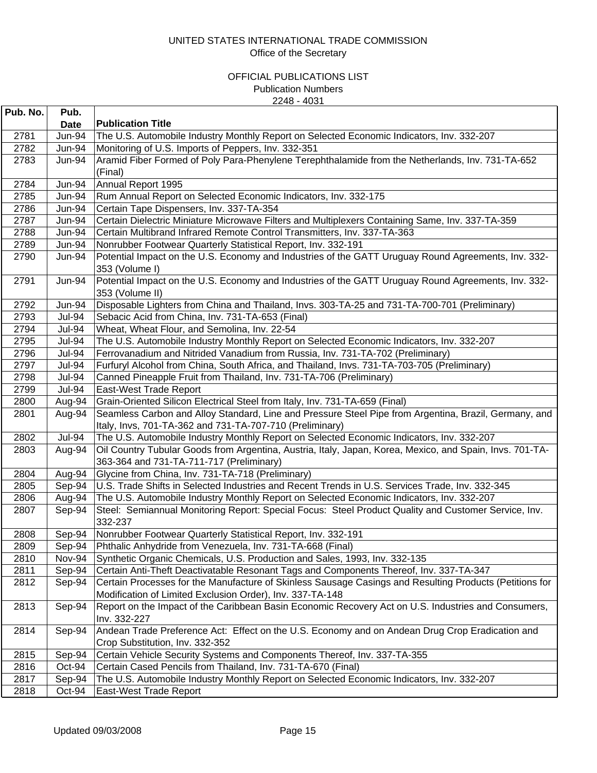| Pub. No.     | Pub.          |                                                                                                                                                       |
|--------------|---------------|-------------------------------------------------------------------------------------------------------------------------------------------------------|
|              | Date          | <b>Publication Title</b>                                                                                                                              |
| 2781         | <b>Jun-94</b> | The U.S. Automobile Industry Monthly Report on Selected Economic Indicators, Inv. 332-207                                                             |
| 2782         | <b>Jun-94</b> | Monitoring of U.S. Imports of Peppers, Inv. 332-351                                                                                                   |
| 2783         | Jun-94        | Aramid Fiber Formed of Poly Para-Phenylene Terephthalamide from the Netherlands, Inv. 731-TA-652                                                      |
|              |               | (Final)                                                                                                                                               |
| 2784         | Jun-94        | Annual Report 1995                                                                                                                                    |
| 2785         | Jun-94        | Rum Annual Report on Selected Economic Indicators, Inv. 332-175                                                                                       |
| 2786         | Jun-94        | Certain Tape Dispensers, Inv. 337-TA-354                                                                                                              |
| 2787         | Jun-94        | Certain Dielectric Miniature Microwave Filters and Multiplexers Containing Same, Inv. 337-TA-359                                                      |
| 2788         | <b>Jun-94</b> | Certain Multibrand Infrared Remote Control Transmitters, Inv. 337-TA-363                                                                              |
| 2789         | <b>Jun-94</b> | Nonrubber Footwear Quarterly Statistical Report, Inv. 332-191                                                                                         |
| 2790         | Jun-94        | Potential Impact on the U.S. Economy and Industries of the GATT Uruguay Round Agreements, Inv. 332-                                                   |
|              |               | 353 (Volume I)                                                                                                                                        |
| 2791         | <b>Jun-94</b> | Potential Impact on the U.S. Economy and Industries of the GATT Uruguay Round Agreements, Inv. 332-                                                   |
|              |               | 353 (Volume II)                                                                                                                                       |
| 2792         | Jun-94        | Disposable Lighters from China and Thailand, Invs. 303-TA-25 and 731-TA-700-701 (Preliminary)                                                         |
| 2793         | <b>Jul-94</b> | Sebacic Acid from China, Inv. 731-TA-653 (Final)                                                                                                      |
| 2794         | <b>Jul-94</b> | Wheat, Wheat Flour, and Semolina, Inv. 22-54                                                                                                          |
| 2795         | <b>Jul-94</b> | The U.S. Automobile Industry Monthly Report on Selected Economic Indicators, Inv. 332-207                                                             |
| 2796         | <b>Jul-94</b> | Ferrovanadium and Nitrided Vanadium from Russia, Inv. 731-TA-702 (Preliminary)                                                                        |
| 2797         | <b>Jul-94</b> | Furfuryl Alcohol from China, South Africa, and Thailand, Invs. 731-TA-703-705 (Preliminary)                                                           |
| 2798         | <b>Jul-94</b> | Canned Pineapple Fruit from Thailand, Inv. 731-TA-706 (Preliminary)                                                                                   |
| 2799         | <b>Jul-94</b> | East-West Trade Report                                                                                                                                |
| 2800         | Aug-94        | Grain-Oriented Silicon Electrical Steel from Italy, Inv. 731-TA-659 (Final)                                                                           |
| 2801         | Aug-94        | Seamless Carbon and Alloy Standard, Line and Pressure Steel Pipe from Argentina, Brazil, Germany, and                                                 |
|              | <b>Jul-94</b> | Italy, Invs, 701-TA-362 and 731-TA-707-710 (Preliminary)<br>The U.S. Automobile Industry Monthly Report on Selected Economic Indicators, Inv. 332-207 |
| 2802<br>2803 | Aug-94        | Oil Country Tubular Goods from Argentina, Austria, Italy, Japan, Korea, Mexico, and Spain, Invs. 701-TA-                                              |
|              |               | 363-364 and 731-TA-711-717 (Preliminary)                                                                                                              |
| 2804         | Aug-94        | Glycine from China, Inv. 731-TA-718 (Preliminary)                                                                                                     |
| 2805         | Sep-94        | U.S. Trade Shifts in Selected Industries and Recent Trends in U.S. Services Trade, Inv. 332-345                                                       |
| 2806         | Aug-94        | The U.S. Automobile Industry Monthly Report on Selected Economic Indicators, Inv. 332-207                                                             |
| 2807         | Sep-94        | Steel: Semiannual Monitoring Report: Special Focus: Steel Product Quality and Customer Service, Inv.                                                  |
|              |               | 332-237                                                                                                                                               |
| 2808         | Sep-94        | Nonrubber Footwear Quarterly Statistical Report, Inv. 332-191                                                                                         |
| 2809         | Sep-94        | Phthalic Anhydride from Venezuela, Inv. 731-TA-668 (Final)                                                                                            |
| 2810         | Nov-94        | Synthetic Organic Chemicals, U.S. Production and Sales, 1993, Inv. 332-135                                                                            |
| 2811         | Sep-94        | Certain Anti-Theft Deactivatable Resonant Tags and Components Thereof, Inv. 337-TA-347                                                                |
| 2812         | Sep-94        | Certain Processes for the Manufacture of Skinless Sausage Casings and Resulting Products (Petitions for                                               |
|              |               | Modification of Limited Exclusion Order), Inv. 337-TA-148                                                                                             |
| 2813         | Sep-94        | Report on the Impact of the Caribbean Basin Economic Recovery Act on U.S. Industries and Consumers,                                                   |
|              |               | Inv. 332-227                                                                                                                                          |
| 2814         | Sep-94        | Andean Trade Preference Act: Effect on the U.S. Economy and on Andean Drug Crop Eradication and                                                       |
|              |               | Crop Substitution, Inv. 332-352                                                                                                                       |
| 2815         | Sep-94        | Certain Vehicle Security Systems and Components Thereof, Inv. 337-TA-355                                                                              |
| 2816         | Oct-94        | Certain Cased Pencils from Thailand, Inv. 731-TA-670 (Final)                                                                                          |
| 2817         | Sep-94        | The U.S. Automobile Industry Monthly Report on Selected Economic Indicators, Inv. 332-207                                                             |
| 2818         | Oct-94        | East-West Trade Report                                                                                                                                |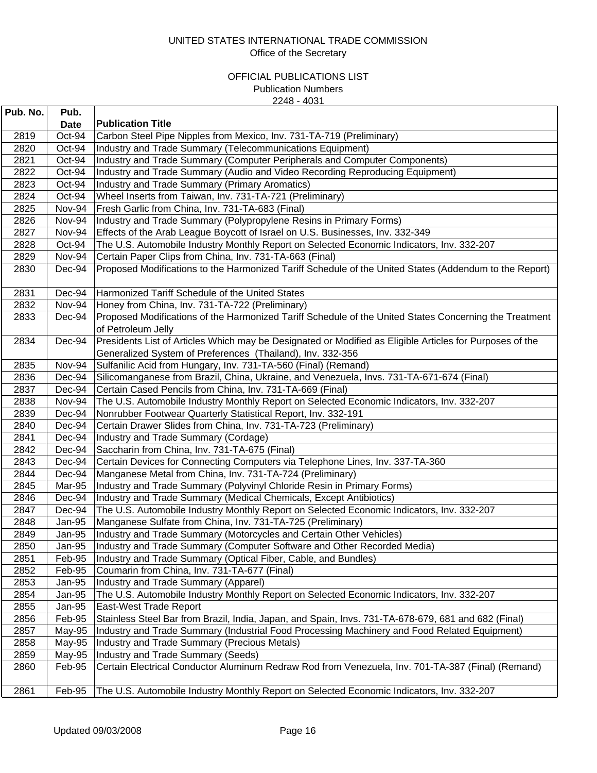| Pub. No. | Pub.   |                                                                                                                              |
|----------|--------|------------------------------------------------------------------------------------------------------------------------------|
|          | Date   | <b>Publication Title</b>                                                                                                     |
| 2819     | Oct-94 | Carbon Steel Pipe Nipples from Mexico, Inv. 731-TA-719 (Preliminary)                                                         |
| 2820     | Oct-94 | Industry and Trade Summary (Telecommunications Equipment)                                                                    |
| 2821     | Oct-94 | Industry and Trade Summary (Computer Peripherals and Computer Components)                                                    |
| 2822     | Oct-94 | Industry and Trade Summary (Audio and Video Recording Reproducing Equipment)                                                 |
| 2823     | Oct-94 | Industry and Trade Summary (Primary Aromatics)                                                                               |
| 2824     | Oct-94 | Wheel Inserts from Taiwan, Inv. 731-TA-721 (Preliminary)                                                                     |
| 2825     | Nov-94 | Fresh Garlic from China, Inv. 731-TA-683 (Final)                                                                             |
| 2826     | Nov-94 | Industry and Trade Summary (Polypropylene Resins in Primary Forms)                                                           |
| 2827     | Nov-94 | Effects of the Arab League Boycott of Israel on U.S. Businesses, Inv. 332-349                                                |
| 2828     | Oct-94 | The U.S. Automobile Industry Monthly Report on Selected Economic Indicators, Inv. 332-207                                    |
| 2829     | Nov-94 | Certain Paper Clips from China, Inv. 731-TA-663 (Final)                                                                      |
| 2830     | Dec-94 | Proposed Modifications to the Harmonized Tariff Schedule of the United States (Addendum to the Report)                       |
| 2831     | Dec-94 | Harmonized Tariff Schedule of the United States                                                                              |
| 2832     | Nov-94 | Honey from China, Inv. 731-TA-722 (Preliminary)                                                                              |
| 2833     | Dec-94 | Proposed Modifications of the Harmonized Tariff Schedule of the United States Concerning the Treatment<br>of Petroleum Jelly |
| 2834     | Dec-94 | Presidents List of Articles Which may be Designated or Modified as Eligible Articles for Purposes of the                     |
|          |        | Generalized System of Preferences (Thailand), Inv. 332-356                                                                   |
| 2835     | Nov-94 | Sulfanilic Acid from Hungary, Inv. 731-TA-560 (Final) (Remand)                                                               |
| 2836     | Dec-94 | Silicomanganese from Brazil, China, Ukraine, and Venezuela, Invs. 731-TA-671-674 (Final)                                     |
| 2837     | Dec-94 | Certain Cased Pencils from China, Inv. 731-TA-669 (Final)                                                                    |
| 2838     | Nov-94 | The U.S. Automobile Industry Monthly Report on Selected Economic Indicators, Inv. 332-207                                    |
| 2839     | Dec-94 | Nonrubber Footwear Quarterly Statistical Report, Inv. 332-191                                                                |
| 2840     | Dec-94 | Certain Drawer Slides from China, Inv. 731-TA-723 (Preliminary)                                                              |
| 2841     | Dec-94 | Industry and Trade Summary (Cordage)                                                                                         |
| 2842     | Dec-94 | Saccharin from China, Inv. 731-TA-675 (Final)                                                                                |
| 2843     | Dec-94 | Certain Devices for Connecting Computers via Telephone Lines, Inv. 337-TA-360                                                |
| 2844     | Dec-94 | Manganese Metal from China, Inv. 731-TA-724 (Preliminary)                                                                    |
| 2845     | Mar-95 | Industry and Trade Summary (Polyvinyl Chloride Resin in Primary Forms)                                                       |
| 2846     | Dec-94 | Industry and Trade Summary (Medical Chemicals, Except Antibiotics)                                                           |
| 2847     | Dec-94 | The U.S. Automobile Industry Monthly Report on Selected Economic Indicators, Inv. 332-207                                    |
| 2848     | Jan-95 | Manganese Sulfate from China, Inv. 731-TA-725 (Preliminary)                                                                  |
| 2849     | Jan-95 | Industry and Trade Summary (Motorcycles and Certain Other Vehicles)                                                          |
| 2850     | Jan-95 | Industry and Trade Summary (Computer Software and Other Recorded Media)                                                      |
| 2851     | Feb-95 | Industry and Trade Summary (Optical Fiber, Cable, and Bundles)                                                               |
| 2852     | Feb-95 | Coumarin from China, Inv. 731-TA-677 (Final)                                                                                 |
| 2853     | Jan-95 | Industry and Trade Summary (Apparel)                                                                                         |
| 2854     | Jan-95 | The U.S. Automobile Industry Monthly Report on Selected Economic Indicators, Inv. 332-207                                    |
| 2855     | Jan-95 | East-West Trade Report                                                                                                       |
| 2856     | Feb-95 | Stainless Steel Bar from Brazil, India, Japan, and Spain, Invs. 731-TA-678-679, 681 and 682 (Final)                          |
| 2857     | May-95 | Industry and Trade Summary (Industrial Food Processing Machinery and Food Related Equipment)                                 |
| 2858     | May-95 | Industry and Trade Summary (Precious Metals)                                                                                 |
| 2859     | May-95 | Industry and Trade Summary (Seeds)                                                                                           |
| 2860     | Feb-95 | Certain Electrical Conductor Aluminum Redraw Rod from Venezuela, Inv. 701-TA-387 (Final) (Remand)                            |
| 2861     | Feb-95 | The U.S. Automobile Industry Monthly Report on Selected Economic Indicators, Inv. 332-207                                    |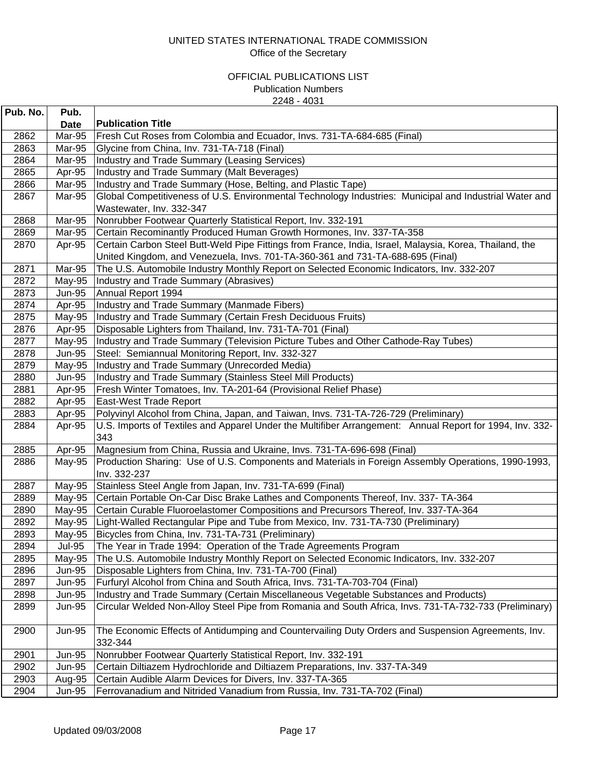| Pub. No. | Pub.          |                                                                                                          |
|----------|---------------|----------------------------------------------------------------------------------------------------------|
|          | Date          | <b>Publication Title</b>                                                                                 |
| 2862     | Mar-95        | Fresh Cut Roses from Colombia and Ecuador, Invs. 731-TA-684-685 (Final)                                  |
| 2863     | Mar-95        | Glycine from China, Inv. 731-TA-718 (Final)                                                              |
| 2864     | Mar-95        | Industry and Trade Summary (Leasing Services)                                                            |
| 2865     | Apr-95        | Industry and Trade Summary (Malt Beverages)                                                              |
| 2866     | Mar-95        | Industry and Trade Summary (Hose, Belting, and Plastic Tape)                                             |
| 2867     | Mar-95        | Global Competitiveness of U.S. Environmental Technology Industries: Municipal and Industrial Water and   |
|          |               | Wastewater, Inv. 332-347                                                                                 |
| 2868     | Mar-95        | Nonrubber Footwear Quarterly Statistical Report, Inv. 332-191                                            |
| 2869     | Mar-95        | Certain Recominantly Produced Human Growth Hormones, Inv. 337-TA-358                                     |
| 2870     | Apr-95        | Certain Carbon Steel Butt-Weld Pipe Fittings from France, India, Israel, Malaysia, Korea, Thailand, the  |
|          |               | United Kingdom, and Venezuela, Invs. 701-TA-360-361 and 731-TA-688-695 (Final)                           |
| 2871     | Mar-95        | The U.S. Automobile Industry Monthly Report on Selected Economic Indicators, Inv. 332-207                |
| 2872     | May-95        | Industry and Trade Summary (Abrasives)                                                                   |
| 2873     | <b>Jun-95</b> | Annual Report 1994                                                                                       |
| 2874     | Apr-95        | Industry and Trade Summary (Manmade Fibers)                                                              |
| 2875     | May-95        | Industry and Trade Summary (Certain Fresh Deciduous Fruits)                                              |
| 2876     | Apr-95        | Disposable Lighters from Thailand, Inv. 731-TA-701 (Final)                                               |
| 2877     | May-95        | Industry and Trade Summary (Television Picture Tubes and Other Cathode-Ray Tubes)                        |
| 2878     | <b>Jun-95</b> | Steel: Semiannual Monitoring Report, Inv. 332-327                                                        |
| 2879     | May-95        | Industry and Trade Summary (Unrecorded Media)                                                            |
| 2880     | <b>Jun-95</b> | Industry and Trade Summary (Stainless Steel Mill Products)                                               |
| 2881     | Apr-95        | Fresh Winter Tomatoes, Inv. TA-201-64 (Provisional Relief Phase)                                         |
| 2882     | Apr-95        | East-West Trade Report                                                                                   |
| 2883     | Apr-95        | Polyvinyl Alcohol from China, Japan, and Taiwan, Invs. 731-TA-726-729 (Preliminary)                      |
| 2884     | Apr-95        | U.S. Imports of Textiles and Apparel Under the Multifiber Arrangement: Annual Report for 1994, Inv. 332- |
|          |               | 343                                                                                                      |
| 2885     | Apr-95        | Magnesium from China, Russia and Ukraine, Invs. 731-TA-696-698 (Final)                                   |
| 2886     | May-95        | Production Sharing: Use of U.S. Components and Materials in Foreign Assembly Operations, 1990-1993,      |
|          |               | Inv. 332-237                                                                                             |
| 2887     | May-95        | Stainless Steel Angle from Japan, Inv. 731-TA-699 (Final)                                                |
| 2889     | May-95        | Certain Portable On-Car Disc Brake Lathes and Components Thereof, Inv. 337- TA-364                       |
| 2890     | May-95        | Certain Curable Fluoroelastomer Compositions and Precursors Thereof, Inv. 337-TA-364                     |
| 2892     | May-95        | Light-Walled Rectangular Pipe and Tube from Mexico, Inv. 731-TA-730 (Preliminary)                        |
| 2893     | May-95        | Bicycles from China, Inv. 731-TA-731 (Preliminary)                                                       |
| 2894     | <b>Jul-95</b> | The Year in Trade 1994: Operation of the Trade Agreements Program                                        |
| 2895     | May-95        | The U.S. Automobile Industry Monthly Report on Selected Economic Indicators, Inv. 332-207                |
| 2896     | <b>Jun-95</b> | Disposable Lighters from China, Inv. 731-TA-700 (Final)                                                  |
| 2897     | Jun-95        | Furfuryl Alcohol from China and South Africa, Invs. 731-TA-703-704 (Final)                               |
| 2898     | <b>Jun-95</b> | Industry and Trade Summary (Certain Miscellaneous Vegetable Substances and Products)                     |
| 2899     | <b>Jun-95</b> | Circular Welded Non-Alloy Steel Pipe from Romania and South Africa, Invs. 731-TA-732-733 (Preliminary)   |
|          |               |                                                                                                          |
| 2900     | <b>Jun-95</b> | The Economic Effects of Antidumping and Countervailing Duty Orders and Suspension Agreements, Inv.       |
|          |               | 332-344                                                                                                  |
| 2901     | <b>Jun-95</b> | Nonrubber Footwear Quarterly Statistical Report, Inv. 332-191                                            |
| 2902     | <b>Jun-95</b> | Certain Diltiazem Hydrochloride and Diltiazem Preparations, Inv. 337-TA-349                              |
| 2903     | Aug-95        | Certain Audible Alarm Devices for Divers, Inv. 337-TA-365                                                |
| 2904     | <b>Jun-95</b> | Ferrovanadium and Nitrided Vanadium from Russia, Inv. 731-TA-702 (Final)                                 |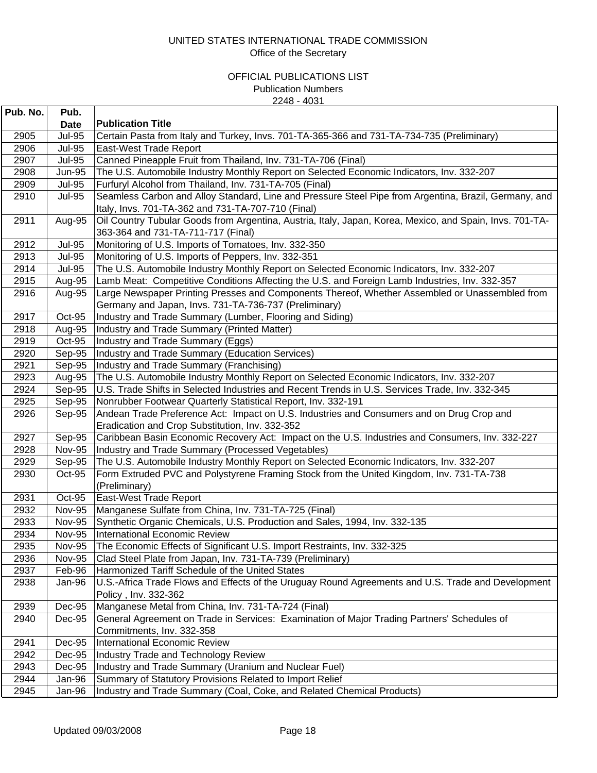| Pub. No. | Pub.          |                                                                                                                                                             |
|----------|---------------|-------------------------------------------------------------------------------------------------------------------------------------------------------------|
|          | <b>Date</b>   | <b>Publication Title</b>                                                                                                                                    |
| 2905     | <b>Jul-95</b> | Certain Pasta from Italy and Turkey, Invs. 701-TA-365-366 and 731-TA-734-735 (Preliminary)                                                                  |
| 2906     | <b>Jul-95</b> | East-West Trade Report                                                                                                                                      |
| 2907     | <b>Jul-95</b> | Canned Pineapple Fruit from Thailand, Inv. 731-TA-706 (Final)                                                                                               |
| 2908     | <b>Jun-95</b> | The U.S. Automobile Industry Monthly Report on Selected Economic Indicators, Inv. 332-207                                                                   |
| 2909     | <b>Jul-95</b> | Furfuryl Alcohol from Thailand, Inv. 731-TA-705 (Final)                                                                                                     |
| 2910     | <b>Jul-95</b> | Seamless Carbon and Alloy Standard, Line and Pressure Steel Pipe from Argentina, Brazil, Germany, and<br>Italy, Invs. 701-TA-362 and 731-TA-707-710 (Final) |
| 2911     | Aug-95        | Oil Country Tubular Goods from Argentina, Austria, Italy, Japan, Korea, Mexico, and Spain, Invs. 701-TA-<br>363-364 and 731-TA-711-717 (Final)              |
| 2912     | <b>Jul-95</b> | Monitoring of U.S. Imports of Tomatoes, Inv. 332-350                                                                                                        |
| 2913     | <b>Jul-95</b> | Monitoring of U.S. Imports of Peppers, Inv. 332-351                                                                                                         |
| 2914     | <b>Jul-95</b> | The U.S. Automobile Industry Monthly Report on Selected Economic Indicators, Inv. 332-207                                                                   |
| 2915     | Aug-95        | Lamb Meat: Competitive Conditions Affecting the U.S. and Foreign Lamb Industries, Inv. 332-357                                                              |
| 2916     | Aug-95        | Large Newspaper Printing Presses and Components Thereof, Whether Assembled or Unassembled from<br>Germany and Japan, Invs. 731-TA-736-737 (Preliminary)     |
| 2917     | Oct-95        | Industry and Trade Summary (Lumber, Flooring and Siding)                                                                                                    |
| 2918     | Aug-95        | Industry and Trade Summary (Printed Matter)                                                                                                                 |
| 2919     | Oct-95        | Industry and Trade Summary (Eggs)                                                                                                                           |
| 2920     | Sep-95        | Industry and Trade Summary (Education Services)                                                                                                             |
| 2921     | Sep-95        | Industry and Trade Summary (Franchising)                                                                                                                    |
| 2923     | Aug-95        | The U.S. Automobile Industry Monthly Report on Selected Economic Indicators, Inv. 332-207                                                                   |
| 2924     | Sep-95        | U.S. Trade Shifts in Selected Industries and Recent Trends in U.S. Services Trade, Inv. 332-345                                                             |
| 2925     | Sep-95        | Nonrubber Footwear Quarterly Statistical Report, Inv. 332-191                                                                                               |
| 2926     | Sep-95        | Andean Trade Preference Act: Impact on U.S. Industries and Consumers and on Drug Crop and                                                                   |
|          |               | Eradication and Crop Substitution, Inv. 332-352                                                                                                             |
| 2927     | Sep-95        | Caribbean Basin Economic Recovery Act: Impact on the U.S. Industries and Consumers, Inv. 332-227                                                            |
| 2928     | <b>Nov-95</b> | Industry and Trade Summary (Processed Vegetables)                                                                                                           |
| 2929     | Sep-95        | The U.S. Automobile Industry Monthly Report on Selected Economic Indicators, Inv. 332-207                                                                   |
| 2930     | Oct-95        | Form Extruded PVC and Polystyrene Framing Stock from the United Kingdom, Inv. 731-TA-738<br>(Preliminary)                                                   |
| 2931     | Oct-95        | East-West Trade Report                                                                                                                                      |
| 2932     | <b>Nov-95</b> | Manganese Sulfate from China, Inv. 731-TA-725 (Final)                                                                                                       |
| 2933     | <b>Nov-95</b> | Synthetic Organic Chemicals, U.S. Production and Sales, 1994, Inv. 332-135                                                                                  |
| 2934     | <b>Nov-95</b> | International Economic Review                                                                                                                               |
| 2935     | <b>Nov-95</b> | The Economic Effects of Significant U.S. Import Restraints, Inv. 332-325                                                                                    |
| 2936     | <b>Nov-95</b> | Clad Steel Plate from Japan, Inv. 731-TA-739 (Preliminary)                                                                                                  |
| 2937     | Feb-96        | Harmonized Tariff Schedule of the United States                                                                                                             |
| 2938     | Jan-96        | U.S.-Africa Trade Flows and Effects of the Uruguay Round Agreements and U.S. Trade and Development<br>Policy, Inv. 332-362                                  |
| 2939     | Dec-95        | Manganese Metal from China, Inv. 731-TA-724 (Final)                                                                                                         |
| 2940     | Dec-95        | General Agreement on Trade in Services: Examination of Major Trading Partners' Schedules of                                                                 |
|          |               | Commitments, Inv. 332-358                                                                                                                                   |
| 2941     | Dec-95        | <b>International Economic Review</b>                                                                                                                        |
| 2942     | Dec-95        | Industry Trade and Technology Review                                                                                                                        |
| 2943     | Dec-95        | Industry and Trade Summary (Uranium and Nuclear Fuel)                                                                                                       |
| 2944     | Jan-96        | Summary of Statutory Provisions Related to Import Relief                                                                                                    |
| 2945     | Jan-96        | Industry and Trade Summary (Coal, Coke, and Related Chemical Products)                                                                                      |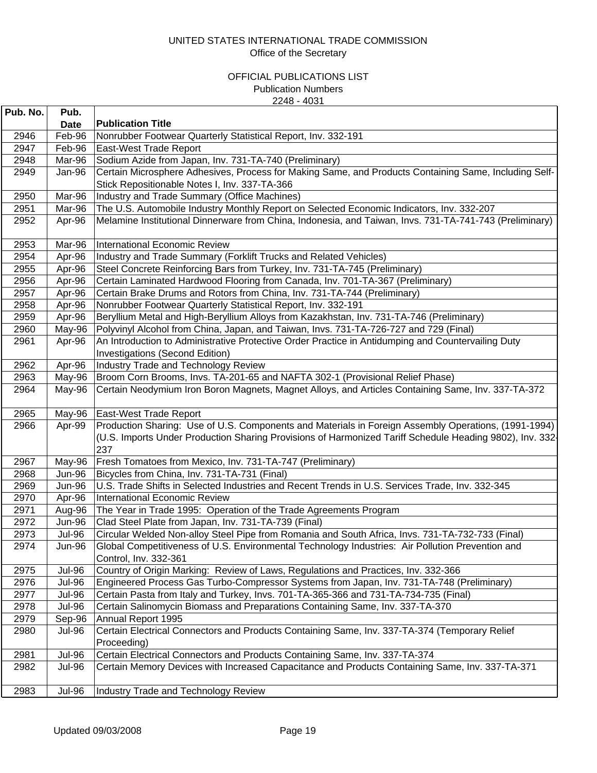| Pub. No. | Pub.          |                                                                                                                |
|----------|---------------|----------------------------------------------------------------------------------------------------------------|
|          | <b>Date</b>   | <b>Publication Title</b>                                                                                       |
| 2946     | Feb-96        | Nonrubber Footwear Quarterly Statistical Report, Inv. 332-191                                                  |
| 2947     | Feb-96        | East-West Trade Report                                                                                         |
| 2948     | Mar-96        | Sodium Azide from Japan, Inv. 731-TA-740 (Preliminary)                                                         |
| 2949     | Jan-96        | Certain Microsphere Adhesives, Process for Making Same, and Products Containing Same, Including Self-          |
|          |               | Stick Repositionable Notes I, Inv. 337-TA-366                                                                  |
| 2950     | Mar-96        | Industry and Trade Summary (Office Machines)                                                                   |
| 2951     | Mar-96        | The U.S. Automobile Industry Monthly Report on Selected Economic Indicators, Inv. 332-207                      |
| 2952     | Apr-96        | Melamine Institutional Dinnerware from China, Indonesia, and Taiwan, Invs. 731-TA-741-743 (Preliminary)        |
| 2953     | Mar-96        | International Economic Review                                                                                  |
| 2954     | Apr-96        | Industry and Trade Summary (Forklift Trucks and Related Vehicles)                                              |
| 2955     | Apr-96        | Steel Concrete Reinforcing Bars from Turkey, Inv. 731-TA-745 (Preliminary)                                     |
| 2956     | Apr-96        | Certain Laminated Hardwood Flooring from Canada, Inv. 701-TA-367 (Preliminary)                                 |
| 2957     | Apr-96        | Certain Brake Drums and Rotors from China, Inv. 731-TA-744 (Preliminary)                                       |
| 2958     | Apr-96        | Nonrubber Footwear Quarterly Statistical Report, Inv. 332-191                                                  |
| 2959     | Apr-96        | Beryllium Metal and High-Beryllium Alloys from Kazakhstan, Inv. 731-TA-746 (Preliminary)                       |
| 2960     | May-96        | Polyvinyl Alcohol from China, Japan, and Taiwan, Invs. 731-TA-726-727 and 729 (Final)                          |
| 2961     | Apr-96        | An Introduction to Administrative Protective Order Practice in Antidumping and Countervailing Duty             |
|          |               | <b>Investigations (Second Edition)</b>                                                                         |
| 2962     | Apr-96        | Industry Trade and Technology Review                                                                           |
| 2963     | May-96        | Broom Corn Brooms, Invs. TA-201-65 and NAFTA 302-1 (Provisional Relief Phase)                                  |
| 2964     | May-96        | Certain Neodymium Iron Boron Magnets, Magnet Alloys, and Articles Containing Same, Inv. 337-TA-372             |
| 2965     | May-96        | East-West Trade Report                                                                                         |
| 2966     | Apr-99        | Production Sharing: Use of U.S. Components and Materials in Foreign Assembly Operations, (1991-1994)           |
|          |               | (U.S. Imports Under Production Sharing Provisions of Harmonized Tariff Schedule Heading 9802), Inv. 332<br>237 |
| 2967     | May-96        | Fresh Tomatoes from Mexico, Inv. 731-TA-747 (Preliminary)                                                      |
| 2968     | Jun-96        | Bicycles from China, Inv. 731-TA-731 (Final)                                                                   |
| 2969     | Jun-96        | U.S. Trade Shifts in Selected Industries and Recent Trends in U.S. Services Trade, Inv. 332-345                |
| 2970     | Apr-96        | International Economic Review                                                                                  |
| 2971     | Aug-96        | The Year in Trade 1995: Operation of the Trade Agreements Program                                              |
| 2972     | Jun-96        | Clad Steel Plate from Japan, Inv. 731-TA-739 (Final)                                                           |
| 2973     | <b>Jul-96</b> | Circular Welded Non-alloy Steel Pipe from Romania and South Africa, Invs. 731-TA-732-733 (Final)               |
| 2974     | Jun-96        | Global Competitiveness of U.S. Environmental Technology Industries: Air Pollution Prevention and               |
|          |               | Control, Inv. 332-361                                                                                          |
| 2975     | <b>Jul-96</b> | Country of Origin Marking: Review of Laws, Regulations and Practices, Inv. 332-366                             |
| 2976     | <b>Jul-96</b> | Engineered Process Gas Turbo-Compressor Systems from Japan, Inv. 731-TA-748 (Preliminary)                      |
| 2977     | <b>Jul-96</b> | Certain Pasta from Italy and Turkey, Invs. 701-TA-365-366 and 731-TA-734-735 (Final)                           |
| 2978     | <b>Jul-96</b> | Certain Salinomycin Biomass and Preparations Containing Same, Inv. 337-TA-370                                  |
| 2979     | Sep-96        | Annual Report 1995                                                                                             |
| 2980     | <b>Jul-96</b> | Certain Electrical Connectors and Products Containing Same, Inv. 337-TA-374 (Temporary Relief<br>Proceeding)   |
| 2981     | <b>Jul-96</b> | Certain Electrical Connectors and Products Containing Same, Inv. 337-TA-374                                    |
| 2982     | <b>Jul-96</b> | Certain Memory Devices with Increased Capacitance and Products Containing Same, Inv. 337-TA-371                |
| 2983     | <b>Jul-96</b> | Industry Trade and Technology Review                                                                           |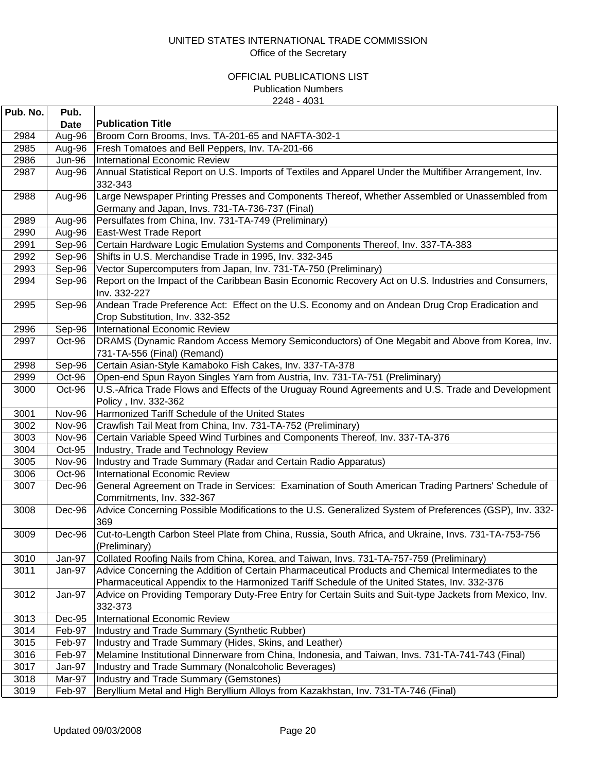| Pub. No. | Pub.          |                                                                                                          |
|----------|---------------|----------------------------------------------------------------------------------------------------------|
|          | Date          | <b>Publication Title</b>                                                                                 |
| 2984     | Aug-96        | Broom Corn Brooms, Invs. TA-201-65 and NAFTA-302-1                                                       |
| 2985     | Aug-96        | Fresh Tomatoes and Bell Peppers, Inv. TA-201-66                                                          |
| 2986     | <b>Jun-96</b> | <b>International Economic Review</b>                                                                     |
| 2987     | Aug-96        | Annual Statistical Report on U.S. Imports of Textiles and Apparel Under the Multifiber Arrangement, Inv. |
|          |               | 332-343                                                                                                  |
| 2988     | Aug-96        | Large Newspaper Printing Presses and Components Thereof, Whether Assembled or Unassembled from           |
|          |               | Germany and Japan, Invs. 731-TA-736-737 (Final)                                                          |
| 2989     | Aug-96        | Persulfates from China, Inv. 731-TA-749 (Preliminary)                                                    |
| 2990     | Aug-96        | East-West Trade Report                                                                                   |
| 2991     | Sep-96        | Certain Hardware Logic Emulation Systems and Components Thereof, Inv. 337-TA-383                         |
| 2992     | Sep-96        | Shifts in U.S. Merchandise Trade in 1995, Inv. 332-345                                                   |
| 2993     | Sep-96        | Vector Supercomputers from Japan, Inv. 731-TA-750 (Preliminary)                                          |
| 2994     | Sep-96        | Report on the Impact of the Caribbean Basin Economic Recovery Act on U.S. Industries and Consumers,      |
|          |               | Inv. 332-227                                                                                             |
| 2995     | Sep-96        | Andean Trade Preference Act: Effect on the U.S. Economy and on Andean Drug Crop Eradication and          |
|          |               | Crop Substitution, Inv. 332-352                                                                          |
| 2996     | Sep-96        | International Economic Review                                                                            |
| 2997     | Oct-96        | DRAMS (Dynamic Random Access Memory Semiconductors) of One Megabit and Above from Korea, Inv.            |
|          |               | 731-TA-556 (Final) (Remand)                                                                              |
| 2998     | Sep-96        | Certain Asian-Style Kamaboko Fish Cakes, Inv. 337-TA-378                                                 |
| 2999     | Oct-96        | Open-end Spun Rayon Singles Yarn from Austria, Inv. 731-TA-751 (Preliminary)                             |
| 3000     | Oct-96        | U.S.-Africa Trade Flows and Effects of the Uruguay Round Agreements and U.S. Trade and Development       |
|          |               | Policy, Inv. 332-362                                                                                     |
| 3001     | Nov-96        | Harmonized Tariff Schedule of the United States                                                          |
| 3002     | Nov-96        | Crawfish Tail Meat from China, Inv. 731-TA-752 (Preliminary)                                             |
| 3003     | Nov-96        | Certain Variable Speed Wind Turbines and Components Thereof, Inv. 337-TA-376                             |
| 3004     | Oct-95        | Industry, Trade and Technology Review                                                                    |
| 3005     | Nov-96        | Industry and Trade Summary (Radar and Certain Radio Apparatus)                                           |
| 3006     | Oct-96        | <b>International Economic Review</b>                                                                     |
| 3007     | Dec-96        | General Agreement on Trade in Services: Examination of South American Trading Partners' Schedule of      |
|          |               | Commitments, Inv. 332-367                                                                                |
| 3008     | Dec-96        | Advice Concerning Possible Modifications to the U.S. Generalized System of Preferences (GSP), Inv. 332-  |
|          |               | 369                                                                                                      |
| 3009     | Dec-96        | Cut-to-Length Carbon Steel Plate from China, Russia, South Africa, and Ukraine, Invs. 731-TA-753-756     |
|          |               | (Preliminary)                                                                                            |
| 3010     | Jan-97        | Collated Roofing Nails from China, Korea, and Taiwan, Invs. 731-TA-757-759 (Preliminary)                 |
| 3011     | Jan-97        | Advice Concerning the Addition of Certain Pharmaceutical Products and Chemical Intermediates to the      |
|          |               | Pharmaceutical Appendix to the Harmonized Tariff Schedule of the United States, Inv. 332-376             |
| 3012     | Jan-97        | Advice on Providing Temporary Duty-Free Entry for Certain Suits and Suit-type Jackets from Mexico, Inv.  |
|          |               | 332-373                                                                                                  |
| 3013     | Dec-95        | <b>International Economic Review</b>                                                                     |
| 3014     | Feb-97        | Industry and Trade Summary (Synthetic Rubber)                                                            |
| 3015     | Feb-97        | Industry and Trade Summary (Hides, Skins, and Leather)                                                   |
| 3016     | Feb-97        | Melamine Institutional Dinnerware from China, Indonesia, and Taiwan, Invs. 731-TA-741-743 (Final)        |
| 3017     | Jan-97        | Industry and Trade Summary (Nonalcoholic Beverages)                                                      |
| 3018     | Mar-97        | Industry and Trade Summary (Gemstones)                                                                   |
| 3019     | Feb-97        | Beryllium Metal and High Beryllium Alloys from Kazakhstan, Inv. 731-TA-746 (Final)                       |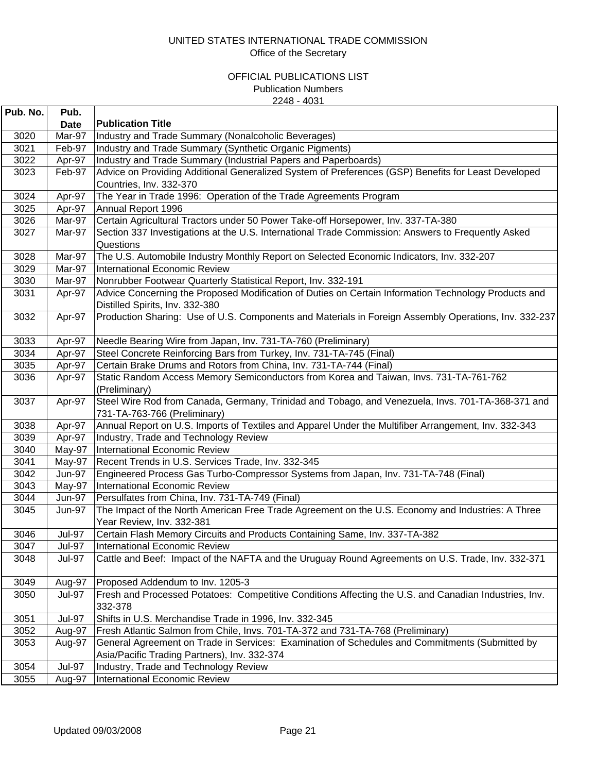| Pub. No. | Pub.          |                                                                                                                                   |
|----------|---------------|-----------------------------------------------------------------------------------------------------------------------------------|
|          | <b>Date</b>   | <b>Publication Title</b>                                                                                                          |
| 3020     | Mar-97        | Industry and Trade Summary (Nonalcoholic Beverages)                                                                               |
| 3021     | Feb-97        | Industry and Trade Summary (Synthetic Organic Pigments)                                                                           |
| 3022     | Apr-97        | Industry and Trade Summary (Industrial Papers and Paperboards)                                                                    |
| 3023     | Feb-97        | Advice on Providing Additional Generalized System of Preferences (GSP) Benefits for Least Developed                               |
|          |               | Countries, Inv. 332-370                                                                                                           |
| 3024     | Apr-97        | The Year in Trade 1996: Operation of the Trade Agreements Program                                                                 |
| 3025     | Apr-97        | Annual Report 1996                                                                                                                |
| 3026     | Mar-97        | Certain Agricultural Tractors under 50 Power Take-off Horsepower, Inv. 337-TA-380                                                 |
| 3027     | Mar-97        | Section 337 Investigations at the U.S. International Trade Commission: Answers to Frequently Asked                                |
|          |               | Questions                                                                                                                         |
| 3028     | Mar-97        | The U.S. Automobile Industry Monthly Report on Selected Economic Indicators, Inv. 332-207                                         |
| 3029     | Mar-97        | International Economic Review                                                                                                     |
| 3030     | Mar-97        | Nonrubber Footwear Quarterly Statistical Report, Inv. 332-191                                                                     |
| 3031     | Apr-97        | Advice Concerning the Proposed Modification of Duties on Certain Information Technology Products and                              |
|          |               | Distilled Spirits, Inv. 332-380                                                                                                   |
| 3032     | Apr-97        | Production Sharing: Use of U.S. Components and Materials in Foreign Assembly Operations, Inv. 332-237                             |
| 3033     | Apr-97        | Needle Bearing Wire from Japan, Inv. 731-TA-760 (Preliminary)                                                                     |
| 3034     | Apr-97        | Steel Concrete Reinforcing Bars from Turkey, Inv. 731-TA-745 (Final)                                                              |
| 3035     | Apr-97        | Certain Brake Drums and Rotors from China, Inv. 731-TA-744 (Final)                                                                |
| 3036     | Apr-97        | Static Random Access Memory Semiconductors from Korea and Taiwan, Invs. 731-TA-761-762<br>(Preliminary)                           |
| 3037     | Apr-97        | Steel Wire Rod from Canada, Germany, Trinidad and Tobago, and Venezuela, Invs. 701-TA-368-371 and<br>731-TA-763-766 (Preliminary) |
| 3038     | Apr-97        | Annual Report on U.S. Imports of Textiles and Apparel Under the Multifiber Arrangement, Inv. 332-343                              |
| 3039     | Apr-97        | Industry, Trade and Technology Review                                                                                             |
| 3040     | May-97        | International Economic Review                                                                                                     |
| 3041     | May-97        | Recent Trends in U.S. Services Trade, Inv. 332-345                                                                                |
| 3042     | <b>Jun-97</b> | Engineered Process Gas Turbo-Compressor Systems from Japan, Inv. 731-TA-748 (Final)                                               |
| 3043     | May-97        | International Economic Review                                                                                                     |
| 3044     | <b>Jun-97</b> | Persulfates from China, Inv. 731-TA-749 (Final)                                                                                   |
| 3045     | <b>Jun-97</b> | The Impact of the North American Free Trade Agreement on the U.S. Economy and Industries: A Three                                 |
|          |               | Year Review, Inv. 332-381                                                                                                         |
| 3046     | <b>Jul-97</b> | Certain Flash Memory Circuits and Products Containing Same, Inv. 337-TA-382                                                       |
| 3047     | <b>Jul-97</b> | International Economic Review                                                                                                     |
| 3048     | <b>Jul-97</b> | Cattle and Beef: Impact of the NAFTA and the Uruguay Round Agreements on U.S. Trade, Inv. 332-371                                 |
| 3049     | Aug-97        | Proposed Addendum to Inv. 1205-3                                                                                                  |
| 3050     | <b>Jul-97</b> | Fresh and Processed Potatoes: Competitive Conditions Affecting the U.S. and Canadian Industries, Inv.                             |
|          |               | 332-378                                                                                                                           |
| 3051     | <b>Jul-97</b> | Shifts in U.S. Merchandise Trade in 1996, Inv. 332-345                                                                            |
| 3052     | Aug-97        | Fresh Atlantic Salmon from Chile, Invs. 701-TA-372 and 731-TA-768 (Preliminary)                                                   |
| 3053     | Aug-97        | General Agreement on Trade in Services: Examination of Schedules and Commitments (Submitted by                                    |
|          |               | Asia/Pacific Trading Partners), Inv. 332-374                                                                                      |
| 3054     | <b>Jul-97</b> | Industry, Trade and Technology Review                                                                                             |
| 3055     | Aug-97        | <b>International Economic Review</b>                                                                                              |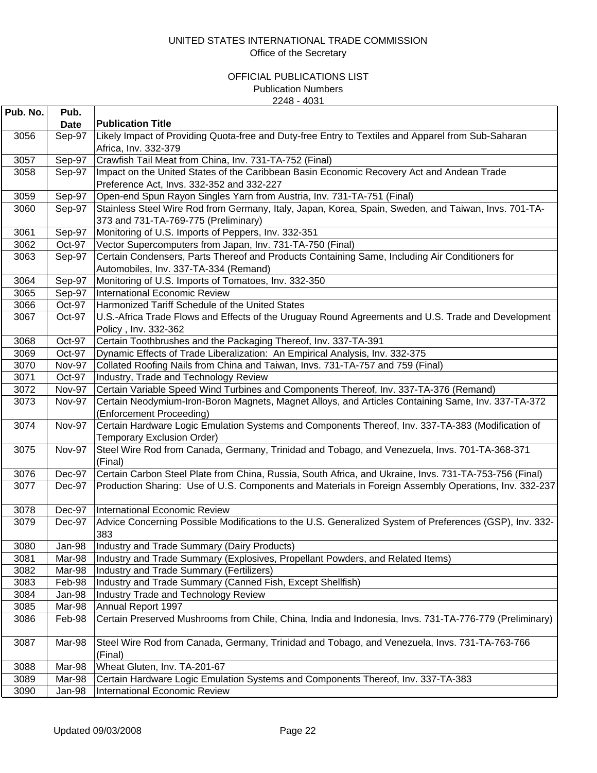| Pub. No. | Pub.<br><b>Date</b> | <b>Publication Title</b>                                                                                                                     |
|----------|---------------------|----------------------------------------------------------------------------------------------------------------------------------------------|
| 3056     | Sep-97              | Likely Impact of Providing Quota-free and Duty-free Entry to Textiles and Apparel from Sub-Saharan                                           |
|          |                     | Africa, Inv. 332-379                                                                                                                         |
| 3057     | Sep-97              | Crawfish Tail Meat from China, Inv. 731-TA-752 (Final)                                                                                       |
| 3058     | Sep-97              | Impact on the United States of the Caribbean Basin Economic Recovery Act and Andean Trade                                                    |
|          |                     | Preference Act, Invs. 332-352 and 332-227                                                                                                    |
| 3059     | Sep-97              | Open-end Spun Rayon Singles Yarn from Austria, Inv. 731-TA-751 (Final)                                                                       |
| 3060     | Sep-97              | Stainless Steel Wire Rod from Germany, Italy, Japan, Korea, Spain, Sweden, and Taiwan, Invs. 701-TA-<br>373 and 731-TA-769-775 (Preliminary) |
| 3061     | Sep-97              | Monitoring of U.S. Imports of Peppers, Inv. 332-351                                                                                          |
| 3062     | Oct-97              | Vector Supercomputers from Japan, Inv. 731-TA-750 (Final)                                                                                    |
| 3063     | Sep-97              | Certain Condensers, Parts Thereof and Products Containing Same, Including Air Conditioners for                                               |
|          |                     | Automobiles, Inv. 337-TA-334 (Remand)                                                                                                        |
| 3064     | Sep-97              | Monitoring of U.S. Imports of Tomatoes, Inv. 332-350                                                                                         |
| 3065     | Sep-97              | <b>International Economic Review</b>                                                                                                         |
| 3066     | Oct-97              | Harmonized Tariff Schedule of the United States                                                                                              |
| 3067     | Oct-97              | U.S.-Africa Trade Flows and Effects of the Uruguay Round Agreements and U.S. Trade and Development<br>Policy, Inv. 332-362                   |
| 3068     | Oct-97              | Certain Toothbrushes and the Packaging Thereof, Inv. 337-TA-391                                                                              |
| 3069     | Oct-97              | Dynamic Effects of Trade Liberalization: An Empirical Analysis, Inv. 332-375                                                                 |
| 3070     | <b>Nov-97</b>       | Collated Roofing Nails from China and Taiwan, Invs. 731-TA-757 and 759 (Final)                                                               |
| 3071     | Oct-97              | Industry, Trade and Technology Review                                                                                                        |
| 3072     | <b>Nov-97</b>       | Certain Variable Speed Wind Turbines and Components Thereof, Inv. 337-TA-376 (Remand)                                                        |
| 3073     | <b>Nov-97</b>       | Certain Neodymium-Iron-Boron Magnets, Magnet Alloys, and Articles Containing Same, Inv. 337-TA-372<br>(Enforcement Proceeding)               |
| 3074     | <b>Nov-97</b>       | Certain Hardware Logic Emulation Systems and Components Thereof, Inv. 337-TA-383 (Modification of<br><b>Temporary Exclusion Order)</b>       |
| 3075     | <b>Nov-97</b>       | Steel Wire Rod from Canada, Germany, Trinidad and Tobago, and Venezuela, Invs. 701-TA-368-371<br>(Final)                                     |
| 3076     | Dec-97              | Certain Carbon Steel Plate from China, Russia, South Africa, and Ukraine, Invs. 731-TA-753-756 (Final)                                       |
| 3077     | Dec-97              | Production Sharing: Use of U.S. Components and Materials in Foreign Assembly Operations, Inv. 332-237                                        |
| 3078     | Dec-97              | International Economic Review                                                                                                                |
| 3079     | Dec-97              | Advice Concerning Possible Modifications to the U.S. Generalized System of Preferences (GSP), Inv. 332-<br>383                               |
| 3080     | Jan-98              | Industry and Trade Summary (Dairy Products)                                                                                                  |
| 3081     | Mar-98              | Industry and Trade Summary (Explosives, Propellant Powders, and Related Items)                                                               |
| 3082     | Mar-98              | Industry and Trade Summary (Fertilizers)                                                                                                     |
| 3083     | Feb-98              | Industry and Trade Summary (Canned Fish, Except Shellfish)                                                                                   |
| 3084     | Jan-98              | Industry Trade and Technology Review                                                                                                         |
| 3085     | Mar-98              | Annual Report 1997                                                                                                                           |
| 3086     | Feb-98              | Certain Preserved Mushrooms from Chile, China, India and Indonesia, Invs. 731-TA-776-779 (Preliminary)                                       |
| 3087     | Mar-98              | Steel Wire Rod from Canada, Germany, Trinidad and Tobago, and Venezuela, Invs. 731-TA-763-766<br>(Final)                                     |
| 3088     | Mar-98              | Wheat Gluten, Inv. TA-201-67                                                                                                                 |
| 3089     | Mar-98              | Certain Hardware Logic Emulation Systems and Components Thereof, Inv. 337-TA-383                                                             |
| 3090     | Jan-98              | International Economic Review                                                                                                                |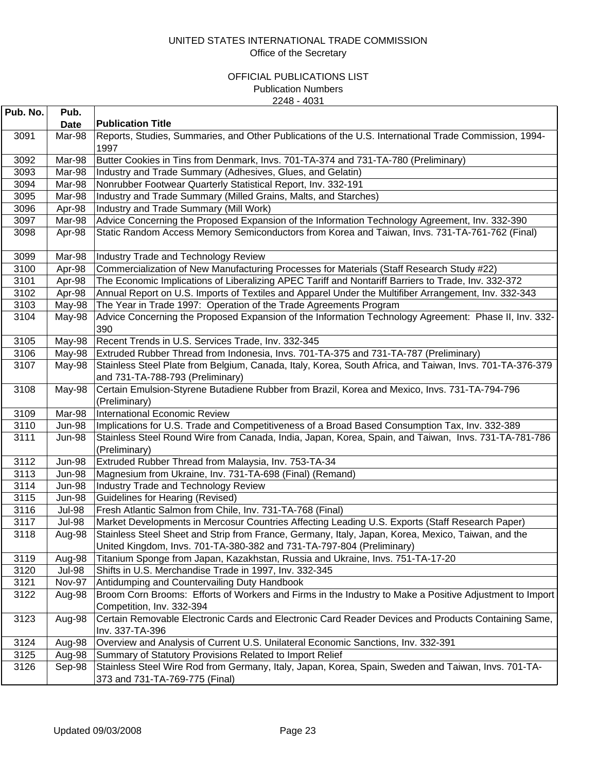| Pub. No. | Pub.          |                                                                                                                                                                             |
|----------|---------------|-----------------------------------------------------------------------------------------------------------------------------------------------------------------------------|
|          | <b>Date</b>   | <b>Publication Title</b>                                                                                                                                                    |
| 3091     | Mar-98        | Reports, Studies, Summaries, and Other Publications of the U.S. International Trade Commission, 1994-<br>1997                                                               |
| 3092     | Mar-98        | Butter Cookies in Tins from Denmark, Invs. 701-TA-374 and 731-TA-780 (Preliminary)                                                                                          |
| 3093     | Mar-98        | Industry and Trade Summary (Adhesives, Glues, and Gelatin)                                                                                                                  |
| 3094     | Mar-98        | Nonrubber Footwear Quarterly Statistical Report, Inv. 332-191                                                                                                               |
| 3095     | Mar-98        | Industry and Trade Summary (Milled Grains, Malts, and Starches)                                                                                                             |
| 3096     | Apr-98        | Industry and Trade Summary (Mill Work)                                                                                                                                      |
| 3097     | Mar-98        | Advice Concerning the Proposed Expansion of the Information Technology Agreement, Inv. 332-390                                                                              |
| 3098     | Apr-98        | Static Random Access Memory Semiconductors from Korea and Taiwan, Invs. 731-TA-761-762 (Final)                                                                              |
| 3099     | Mar-98        | Industry Trade and Technology Review                                                                                                                                        |
| 3100     | Apr-98        | Commercialization of New Manufacturing Processes for Materials (Staff Research Study #22)                                                                                   |
| 3101     | Apr-98        | The Economic Implications of Liberalizing APEC Tariff and Nontariff Barriers to Trade, Inv. 332-372                                                                         |
| 3102     | Apr-98        | Annual Report on U.S. Imports of Textiles and Apparel Under the Multifiber Arrangement, Inv. 332-343                                                                        |
| 3103     | May-98        | The Year in Trade 1997: Operation of the Trade Agreements Program                                                                                                           |
| 3104     | May-98        | Advice Concerning the Proposed Expansion of the Information Technology Agreement: Phase II, Inv. 332-<br>390                                                                |
| 3105     | May-98        | Recent Trends in U.S. Services Trade, Inv. 332-345                                                                                                                          |
| 3106     | May-98        | Extruded Rubber Thread from Indonesia, Invs. 701-TA-375 and 731-TA-787 (Preliminary)                                                                                        |
| 3107     | May-98        | Stainless Steel Plate from Belgium, Canada, Italy, Korea, South Africa, and Taiwan, Invs. 701-TA-376-379<br>and 731-TA-788-793 (Preliminary)                                |
| 3108     | May-98        | Certain Emulsion-Styrene Butadiene Rubber from Brazil, Korea and Mexico, Invs. 731-TA-794-796<br>(Preliminary)                                                              |
| 3109     | Mar-98        | International Economic Review                                                                                                                                               |
| 3110     | <b>Jun-98</b> | Implications for U.S. Trade and Competitiveness of a Broad Based Consumption Tax, Inv. 332-389                                                                              |
| 3111     | Jun-98        | Stainless Steel Round Wire from Canada, India, Japan, Korea, Spain, and Taiwan, Invs. 731-TA-781-786<br>(Preliminary)                                                       |
| 3112     | <b>Jun-98</b> | Extruded Rubber Thread from Malaysia, Inv. 753-TA-34                                                                                                                        |
| 3113     | Jun-98        | Magnesium from Ukraine, Inv. 731-TA-698 (Final) (Remand)                                                                                                                    |
| 3114     | <b>Jun-98</b> | Industry Trade and Technology Review                                                                                                                                        |
| 3115     | Jun-98        | Guidelines for Hearing (Revised)                                                                                                                                            |
| 3116     | <b>Jul-98</b> | Fresh Atlantic Salmon from Chile, Inv. 731-TA-768 (Final)                                                                                                                   |
| 3117     | <b>Jul-98</b> | Market Developments in Mercosur Countries Affecting Leading U.S. Exports (Staff Research Paper)                                                                             |
| 3118     | Aug-98        | Stainless Steel Sheet and Strip from France, Germany, Italy, Japan, Korea, Mexico, Taiwan, and the<br>United Kingdom, Invs. 701-TA-380-382 and 731-TA-797-804 (Preliminary) |
| 3119     | Aug-98        | Titanium Sponge from Japan, Kazakhstan, Russia and Ukraine, Invs. 751-TA-17-20                                                                                              |
| 3120     | <b>Jul-98</b> | Shifts in U.S. Merchandise Trade in 1997, Inv. 332-345                                                                                                                      |
| 3121     | <b>Nov-97</b> | Antidumping and Countervailing Duty Handbook                                                                                                                                |
| 3122     | Aug-98        | Broom Corn Brooms: Efforts of Workers and Firms in the Industry to Make a Positive Adjustment to Import<br>Competition, Inv. 332-394                                        |
| 3123     | Aug-98        | Certain Removable Electronic Cards and Electronic Card Reader Devices and Products Containing Same,<br>Inv. 337-TA-396                                                      |
| 3124     | Aug-98        | Overview and Analysis of Current U.S. Unilateral Economic Sanctions, Inv. 332-391                                                                                           |
| 3125     | Aug-98        | Summary of Statutory Provisions Related to Import Relief                                                                                                                    |
| 3126     | Sep-98        | Stainless Steel Wire Rod from Germany, Italy, Japan, Korea, Spain, Sweden and Taiwan, Invs. 701-TA-<br>373 and 731-TA-769-775 (Final)                                       |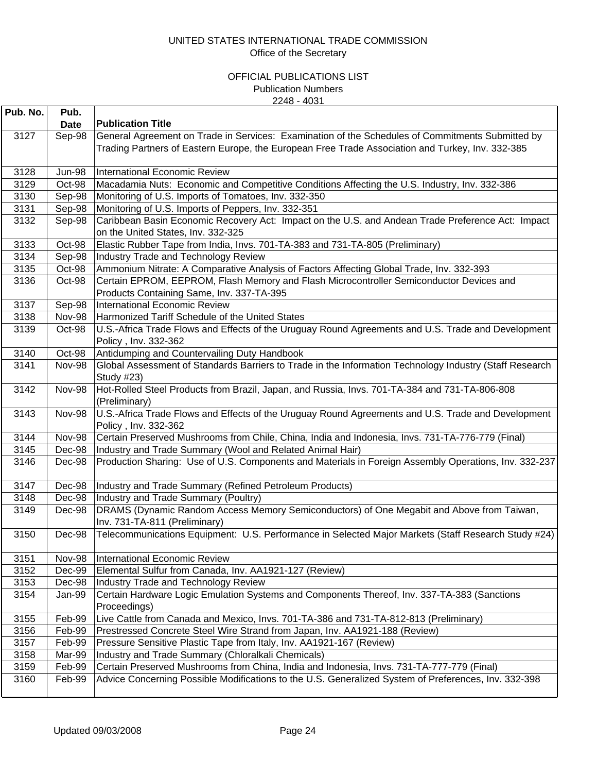| Pub. No. | Pub.          |                                                                                                                                                                                                      |
|----------|---------------|------------------------------------------------------------------------------------------------------------------------------------------------------------------------------------------------------|
|          | <b>Date</b>   | <b>Publication Title</b>                                                                                                                                                                             |
| 3127     | Sep-98        | General Agreement on Trade in Services: Examination of the Schedules of Commitments Submitted by<br>Trading Partners of Eastern Europe, the European Free Trade Association and Turkey, Inv. 332-385 |
| 3128     | <b>Jun-98</b> | International Economic Review                                                                                                                                                                        |
| 3129     | Oct-98        | Macadamia Nuts: Economic and Competitive Conditions Affecting the U.S. Industry, Inv. 332-386                                                                                                        |
| 3130     | Sep-98        | Monitoring of U.S. Imports of Tomatoes, Inv. 332-350                                                                                                                                                 |
| 3131     | Sep-98        | Monitoring of U.S. Imports of Peppers, Inv. 332-351                                                                                                                                                  |
| 3132     | Sep-98        | Caribbean Basin Economic Recovery Act: Impact on the U.S. and Andean Trade Preference Act: Impact<br>on the United States, Inv. 332-325                                                              |
| 3133     | Oct-98        | Elastic Rubber Tape from India, Invs. 701-TA-383 and 731-TA-805 (Preliminary)                                                                                                                        |
| 3134     | Sep-98        | Industry Trade and Technology Review                                                                                                                                                                 |
| 3135     | Oct-98        | Ammonium Nitrate: A Comparative Analysis of Factors Affecting Global Trade, Inv. 332-393                                                                                                             |
| 3136     | Oct-98        | Certain EPROM, EEPROM, Flash Memory and Flash Microcontroller Semiconductor Devices and<br>Products Containing Same, Inv. 337-TA-395                                                                 |
| 3137     | Sep-98        | <b>International Economic Review</b>                                                                                                                                                                 |
| 3138     | Nov-98        | Harmonized Tariff Schedule of the United States                                                                                                                                                      |
| 3139     | Oct-98        | U.S.-Africa Trade Flows and Effects of the Uruguay Round Agreements and U.S. Trade and Development<br>Policy, Inv. 332-362                                                                           |
| 3140     | Oct-98        | Antidumping and Countervailing Duty Handbook                                                                                                                                                         |
| 3141     | <b>Nov-98</b> | Global Assessment of Standards Barriers to Trade in the Information Technology Industry (Staff Research<br>Study #23)                                                                                |
| 3142     | <b>Nov-98</b> | Hot-Rolled Steel Products from Brazil, Japan, and Russia, Invs. 701-TA-384 and 731-TA-806-808<br>(Preliminary)                                                                                       |
| 3143     | <b>Nov-98</b> | U.S.-Africa Trade Flows and Effects of the Uruguay Round Agreements and U.S. Trade and Development<br>Policy, Inv. 332-362                                                                           |
| 3144     | <b>Nov-98</b> | Certain Preserved Mushrooms from Chile, China, India and Indonesia, Invs. 731-TA-776-779 (Final)                                                                                                     |
| 3145     | Dec-98        | Industry and Trade Summary (Wool and Related Animal Hair)                                                                                                                                            |
| 3146     | Dec-98        | Production Sharing: Use of U.S. Components and Materials in Foreign Assembly Operations, Inv. 332-237                                                                                                |
| 3147     | Dec-98        | Industry and Trade Summary (Refined Petroleum Products)                                                                                                                                              |
| 3148     | Dec-98        | Industry and Trade Summary (Poultry)                                                                                                                                                                 |
| 3149     | Dec-98        | DRAMS (Dynamic Random Access Memory Semiconductors) of One Megabit and Above from Taiwan,<br>Inv. 731-TA-811 (Preliminary)                                                                           |
| 3150     | Dec-98        | Telecommunications Equipment: U.S. Performance in Selected Major Markets (Staff Research Study #24)                                                                                                  |
| 3151     | Nov-98        | <b>International Economic Review</b>                                                                                                                                                                 |
| 3152     | Dec-99        | Elemental Sulfur from Canada, Inv. AA1921-127 (Review)                                                                                                                                               |
| 3153     | Dec-98        | Industry Trade and Technology Review                                                                                                                                                                 |
| 3154     | Jan-99        | Certain Hardware Logic Emulation Systems and Components Thereof, Inv. 337-TA-383 (Sanctions<br>Proceedings)                                                                                          |
| 3155     | Feb-99        | Live Cattle from Canada and Mexico, Invs. 701-TA-386 and 731-TA-812-813 (Preliminary)                                                                                                                |
| 3156     | Feb-99        | Prestressed Concrete Steel Wire Strand from Japan, Inv. AA1921-188 (Review)                                                                                                                          |
| 3157     | Feb-99        | Pressure Sensitive Plastic Tape from Italy, Inv. AA1921-167 (Review)                                                                                                                                 |
| 3158     | Mar-99        | Industry and Trade Summary (Chloralkali Chemicals)                                                                                                                                                   |
| 3159     | Feb-99        | Certain Preserved Mushrooms from China, India and Indonesia, Invs. 731-TA-777-779 (Final)                                                                                                            |
| 3160     | Feb-99        | Advice Concerning Possible Modifications to the U.S. Generalized System of Preferences, Inv. 332-398                                                                                                 |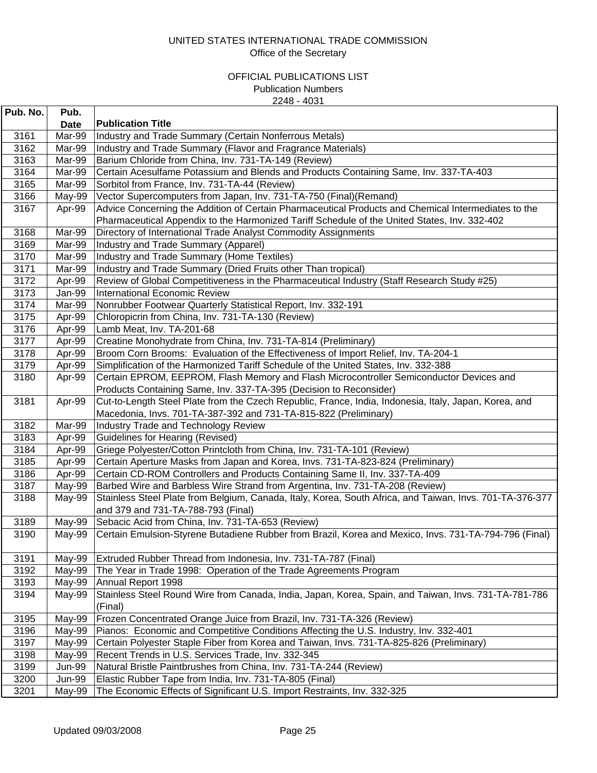| Pub. No. | Pub.          |                                                                                                          |
|----------|---------------|----------------------------------------------------------------------------------------------------------|
|          | <b>Date</b>   | <b>Publication Title</b>                                                                                 |
| 3161     | Mar-99        | Industry and Trade Summary (Certain Nonferrous Metals)                                                   |
| 3162     | Mar-99        | Industry and Trade Summary (Flavor and Fragrance Materials)                                              |
| 3163     | Mar-99        | Barium Chloride from China, Inv. 731-TA-149 (Review)                                                     |
| 3164     | Mar-99        | Certain Acesulfame Potassium and Blends and Products Containing Same, Inv. 337-TA-403                    |
| 3165     | Mar-99        | Sorbitol from France, Inv. 731-TA-44 (Review)                                                            |
| 3166     | May-99        | Vector Supercomputers from Japan, Inv. 731-TA-750 (Final) (Remand)                                       |
| 3167     | Apr-99        | Advice Concerning the Addition of Certain Pharmaceutical Products and Chemical Intermediates to the      |
|          |               | Pharmaceutical Appendix to the Harmonized Tariff Schedule of the United States, Inv. 332-402             |
| 3168     | Mar-99        | Directory of International Trade Analyst Commodity Assignments                                           |
| 3169     | Mar-99        | Industry and Trade Summary (Apparel)                                                                     |
| 3170     | Mar-99        | Industry and Trade Summary (Home Textiles)                                                               |
| 3171     | Mar-99        | Industry and Trade Summary (Dried Fruits other Than tropical)                                            |
| 3172     | Apr-99        | Review of Global Competitiveness in the Pharmaceutical Industry (Staff Research Study #25)               |
| 3173     | Jan-99        | <b>International Economic Review</b>                                                                     |
| 3174     | Mar-99        | Nonrubber Footwear Quarterly Statistical Report, Inv. 332-191                                            |
| 3175     | Apr-99        | Chloropicrin from China, Inv. 731-TA-130 (Review)                                                        |
| 3176     | Apr-99        | Lamb Meat, Inv. TA-201-68                                                                                |
| 3177     | Apr-99        | Creatine Monohydrate from China, Inv. 731-TA-814 (Preliminary)                                           |
| 3178     | Apr-99        | Broom Corn Brooms: Evaluation of the Effectiveness of Import Relief, Inv. TA-204-1                       |
| 3179     | Apr-99        | Simplification of the Harmonized Tariff Schedule of the United States, Inv. 332-388                      |
| 3180     | Apr-99        | Certain EPROM, EEPROM, Flash Memory and Flash Microcontroller Semiconductor Devices and                  |
|          |               | Products Containing Same, Inv. 337-TA-395 (Decision to Reconsider)                                       |
| 3181     | Apr-99        | Cut-to-Length Steel Plate from the Czech Republic, France, India, Indonesia, Italy, Japan, Korea, and    |
|          |               | Macedonia, Invs. 701-TA-387-392 and 731-TA-815-822 (Preliminary)                                         |
| 3182     | Mar-99        | <b>Industry Trade and Technology Review</b>                                                              |
| 3183     | Apr-99        | <b>Guidelines for Hearing (Revised)</b>                                                                  |
| 3184     | Apr-99        | Griege Polyester/Cotton Printcloth from China, Inv. 731-TA-101 (Review)                                  |
| 3185     | Apr-99        | Certain Aperture Masks from Japan and Korea, Invs. 731-TA-823-824 (Preliminary)                          |
| 3186     | Apr-99        | Certain CD-ROM Controllers and Products Containing Same II, Inv. 337-TA-409                              |
| 3187     | May-99        | Barbed Wire and Barbless Wire Strand from Argentina, Inv. 731-TA-208 (Review)                            |
| 3188     | May-99        | Stainless Steel Plate from Belgium, Canada, Italy, Korea, South Africa, and Taiwan, Invs. 701-TA-376-377 |
|          |               | and 379 and 731-TA-788-793 (Final)                                                                       |
| 3189     | May-99        | Sebacic Acid from China, Inv. 731-TA-653 (Review)                                                        |
| 3190     | May-99        | Certain Emulsion-Styrene Butadiene Rubber from Brazil, Korea and Mexico, Invs. 731-TA-794-796 (Final)    |
| 3191     | May-99        | Extruded Rubber Thread from Indonesia, Inv. 731-TA-787 (Final)                                           |
| 3192     | May-99        | The Year in Trade 1998: Operation of the Trade Agreements Program                                        |
| 3193     | May-99        | Annual Report 1998                                                                                       |
| 3194     | May-99        | Stainless Steel Round Wire from Canada, India, Japan, Korea, Spain, and Taiwan, Invs. 731-TA-781-786     |
|          |               | (Final)                                                                                                  |
| 3195     | May-99        | Frozen Concentrated Orange Juice from Brazil, Inv. 731-TA-326 (Review)                                   |
| 3196     | May-99        | Pianos: Economic and Competitive Conditions Affecting the U.S. Industry, Inv. 332-401                    |
| 3197     | May-99        | Certain Polyester Staple Fiber from Korea and Taiwan, Invs. 731-TA-825-826 (Preliminary)                 |
| 3198     | May-99        | Recent Trends in U.S. Services Trade, Inv. 332-345                                                       |
| 3199     | <b>Jun-99</b> | Natural Bristle Paintbrushes from China, Inv. 731-TA-244 (Review)                                        |
| 3200     | Jun-99        | Elastic Rubber Tape from India, Inv. 731-TA-805 (Final)                                                  |
| 3201     | May-99        | The Economic Effects of Significant U.S. Import Restraints, Inv. 332-325                                 |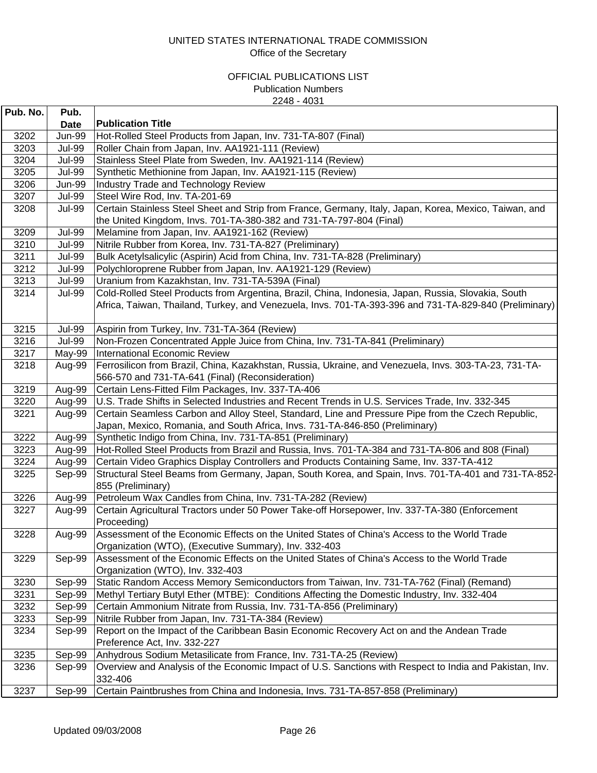| Pub. No. | Pub.          |                                                                                                                                                                                                               |
|----------|---------------|---------------------------------------------------------------------------------------------------------------------------------------------------------------------------------------------------------------|
|          | <b>Date</b>   | <b>Publication Title</b>                                                                                                                                                                                      |
| 3202     | <b>Jun-99</b> | Hot-Rolled Steel Products from Japan, Inv. 731-TA-807 (Final)                                                                                                                                                 |
| 3203     | <b>Jul-99</b> | Roller Chain from Japan, Inv. AA1921-111 (Review)                                                                                                                                                             |
| 3204     | <b>Jul-99</b> | Stainless Steel Plate from Sweden, Inv. AA1921-114 (Review)                                                                                                                                                   |
| 3205     | <b>Jul-99</b> | Synthetic Methionine from Japan, Inv. AA1921-115 (Review)                                                                                                                                                     |
| 3206     | <b>Jun-99</b> | <b>Industry Trade and Technology Review</b>                                                                                                                                                                   |
| 3207     | <b>Jul-99</b> | Steel Wire Rod, Inv. TA-201-69                                                                                                                                                                                |
| 3208     | <b>Jul-99</b> | Certain Stainless Steel Sheet and Strip from France, Germany, Italy, Japan, Korea, Mexico, Taiwan, and<br>the United Kingdom, Invs. 701-TA-380-382 and 731-TA-797-804 (Final)                                 |
| 3209     | <b>Jul-99</b> | Melamine from Japan, Inv. AA1921-162 (Review)                                                                                                                                                                 |
| 3210     | <b>Jul-99</b> | Nitrile Rubber from Korea, Inv. 731-TA-827 (Preliminary)                                                                                                                                                      |
| 3211     | <b>Jul-99</b> | Bulk Acetylsalicylic (Aspirin) Acid from China, Inv. 731-TA-828 (Preliminary)                                                                                                                                 |
| 3212     | <b>Jul-99</b> | Polychloroprene Rubber from Japan, Inv. AA1921-129 (Review)                                                                                                                                                   |
| 3213     | <b>Jul-99</b> | Uranium from Kazakhstan, Inv. 731-TA-539A (Final)                                                                                                                                                             |
| 3214     | <b>Jul-99</b> | Cold-Rolled Steel Products from Argentina, Brazil, China, Indonesia, Japan, Russia, Slovakia, South<br>Africa, Taiwan, Thailand, Turkey, and Venezuela, Invs. 701-TA-393-396 and 731-TA-829-840 (Preliminary) |
| 3215     | <b>Jul-99</b> | Aspirin from Turkey, Inv. 731-TA-364 (Review)                                                                                                                                                                 |
| 3216     | <b>Jul-99</b> | Non-Frozen Concentrated Apple Juice from China, Inv. 731-TA-841 (Preliminary)                                                                                                                                 |
| 3217     | May-99        | International Economic Review                                                                                                                                                                                 |
| 3218     | Aug-99        | Ferrosilicon from Brazil, China, Kazakhstan, Russia, Ukraine, and Venezuela, Invs. 303-TA-23, 731-TA-<br>566-570 and 731-TA-641 (Final) (Reconsideration)                                                     |
| 3219     | Aug-99        | Certain Lens-Fitted Film Packages, Inv. 337-TA-406                                                                                                                                                            |
| 3220     | Aug-99        | U.S. Trade Shifts in Selected Industries and Recent Trends in U.S. Services Trade, Inv. 332-345                                                                                                               |
| 3221     | Aug-99        | Certain Seamless Carbon and Alloy Steel, Standard, Line and Pressure Pipe from the Czech Republic,                                                                                                            |
|          |               | Japan, Mexico, Romania, and South Africa, Invs. 731-TA-846-850 (Preliminary)                                                                                                                                  |
| 3222     | Aug-99        | Synthetic Indigo from China, Inv. 731-TA-851 (Preliminary)                                                                                                                                                    |
| 3223     | Aug-99        | Hot-Rolled Steel Products from Brazil and Russia, Invs. 701-TA-384 and 731-TA-806 and 808 (Final)                                                                                                             |
| 3224     | Aug-99        | Certain Video Graphics Display Controllers and Products Containing Same, Inv. 337-TA-412                                                                                                                      |
| 3225     | Sep-99        | Structural Steel Beams from Germany, Japan, South Korea, and Spain, Invs. 701-TA-401 and 731-TA-852-<br>855 (Preliminary)                                                                                     |
| 3226     | Aug-99        | Petroleum Wax Candles from China, Inv. 731-TA-282 (Review)                                                                                                                                                    |
| 3227     | Aug-99        | Certain Agricultural Tractors under 50 Power Take-off Horsepower, Inv. 337-TA-380 (Enforcement<br>Proceeding)                                                                                                 |
| 3228     | Aug-99        | Assessment of the Economic Effects on the United States of China's Access to the World Trade<br>Organization (WTO), (Executive Summary), Inv. 332-403                                                         |
| 3229     | Sep-99        | Assessment of the Economic Effects on the United States of China's Access to the World Trade<br>Organization (WTO), Inv. 332-403                                                                              |
| 3230     | Sep-99        | Static Random Access Memory Semiconductors from Taiwan, Inv. 731-TA-762 (Final) (Remand)                                                                                                                      |
| 3231     | Sep-99        | Methyl Tertiary Butyl Ether (MTBE): Conditions Affecting the Domestic Industry, Inv. 332-404                                                                                                                  |
| 3232     | Sep-99        | Certain Ammonium Nitrate from Russia, Inv. 731-TA-856 (Preliminary)                                                                                                                                           |
| 3233     | Sep-99        | Nitrile Rubber from Japan, Inv. 731-TA-384 (Review)                                                                                                                                                           |
| 3234     | Sep-99        | Report on the Impact of the Caribbean Basin Economic Recovery Act on and the Andean Trade<br>Preference Act, Inv. 332-227                                                                                     |
| 3235     | Sep-99        | Anhydrous Sodium Metasilicate from France, Inv. 731-TA-25 (Review)                                                                                                                                            |
| 3236     | Sep-99        | Overview and Analysis of the Economic Impact of U.S. Sanctions with Respect to India and Pakistan, Inv.<br>332-406                                                                                            |
| 3237     | Sep-99        | Certain Paintbrushes from China and Indonesia, Invs. 731-TA-857-858 (Preliminary)                                                                                                                             |
|          |               |                                                                                                                                                                                                               |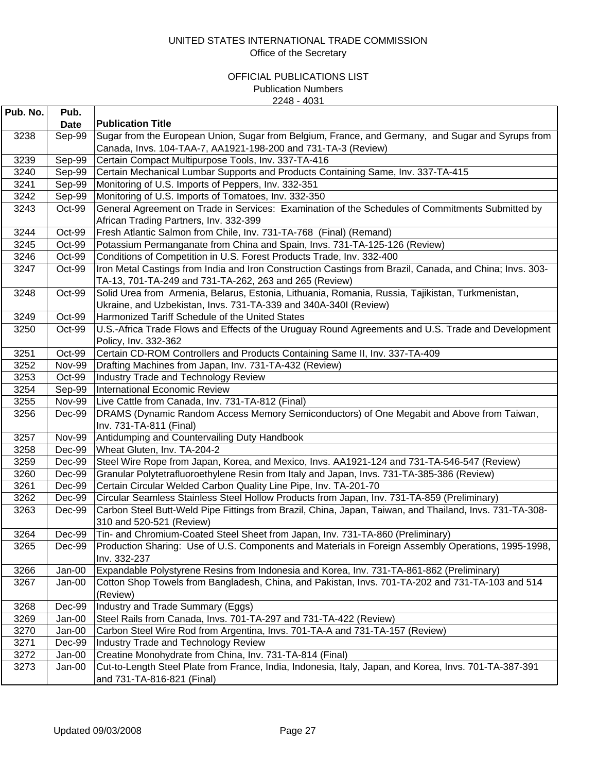| Pub. No. | Pub.                  | <b>Publication Title</b>                                                                                 |
|----------|-----------------------|----------------------------------------------------------------------------------------------------------|
| 3238     | <b>Date</b><br>Sep-99 | Sugar from the European Union, Sugar from Belgium, France, and Germany, and Sugar and Syrups from        |
|          |                       | Canada, Invs. 104-TAA-7, AA1921-198-200 and 731-TA-3 (Review)                                            |
| 3239     | Sep-99                | Certain Compact Multipurpose Tools, Inv. 337-TA-416                                                      |
| 3240     | Sep-99                | Certain Mechanical Lumbar Supports and Products Containing Same, Inv. 337-TA-415                         |
| 3241     | Sep-99                | Monitoring of U.S. Imports of Peppers, Inv. 332-351                                                      |
| 3242     | Sep-99                | Monitoring of U.S. Imports of Tomatoes, Inv. 332-350                                                     |
| 3243     | Oct-99                | General Agreement on Trade in Services: Examination of the Schedules of Commitments Submitted by         |
|          |                       | African Trading Partners, Inv. 332-399                                                                   |
| 3244     | Oct-99                | Fresh Atlantic Salmon from Chile, Inv. 731-TA-768 (Final) (Remand)                                       |
| 3245     | Oct-99                | Potassium Permanganate from China and Spain, Invs. 731-TA-125-126 (Review)                               |
| 3246     | Oct-99                | Conditions of Competition in U.S. Forest Products Trade, Inv. 332-400                                    |
| 3247     | Oct-99                | Iron Metal Castings from India and Iron Construction Castings from Brazil, Canada, and China; Invs. 303- |
|          |                       | TA-13, 701-TA-249 and 731-TA-262, 263 and 265 (Review)                                                   |
| 3248     | Oct-99                | Solid Urea from Armenia, Belarus, Estonia, Lithuania, Romania, Russia, Tajikistan, Turkmenistan,         |
|          |                       | Ukraine, and Uzbekistan, Invs. 731-TA-339 and 340A-340I (Review)                                         |
| 3249     | Oct-99                | Harmonized Tariff Schedule of the United States                                                          |
| 3250     | Oct-99                | U.S.-Africa Trade Flows and Effects of the Uruguay Round Agreements and U.S. Trade and Development       |
|          |                       | Policy, Inv. 332-362                                                                                     |
| 3251     | Oct-99                | Certain CD-ROM Controllers and Products Containing Same II, Inv. 337-TA-409                              |
| 3252     | <b>Nov-99</b>         | Drafting Machines from Japan, Inv. 731-TA-432 (Review)                                                   |
| 3253     | Oct-99                | Industry Trade and Technology Review                                                                     |
| 3254     | Sep-99                | International Economic Review                                                                            |
| 3255     | <b>Nov-99</b>         | Live Cattle from Canada, Inv. 731-TA-812 (Final)                                                         |
| 3256     | Dec-99                | DRAMS (Dynamic Random Access Memory Semiconductors) of One Megabit and Above from Taiwan,                |
|          |                       | Inv. 731-TA-811 (Final)                                                                                  |
| 3257     | <b>Nov-99</b>         | Antidumping and Countervailing Duty Handbook                                                             |
| 3258     | Dec-99                | Wheat Gluten, Inv. TA-204-2                                                                              |
| 3259     | Dec-99                | Steel Wire Rope from Japan, Korea, and Mexico, Invs. AA1921-124 and 731-TA-546-547 (Review)              |
| 3260     | Dec-99                | Granular Polytetrafluoroethylene Resin from Italy and Japan, Invs. 731-TA-385-386 (Review)               |
| 3261     | Dec-99                | Certain Circular Welded Carbon Quality Line Pipe, Inv. TA-201-70                                         |
| 3262     | Dec-99                | Circular Seamless Stainless Steel Hollow Products from Japan, Inv. 731-TA-859 (Preliminary)              |
| 3263     | Dec-99                | Carbon Steel Butt-Weld Pipe Fittings from Brazil, China, Japan, Taiwan, and Thailand, Invs. 731-TA-308-  |
|          |                       | 310 and 520-521 (Review)                                                                                 |
| 3264     | Dec-99                | Tin- and Chromium-Coated Steel Sheet from Japan, Inv. 731-TA-860 (Preliminary)                           |
| 3265     | Dec-99                | Production Sharing: Use of U.S. Components and Materials in Foreign Assembly Operations, 1995-1998,      |
|          |                       | Inv. 332-237                                                                                             |
| 3266     | Jan-00                | Expandable Polystyrene Resins from Indonesia and Korea, Inv. 731-TA-861-862 (Preliminary)                |
| 3267     | Jan-00                | Cotton Shop Towels from Bangladesh, China, and Pakistan, Invs. 701-TA-202 and 731-TA-103 and 514         |
|          |                       | (Review)                                                                                                 |
| 3268     | Dec-99                | Industry and Trade Summary (Eggs)                                                                        |
| 3269     | Jan-00                | Steel Rails from Canada, Invs. 701-TA-297 and 731-TA-422 (Review)                                        |
| 3270     | Jan-00                | Carbon Steel Wire Rod from Argentina, Invs. 701-TA-A and 731-TA-157 (Review)                             |
| 3271     | Dec-99                | <b>Industry Trade and Technology Review</b>                                                              |
| 3272     | Jan-00                | Creatine Monohydrate from China, Inv. 731-TA-814 (Final)                                                 |
| 3273     | Jan-00                | Cut-to-Length Steel Plate from France, India, Indonesia, Italy, Japan, and Korea, Invs. 701-TA-387-391   |
|          |                       | and 731-TA-816-821 (Final)                                                                               |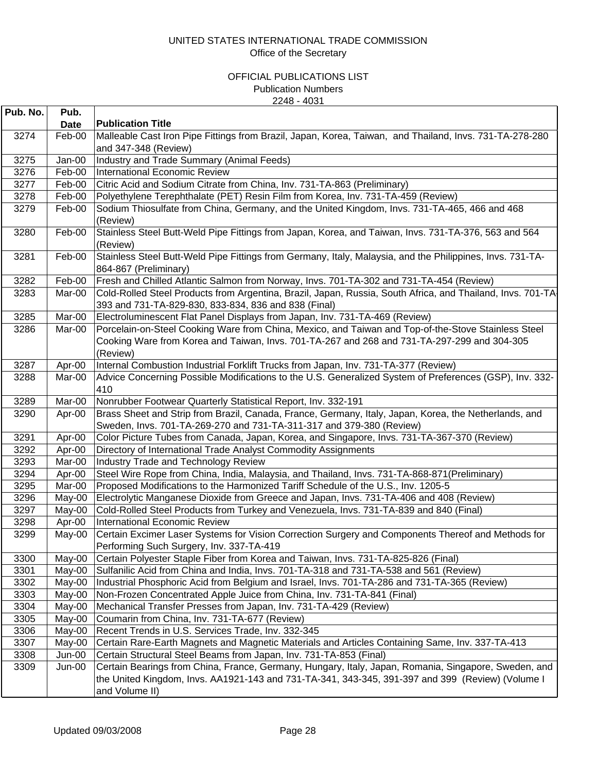| Pub. No. | Pub.     |                                                                                                                                                                                                                |
|----------|----------|----------------------------------------------------------------------------------------------------------------------------------------------------------------------------------------------------------------|
|          | Date     | <b>Publication Title</b>                                                                                                                                                                                       |
| 3274     | Feb-00   | Malleable Cast Iron Pipe Fittings from Brazil, Japan, Korea, Taiwan, and Thailand, Invs. 731-TA-278-280<br>and 347-348 (Review)                                                                                |
| 3275     | Jan-00   | Industry and Trade Summary (Animal Feeds)                                                                                                                                                                      |
| 3276     | Feb-00   | International Economic Review                                                                                                                                                                                  |
| 3277     | Feb-00   | Citric Acid and Sodium Citrate from China, Inv. 731-TA-863 (Preliminary)                                                                                                                                       |
| 3278     | Feb-00   | Polyethylene Terephthalate (PET) Resin Film from Korea, Inv. 731-TA-459 (Review)                                                                                                                               |
| 3279     | Feb-00   | Sodium Thiosulfate from China, Germany, and the United Kingdom, Invs. 731-TA-465, 466 and 468<br>(Review)                                                                                                      |
| 3280     | Feb-00   | Stainless Steel Butt-Weld Pipe Fittings from Japan, Korea, and Taiwan, Invs. 731-TA-376, 563 and 564<br>(Review)                                                                                               |
| 3281     | Feb-00   | Stainless Steel Butt-Weld Pipe Fittings from Germany, Italy, Malaysia, and the Philippines, Invs. 731-TA-<br>864-867 (Preliminary)                                                                             |
| 3282     | Feb-00   | Fresh and Chilled Atlantic Salmon from Norway, Invs. 701-TA-302 and 731-TA-454 (Review)                                                                                                                        |
| 3283     | Mar-00   | Cold-Rolled Steel Products from Argentina, Brazil, Japan, Russia, South Africa, and Thailand, Invs. 701-TA<br>393 and 731-TA-829-830, 833-834, 836 and 838 (Final)                                             |
| 3285     | Mar-00   | Electroluminescent Flat Panel Displays from Japan, Inv. 731-TA-469 (Review)                                                                                                                                    |
| 3286     | Mar-00   | Porcelain-on-Steel Cooking Ware from China, Mexico, and Taiwan and Top-of-the-Stove Stainless Steel<br>Cooking Ware from Korea and Taiwan, Invs. 701-TA-267 and 268 and 731-TA-297-299 and 304-305<br>(Review) |
| 3287     | Apr-00   | Internal Combustion Industrial Forklift Trucks from Japan, Inv. 731-TA-377 (Review)                                                                                                                            |
| 3288     | Mar-00   | Advice Concerning Possible Modifications to the U.S. Generalized System of Preferences (GSP), Inv. 332-<br>410                                                                                                 |
| 3289     | Mar-00   | Nonrubber Footwear Quarterly Statistical Report, Inv. 332-191                                                                                                                                                  |
| 3290     | Apr-00   | Brass Sheet and Strip from Brazil, Canada, France, Germany, Italy, Japan, Korea, the Netherlands, and<br>Sweden, Invs. 701-TA-269-270 and 731-TA-311-317 and 379-380 (Review)                                  |
| 3291     | Apr-00   | Color Picture Tubes from Canada, Japan, Korea, and Singapore, Invs. 731-TA-367-370 (Review)                                                                                                                    |
| 3292     | Apr-00   | Directory of International Trade Analyst Commodity Assignments                                                                                                                                                 |
| 3293     | Mar-00   | Industry Trade and Technology Review                                                                                                                                                                           |
| 3294     | Apr-00   | Steel Wire Rope from China, India, Malaysia, and Thailand, Invs. 731-TA-868-871(Preliminary)                                                                                                                   |
| 3295     | Mar-00   | Proposed Modifications to the Harmonized Tariff Schedule of the U.S., Inv. 1205-5                                                                                                                              |
| 3296     | May-00   | Electrolytic Manganese Dioxide from Greece and Japan, Invs. 731-TA-406 and 408 (Review)                                                                                                                        |
| 3297     | May-00   | Cold-Rolled Steel Products from Turkey and Venezuela, Invs. 731-TA-839 and 840 (Final)                                                                                                                         |
| 3298     | Apr-00   | International Economic Review                                                                                                                                                                                  |
| 3299     | May-00   | Certain Excimer Laser Systems for Vision Correction Surgery and Components Thereof and Methods for<br>Performing Such Surgery, Inv. 337-TA-419                                                                 |
| 3300     | May-00   | Certain Polyester Staple Fiber from Korea and Taiwan, Invs. 731-TA-825-826 (Final)                                                                                                                             |
| 3301     | May-00   | Sulfanilic Acid from China and India, Invs. 701-TA-318 and 731-TA-538 and 561 (Review)                                                                                                                         |
| 3302     | May-00   | Industrial Phosphoric Acid from Belgium and Israel, Invs. 701-TA-286 and 731-TA-365 (Review)                                                                                                                   |
| 3303     | May-00   | Non-Frozen Concentrated Apple Juice from China, Inv. 731-TA-841 (Final)                                                                                                                                        |
| 3304     | $May-00$ | Mechanical Transfer Presses from Japan, Inv. 731-TA-429 (Review)                                                                                                                                               |
| 3305     | May-00   | Coumarin from China, Inv. 731-TA-677 (Review)                                                                                                                                                                  |
| 3306     | May-00   | Recent Trends in U.S. Services Trade, Inv. 332-345                                                                                                                                                             |
| 3307     | May-00   | Certain Rare-Earth Magnets and Magnetic Materials and Articles Containing Same, Inv. 337-TA-413                                                                                                                |
| 3308     | Jun-00   | Certain Structural Steel Beams from Japan, Inv. 731-TA-853 (Final)                                                                                                                                             |
| 3309     | Jun-00   | Certain Bearings from China, France, Germany, Hungary, Italy, Japan, Romania, Singapore, Sweden, and<br>the United Kingdom, Invs. AA1921-143 and 731-TA-341, 343-345, 391-397 and 399 (Review) (Volume I       |
|          |          | and Volume II)                                                                                                                                                                                                 |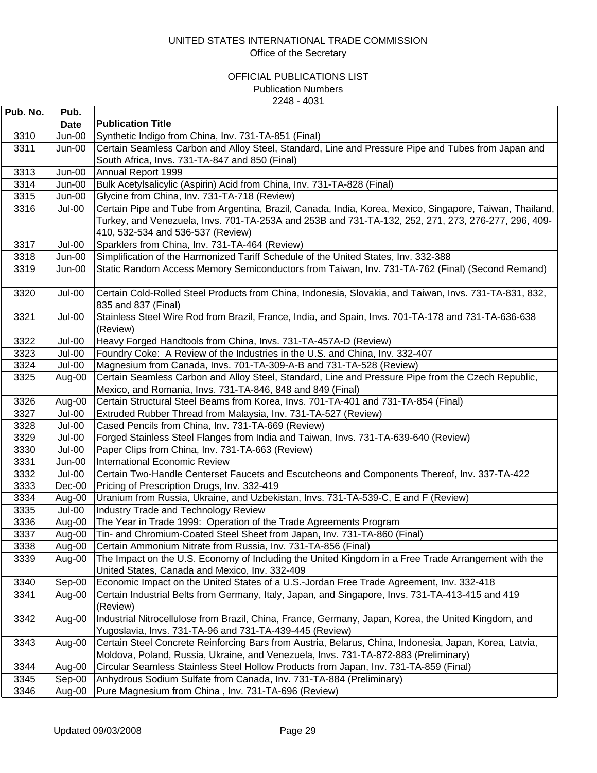| Pub. No. | Pub.        |                                                                                                                                                                                                                                                      |
|----------|-------------|------------------------------------------------------------------------------------------------------------------------------------------------------------------------------------------------------------------------------------------------------|
|          | <b>Date</b> | <b>Publication Title</b>                                                                                                                                                                                                                             |
| 3310     | Jun-00      | Synthetic Indigo from China, Inv. 731-TA-851 (Final)                                                                                                                                                                                                 |
| 3311     | Jun-00      | Certain Seamless Carbon and Alloy Steel, Standard, Line and Pressure Pipe and Tubes from Japan and                                                                                                                                                   |
|          |             | South Africa, Invs. 731-TA-847 and 850 (Final)                                                                                                                                                                                                       |
| 3313     | $Jun-00$    | Annual Report 1999                                                                                                                                                                                                                                   |
| 3314     | Jun-00      | Bulk Acetylsalicylic (Aspirin) Acid from China, Inv. 731-TA-828 (Final)                                                                                                                                                                              |
| 3315     | Jun-00      | Glycine from China, Inv. 731-TA-718 (Review)                                                                                                                                                                                                         |
| 3316     | Jul-00      | Certain Pipe and Tube from Argentina, Brazil, Canada, India, Korea, Mexico, Singapore, Taiwan, Thailand,<br>Turkey, and Venezuela, Invs. 701-TA-253A and 253B and 731-TA-132, 252, 271, 273, 276-277, 296, 409-<br>410, 532-534 and 536-537 (Review) |
| 3317     | Jul-00      | Sparklers from China, Inv. 731-TA-464 (Review)                                                                                                                                                                                                       |
| 3318     | Jun-00      | Simplification of the Harmonized Tariff Schedule of the United States, Inv. 332-388                                                                                                                                                                  |
| 3319     | Jun-00      | Static Random Access Memory Semiconductors from Taiwan, Inv. 731-TA-762 (Final) (Second Remand)                                                                                                                                                      |
| 3320     | Jul-00      | Certain Cold-Rolled Steel Products from China, Indonesia, Slovakia, and Taiwan, Invs. 731-TA-831, 832,<br>835 and 837 (Final)                                                                                                                        |
| 3321     | Jul-00      | Stainless Steel Wire Rod from Brazil, France, India, and Spain, Invs. 701-TA-178 and 731-TA-636-638<br>(Review)                                                                                                                                      |
| 3322     | Jul-00      | Heavy Forged Handtools from China, Invs. 731-TA-457A-D (Review)                                                                                                                                                                                      |
| 3323     | Jul-00      | Foundry Coke: A Review of the Industries in the U.S. and China, Inv. 332-407                                                                                                                                                                         |
| 3324     | Jul-00      | Magnesium from Canada, Invs. 701-TA-309-A-B and 731-TA-528 (Review)                                                                                                                                                                                  |
| 3325     | Aug-00      | Certain Seamless Carbon and Alloy Steel, Standard, Line and Pressure Pipe from the Czech Republic,                                                                                                                                                   |
|          |             | Mexico, and Romania, Invs. 731-TA-846, 848 and 849 (Final)                                                                                                                                                                                           |
| 3326     | Aug-00      | Certain Structural Steel Beams from Korea, Invs. 701-TA-401 and 731-TA-854 (Final)                                                                                                                                                                   |
| 3327     | Jul-00      | Extruded Rubber Thread from Malaysia, Inv. 731-TA-527 (Review)                                                                                                                                                                                       |
| 3328     | Jul-00      | Cased Pencils from China, Inv. 731-TA-669 (Review)                                                                                                                                                                                                   |
| 3329     | Jul-00      | Forged Stainless Steel Flanges from India and Taiwan, Invs. 731-TA-639-640 (Review)                                                                                                                                                                  |
| 3330     | Jul-00      | Paper Clips from China, Inv. 731-TA-663 (Review)                                                                                                                                                                                                     |
| 3331     | Jun-00      | International Economic Review                                                                                                                                                                                                                        |
| 3332     | Jul-00      | Certain Two-Handle Centerset Faucets and Escutcheons and Components Thereof, Inv. 337-TA-422                                                                                                                                                         |
| 3333     | Dec-00      | Pricing of Prescription Drugs, Inv. 332-419                                                                                                                                                                                                          |
| 3334     | Aug-00      | Uranium from Russia, Ukraine, and Uzbekistan, Invs. 731-TA-539-C, E and F (Review)                                                                                                                                                                   |
| 3335     | Jul-00      | Industry Trade and Technology Review                                                                                                                                                                                                                 |
| 3336     | Aug-00      | The Year in Trade 1999: Operation of the Trade Agreements Program                                                                                                                                                                                    |
| 3337     | Aug-00      | Tin- and Chromium-Coated Steel Sheet from Japan, Inv. 731-TA-860 (Final)                                                                                                                                                                             |
| 3338     | Aug-00      | Certain Ammonium Nitrate from Russia, Inv. 731-TA-856 (Final)                                                                                                                                                                                        |
| 3339     | Aug-00      | The Impact on the U.S. Economy of Including the United Kingdom in a Free Trade Arrangement with the<br>United States, Canada and Mexico, Inv. 332-409                                                                                                |
| 3340     | Sep-00      | Economic Impact on the United States of a U.S.-Jordan Free Trade Agreement, Inv. 332-418                                                                                                                                                             |
| 3341     | Aug-00      | Certain Industrial Belts from Germany, Italy, Japan, and Singapore, Invs. 731-TA-413-415 and 419                                                                                                                                                     |
|          |             | (Review)                                                                                                                                                                                                                                             |
| 3342     | Aug-00      | Industrial Nitrocellulose from Brazil, China, France, Germany, Japan, Korea, the United Kingdom, and                                                                                                                                                 |
|          |             | Yugoslavia, Invs. 731-TA-96 and 731-TA-439-445 (Review)                                                                                                                                                                                              |
| 3343     | Aug-00      | Certain Steel Concrete Reinforcing Bars from Austria, Belarus, China, Indonesia, Japan, Korea, Latvia,                                                                                                                                               |
|          |             | Moldova, Poland, Russia, Ukraine, and Venezuela, Invs. 731-TA-872-883 (Preliminary)                                                                                                                                                                  |
| 3344     | Aug-00      | Circular Seamless Stainless Steel Hollow Products from Japan, Inv. 731-TA-859 (Final)                                                                                                                                                                |
| 3345     | Sep-00      | Anhydrous Sodium Sulfate from Canada, Inv. 731-TA-884 (Preliminary)                                                                                                                                                                                  |
| 3346     | Aug-00      | Pure Magnesium from China, Inv. 731-TA-696 (Review)                                                                                                                                                                                                  |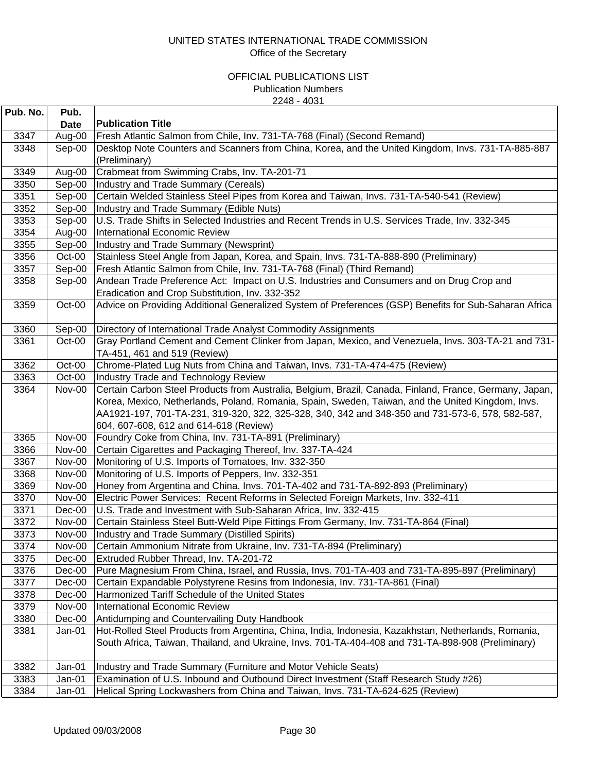| Pub. No. | Pub.          |                                                                                                         |
|----------|---------------|---------------------------------------------------------------------------------------------------------|
|          | <b>Date</b>   | <b>Publication Title</b>                                                                                |
| 3347     | Aug-00        | Fresh Atlantic Salmon from Chile, Inv. 731-TA-768 (Final) (Second Remand)                               |
| 3348     | Sep-00        | Desktop Note Counters and Scanners from China, Korea, and the United Kingdom, Invs. 731-TA-885-887      |
|          |               | (Preliminary)                                                                                           |
| 3349     | Aug-00        | Crabmeat from Swimming Crabs, Inv. TA-201-71                                                            |
| 3350     | Sep-00        | Industry and Trade Summary (Cereals)                                                                    |
| 3351     | Sep-00        | Certain Welded Stainless Steel Pipes from Korea and Taiwan, Invs. 731-TA-540-541 (Review)               |
| 3352     | Sep-00        | Industry and Trade Summary (Edible Nuts)                                                                |
| 3353     | Sep-00        | U.S. Trade Shifts in Selected Industries and Recent Trends in U.S. Services Trade, Inv. 332-345         |
| 3354     | Aug-00        | <b>International Economic Review</b>                                                                    |
| 3355     | Sep-00        | Industry and Trade Summary (Newsprint)                                                                  |
| 3356     | Oct-00        | Stainless Steel Angle from Japan, Korea, and Spain, Invs. 731-TA-888-890 (Preliminary)                  |
| 3357     | Sep-00        | Fresh Atlantic Salmon from Chile, Inv. 731-TA-768 (Final) (Third Remand)                                |
| 3358     | Sep-00        | Andean Trade Preference Act: Impact on U.S. Industries and Consumers and on Drug Crop and               |
|          |               | Eradication and Crop Substitution, Inv. 332-352                                                         |
| 3359     | Oct-00        | Advice on Providing Additional Generalized System of Preferences (GSP) Benefits for Sub-Saharan Africa  |
| 3360     | Sep-00        | Directory of International Trade Analyst Commodity Assignments                                          |
| 3361     | Oct-00        | Gray Portland Cement and Cement Clinker from Japan, Mexico, and Venezuela, Invs. 303-TA-21 and 731-     |
|          |               | TA-451, 461 and 519 (Review)                                                                            |
| 3362     | Oct-00        | Chrome-Plated Lug Nuts from China and Taiwan, Invs. 731-TA-474-475 (Review)                             |
| 3363     | Oct-00        | Industry Trade and Technology Review                                                                    |
| 3364     | <b>Nov-00</b> | Certain Carbon Steel Products from Australia, Belgium, Brazil, Canada, Finland, France, Germany, Japan, |
|          |               | Korea, Mexico, Netherlands, Poland, Romania, Spain, Sweden, Taiwan, and the United Kingdom, Invs.       |
|          |               | AA1921-197, 701-TA-231, 319-320, 322, 325-328, 340, 342 and 348-350 and 731-573-6, 578, 582-587,        |
|          |               | 604, 607-608, 612 and 614-618 (Review)                                                                  |
| 3365     | <b>Nov-00</b> | Foundry Coke from China, Inv. 731-TA-891 (Preliminary)                                                  |
| 3366     | Nov-00        | Certain Cigarettes and Packaging Thereof, Inv. 337-TA-424                                               |
| 3367     | <b>Nov-00</b> | Monitoring of U.S. Imports of Tomatoes, Inv. 332-350                                                    |
| 3368     | <b>Nov-00</b> | Monitoring of U.S. Imports of Peppers, Inv. 332-351                                                     |
| 3369     | <b>Nov-00</b> | Honey from Argentina and China, Invs. 701-TA-402 and 731-TA-892-893 (Preliminary)                       |
| 3370     | <b>Nov-00</b> | Electric Power Services: Recent Reforms in Selected Foreign Markets, Inv. 332-411                       |
| 3371     | $Dec-00$      | U.S. Trade and Investment with Sub-Saharan Africa, Inv. 332-415                                         |
| 3372     | Nov-00        | Certain Stainless Steel Butt-Weld Pipe Fittings From Germany, Inv. 731-TA-864 (Final)                   |
| 3373     | <b>Nov-00</b> | Industry and Trade Summary (Distilled Spirits)                                                          |
| 3374     | <b>Nov-00</b> | Certain Ammonium Nitrate from Ukraine, Inv. 731-TA-894 (Preliminary)                                    |
| 3375     | Dec-00        | Extruded Rubber Thread, Inv. TA-201-72                                                                  |
| 3376     | Dec-00        | Pure Magnesium From China, Israel, and Russia, Invs. 701-TA-403 and 731-TA-895-897 (Preliminary)        |
| 3377     | $Dec-00$      | Certain Expandable Polystyrene Resins from Indonesia, Inv. 731-TA-861 (Final)                           |
| 3378     | $Dec-00$      | Harmonized Tariff Schedule of the United States                                                         |
| 3379     | <b>Nov-00</b> | <b>International Economic Review</b>                                                                    |
| 3380     | Dec-00        | Antidumping and Countervailing Duty Handbook                                                            |
| 3381     | Jan-01        | Hot-Rolled Steel Products from Argentina, China, India, Indonesia, Kazakhstan, Netherlands, Romania,    |
|          |               | South Africa, Taiwan, Thailand, and Ukraine, Invs. 701-TA-404-408 and 731-TA-898-908 (Preliminary)      |
|          |               |                                                                                                         |
| 3382     | Jan-01        | Industry and Trade Summary (Furniture and Motor Vehicle Seats)                                          |
| 3383     | Jan-01        | Examination of U.S. Inbound and Outbound Direct Investment (Staff Research Study #26)                   |
| 3384     | Jan-01        | Helical Spring Lockwashers from China and Taiwan, Invs. 731-TA-624-625 (Review)                         |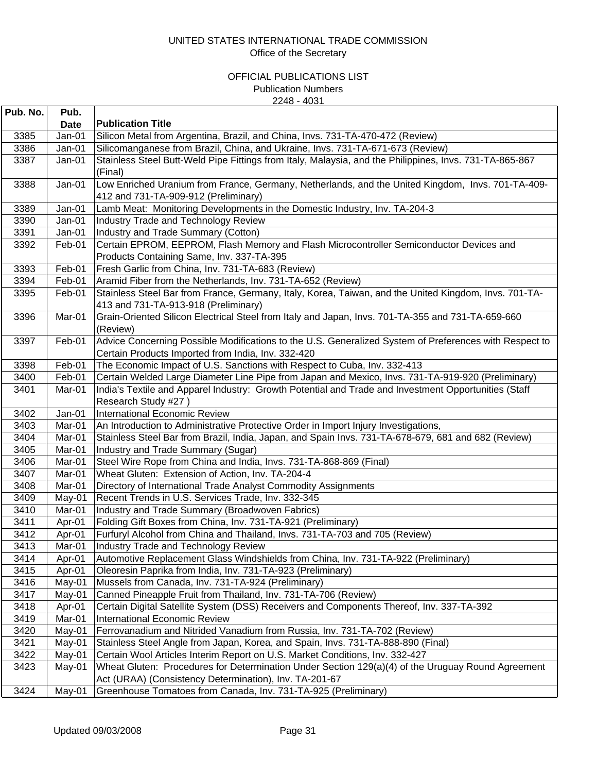| Pub. No.     | Pub.             |                                                                                                                                                               |
|--------------|------------------|---------------------------------------------------------------------------------------------------------------------------------------------------------------|
|              | <b>Date</b>      | <b>Publication Title</b>                                                                                                                                      |
| 3385         | Jan-01           | Silicon Metal from Argentina, Brazil, and China, Invs. 731-TA-470-472 (Review)                                                                                |
| 3386         | Jan-01           | Silicomanganese from Brazil, China, and Ukraine, Invs. 731-TA-671-673 (Review)                                                                                |
| 3387         | Jan-01           | Stainless Steel Butt-Weld Pipe Fittings from Italy, Malaysia, and the Philippines, Invs. 731-TA-865-867                                                       |
|              |                  | (Final)                                                                                                                                                       |
| 3388         | Jan-01           | Low Enriched Uranium from France, Germany, Netherlands, and the United Kingdom, Invs. 701-TA-409-                                                             |
|              |                  | 412 and 731-TA-909-912 (Preliminary)                                                                                                                          |
| 3389         | Jan-01           | Lamb Meat: Monitoring Developments in the Domestic Industry, Inv. TA-204-3                                                                                    |
| 3390         | Jan-01           | <b>Industry Trade and Technology Review</b>                                                                                                                   |
| 3391         | Jan-01           | Industry and Trade Summary (Cotton)                                                                                                                           |
| 3392         | Feb-01           | Certain EPROM, EEPROM, Flash Memory and Flash Microcontroller Semiconductor Devices and                                                                       |
|              |                  | Products Containing Same, Inv. 337-TA-395                                                                                                                     |
| 3393         | Feb-01           | Fresh Garlic from China, Inv. 731-TA-683 (Review)                                                                                                             |
| 3394         | Feb-01           | Aramid Fiber from the Netherlands, Inv. 731-TA-652 (Review)                                                                                                   |
| 3395         | Feb-01           | Stainless Steel Bar from France, Germany, Italy, Korea, Taiwan, and the United Kingdom, Invs. 701-TA-                                                         |
|              |                  | 413 and 731-TA-913-918 (Preliminary)                                                                                                                          |
| 3396         | Mar-01           | Grain-Oriented Silicon Electrical Steel from Italy and Japan, Invs. 701-TA-355 and 731-TA-659-660                                                             |
|              |                  | (Review)                                                                                                                                                      |
| 3397         | Feb-01           | Advice Concerning Possible Modifications to the U.S. Generalized System of Preferences with Respect to                                                        |
|              |                  | Certain Products Imported from India, Inv. 332-420                                                                                                            |
| 3398         | Feb-01           | The Economic Impact of U.S. Sanctions with Respect to Cuba, Inv. 332-413                                                                                      |
| 3400         | Feb-01           | Certain Welded Large Diameter Line Pipe from Japan and Mexico, Invs. 731-TA-919-920 (Preliminary)                                                             |
| 3401         | Mar-01           | India's Textile and Apparel Industry: Growth Potential and Trade and Investment Opportunities (Staff                                                          |
|              |                  | Research Study #27)                                                                                                                                           |
| 3402         | Jan-01           | <b>International Economic Review</b>                                                                                                                          |
| 3403         | Mar-01           | An Introduction to Administrative Protective Order in Import Injury Investigations,                                                                           |
| 3404         | Mar-01           | Stainless Steel Bar from Brazil, India, Japan, and Spain Invs. 731-TA-678-679, 681 and 682 (Review)                                                           |
| 3405         | Mar-01           | Industry and Trade Summary (Sugar)                                                                                                                            |
| 3406         | Mar-01           | Steel Wire Rope from China and India, Invs. 731-TA-868-869 (Final)                                                                                            |
| 3407         | Mar-01           | Wheat Gluten: Extension of Action, Inv. TA-204-4                                                                                                              |
| 3408         | Mar-01           | Directory of International Trade Analyst Commodity Assignments                                                                                                |
| 3409         | May-01           | Recent Trends in U.S. Services Trade, Inv. 332-345                                                                                                            |
| 3410         | Mar-01           | Industry and Trade Summary (Broadwoven Fabrics)                                                                                                               |
| 3411         | Apr-01           | Folding Gift Boxes from China, Inv. 731-TA-921 (Preliminary)                                                                                                  |
| 3412<br>3413 | Apr-01<br>Mar-01 | Furfuryl Alcohol from China and Thailand, Invs. 731-TA-703 and 705 (Review)<br><b>Industry Trade and Technology Review</b>                                    |
| 3414         |                  |                                                                                                                                                               |
| 3415         | Apr-01<br>Apr-01 | Automotive Replacement Glass Windshields from China, Inv. 731-TA-922 (Preliminary)<br>Oleoresin Paprika from India, Inv. 731-TA-923 (Preliminary)             |
| 3416         | May-01           | Mussels from Canada, Inv. 731-TA-924 (Preliminary)                                                                                                            |
| 3417         |                  | Canned Pineapple Fruit from Thailand, Inv. 731-TA-706 (Review)                                                                                                |
| 3418         | May-01<br>Apr-01 | Certain Digital Satellite System (DSS) Receivers and Components Thereof, Inv. 337-TA-392                                                                      |
| 3419         | Mar-01           | <b>International Economic Review</b>                                                                                                                          |
| 3420         |                  |                                                                                                                                                               |
| 3421         | May-01<br>May-01 | Ferrovanadium and Nitrided Vanadium from Russia, Inv. 731-TA-702 (Review)<br>Stainless Steel Angle from Japan, Korea, and Spain, Invs. 731-TA-888-890 (Final) |
| 3422         | May-01           | Certain Wool Articles Interim Report on U.S. Market Conditions, Inv. 332-427                                                                                  |
| 3423         | May-01           | Wheat Gluten: Procedures for Determination Under Section 129(a)(4) of the Uruguay Round Agreement                                                             |
|              |                  | Act (URAA) (Consistency Determination), Inv. TA-201-67                                                                                                        |
| 3424         | May-01           | Greenhouse Tomatoes from Canada, Inv. 731-TA-925 (Preliminary)                                                                                                |
|              |                  |                                                                                                                                                               |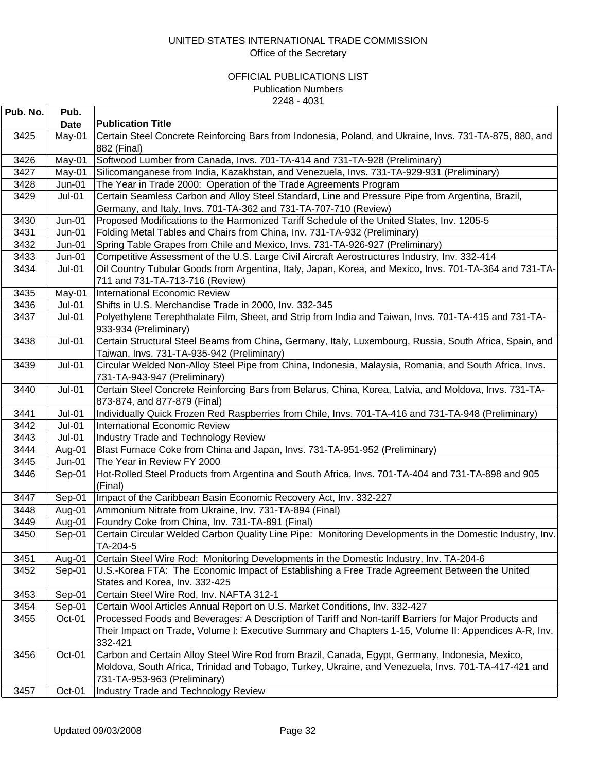| Pub. No.     | Pub.        |                                                                                                                                      |
|--------------|-------------|--------------------------------------------------------------------------------------------------------------------------------------|
|              | <b>Date</b> | <b>Publication Title</b>                                                                                                             |
| 3425         | May-01      | Certain Steel Concrete Reinforcing Bars from Indonesia, Poland, and Ukraine, Invs. 731-TA-875, 880, and<br>882 (Final)               |
| 3426         | May-01      | Softwood Lumber from Canada, Invs. 701-TA-414 and 731-TA-928 (Preliminary)                                                           |
| 3427         | May-01      | Silicomanganese from India, Kazakhstan, and Venezuela, Invs. 731-TA-929-931 (Preliminary)                                            |
| 3428         | $Jun-01$    | The Year in Trade 2000: Operation of the Trade Agreements Program                                                                    |
| 3429         | Jul-01      | Certain Seamless Carbon and Alloy Steel Standard, Line and Pressure Pipe from Argentina, Brazil,                                     |
|              |             | Germany, and Italy, Invs. 701-TA-362 and 731-TA-707-710 (Review)                                                                     |
| 3430         | Jun-01      | Proposed Modifications to the Harmonized Tariff Schedule of the United States, Inv. 1205-5                                           |
| 3431         | Jun-01      | Folding Metal Tables and Chairs from China, Inv. 731-TA-932 (Preliminary)                                                            |
| 3432         | $Jun-01$    | Spring Table Grapes from Chile and Mexico, Invs. 731-TA-926-927 (Preliminary)                                                        |
| 3433         | $Jun-01$    | Competitive Assessment of the U.S. Large Civil Aircraft Aerostructures Industry, Inv. 332-414                                        |
| 3434         | Jul-01      | Oil Country Tubular Goods from Argentina, Italy, Japan, Korea, and Mexico, Invs. 701-TA-364 and 731-TA-                              |
|              |             | 711 and 731-TA-713-716 (Review)                                                                                                      |
| 3435         | May-01      | International Economic Review                                                                                                        |
| 3436         | Jul-01      | Shifts in U.S. Merchandise Trade in 2000, Inv. 332-345                                                                               |
| 3437         | Jul-01      | Polyethylene Terephthalate Film, Sheet, and Strip from India and Taiwan, Invs. 701-TA-415 and 731-TA-<br>933-934 (Preliminary)       |
| 3438         | $Jul-01$    | Certain Structural Steel Beams from China, Germany, Italy, Luxembourg, Russia, South Africa, Spain, and                              |
|              |             | Taiwan, Invs. 731-TA-935-942 (Preliminary)                                                                                           |
| 3439         | $Jul-01$    | Circular Welded Non-Alloy Steel Pipe from China, Indonesia, Malaysia, Romania, and South Africa, Invs.                               |
|              |             | 731-TA-943-947 (Preliminary)                                                                                                         |
| 3440         | $Jul-01$    | Certain Steel Concrete Reinforcing Bars from Belarus, China, Korea, Latvia, and Moldova, Invs. 731-TA-                               |
|              |             | 873-874, and 877-879 (Final)                                                                                                         |
| 3441         | $Jul-01$    | Individually Quick Frozen Red Raspberries from Chile, Invs. 701-TA-416 and 731-TA-948 (Preliminary)                                  |
| 3442         | $Jul-01$    | International Economic Review                                                                                                        |
| 3443         | $Jul-01$    | <b>Industry Trade and Technology Review</b>                                                                                          |
| 3444         | Aug-01      | Blast Furnace Coke from China and Japan, Invs. 731-TA-951-952 (Preliminary)                                                          |
| 3445<br>3446 | Jun-01      | The Year in Review FY 2000<br>Hot-Rolled Steel Products from Argentina and South Africa, Invs. 701-TA-404 and 731-TA-898 and 905     |
|              | Sep-01      | (Final)                                                                                                                              |
| 3447         | Sep-01      | Impact of the Caribbean Basin Economic Recovery Act, Inv. 332-227                                                                    |
| 3448         | Aug-01      | Ammonium Nitrate from Ukraine, Inv. 731-TA-894 (Final)                                                                               |
| 3449         | Aug-01      | Foundry Coke from China, Inv. 731-TA-891 (Final)                                                                                     |
| 3450         | Sep-01      | Certain Circular Welded Carbon Quality Line Pipe: Monitoring Developments in the Domestic Industry, Inv.                             |
|              |             | TA-204-5                                                                                                                             |
| 3451         | Aug-01      | Certain Steel Wire Rod: Monitoring Developments in the Domestic Industry, Inv. TA-204-6                                              |
| 3452         | Sep-01      | U.S.-Korea FTA: The Economic Impact of Establishing a Free Trade Agreement Between the United                                        |
|              |             | States and Korea, Inv. 332-425                                                                                                       |
| 3453         | Sep-01      | Certain Steel Wire Rod, Inv. NAFTA 312-1                                                                                             |
| 3454         | Sep-01      | Certain Wool Articles Annual Report on U.S. Market Conditions, Inv. 332-427                                                          |
| 3455         | Oct-01      | Processed Foods and Beverages: A Description of Tariff and Non-tariff Barriers for Major Products and                                |
|              |             | Their Impact on Trade, Volume I: Executive Summary and Chapters 1-15, Volume II: Appendices A-R, Inv.<br>332-421                     |
| 3456         | Oct-01      | Carbon and Certain Alloy Steel Wire Rod from Brazil, Canada, Egypt, Germany, Indonesia, Mexico,                                      |
|              |             | Moldova, South Africa, Trinidad and Tobago, Turkey, Ukraine, and Venezuela, Invs. 701-TA-417-421 and<br>731-TA-953-963 (Preliminary) |
| 3457         | Oct-01      | Industry Trade and Technology Review                                                                                                 |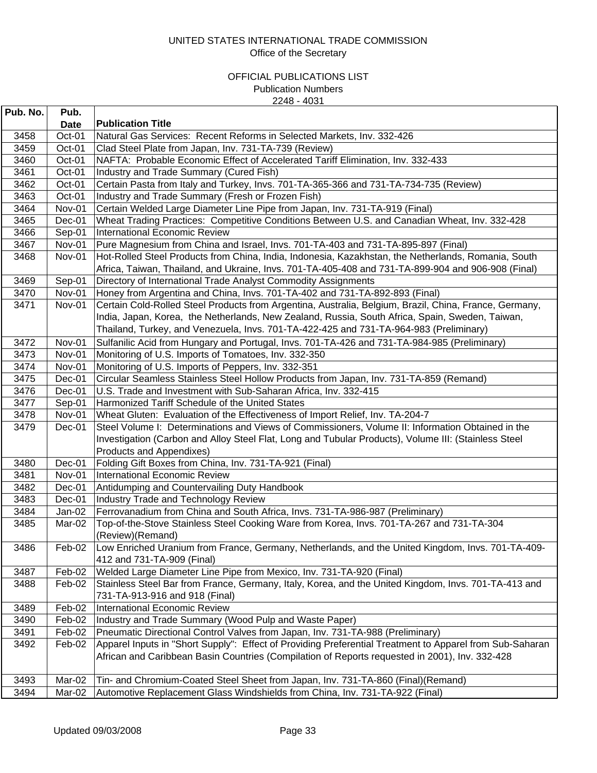| Pub. No. | Pub.          |                                                                                                          |
|----------|---------------|----------------------------------------------------------------------------------------------------------|
|          | Date          | <b>Publication Title</b>                                                                                 |
| 3458     | Oct-01        | Natural Gas Services: Recent Reforms in Selected Markets, Inv. 332-426                                   |
| 3459     | Oct-01        | Clad Steel Plate from Japan, Inv. 731-TA-739 (Review)                                                    |
| 3460     | Oct-01        | NAFTA: Probable Economic Effect of Accelerated Tariff Elimination, Inv. 332-433                          |
| 3461     | Oct-01        | Industry and Trade Summary (Cured Fish)                                                                  |
| 3462     | Oct-01        | Certain Pasta from Italy and Turkey, Invs. 701-TA-365-366 and 731-TA-734-735 (Review)                    |
| 3463     | Oct-01        | Industry and Trade Summary (Fresh or Frozen Fish)                                                        |
| 3464     | Nov-01        | Certain Welded Large Diameter Line Pipe from Japan, Inv. 731-TA-919 (Final)                              |
| 3465     | Dec-01        | Wheat Trading Practices: Competitive Conditions Between U.S. and Canadian Wheat, Inv. 332-428            |
| 3466     | Sep-01        | <b>International Economic Review</b>                                                                     |
| 3467     | Nov-01        | Pure Magnesium from China and Israel, Invs. 701-TA-403 and 731-TA-895-897 (Final)                        |
| 3468     | Nov-01        | Hot-Rolled Steel Products from China, India, Indonesia, Kazakhstan, the Netherlands, Romania, South      |
|          |               | Africa, Taiwan, Thailand, and Ukraine, Invs. 701-TA-405-408 and 731-TA-899-904 and 906-908 (Final)       |
| 3469     | Sep-01        | Directory of International Trade Analyst Commodity Assignments                                           |
| 3470     | Nov-01        | Honey from Argentina and China, Invs. 701-TA-402 and 731-TA-892-893 (Final)                              |
| 3471     | Nov-01        | Certain Cold-Rolled Steel Products from Argentina, Australia, Belgium, Brazil, China, France, Germany,   |
|          |               | India, Japan, Korea, the Netherlands, New Zealand, Russia, South Africa, Spain, Sweden, Taiwan,          |
|          |               | Thailand, Turkey, and Venezuela, Invs. 701-TA-422-425 and 731-TA-964-983 (Preliminary)                   |
| 3472     | Nov-01        | Sulfanilic Acid from Hungary and Portugal, Invs. 701-TA-426 and 731-TA-984-985 (Preliminary)             |
| 3473     | Nov-01        | Monitoring of U.S. Imports of Tomatoes, Inv. 332-350                                                     |
| 3474     | Nov-01        | Monitoring of U.S. Imports of Peppers, Inv. 332-351                                                      |
| 3475     | Dec-01        | Circular Seamless Stainless Steel Hollow Products from Japan, Inv. 731-TA-859 (Remand)                   |
| 3476     | Dec-01        | U.S. Trade and Investment with Sub-Saharan Africa, Inv. 332-415                                          |
| 3477     | Sep-01        | Harmonized Tariff Schedule of the United States                                                          |
| 3478     | <b>Nov-01</b> | Wheat Gluten: Evaluation of the Effectiveness of Import Relief, Inv. TA-204-7                            |
| 3479     | Dec-01        | Steel Volume I: Determinations and Views of Commissioners, Volume II: Information Obtained in the        |
|          |               | Investigation (Carbon and Alloy Steel Flat, Long and Tubular Products), Volume III: (Stainless Steel     |
|          |               | Products and Appendixes)                                                                                 |
| 3480     | Dec-01        | Folding Gift Boxes from China, Inv. 731-TA-921 (Final)                                                   |
| 3481     | Nov-01        | International Economic Review                                                                            |
| 3482     | Dec-01        | Antidumping and Countervailing Duty Handbook                                                             |
| 3483     | Dec-01        | Industry Trade and Technology Review                                                                     |
| 3484     | $Jan-02$      | Ferrovanadium from China and South Africa, Invs. 731-TA-986-987 (Preliminary)                            |
| 3485     | Mar-02        | Top-of-the-Stove Stainless Steel Cooking Ware from Korea, Invs. 701-TA-267 and 731-TA-304                |
|          |               | (Review)(Remand)                                                                                         |
| 3486     | Feb-02        | Low Enriched Uranium from France, Germany, Netherlands, and the United Kingdom, Invs. 701-TA-409-        |
|          |               | 412 and 731-TA-909 (Final)                                                                               |
| 3487     | Feb-02        | Welded Large Diameter Line Pipe from Mexico, Inv. 731-TA-920 (Final)                                     |
| 3488     | Feb-02        | Stainless Steel Bar from France, Germany, Italy, Korea, and the United Kingdom, Invs. 701-TA-413 and     |
|          |               | 731-TA-913-916 and 918 (Final)                                                                           |
| 3489     | Feb-02        | <b>International Economic Review</b>                                                                     |
| 3490     | Feb-02        | Industry and Trade Summary (Wood Pulp and Waste Paper)                                                   |
| 3491     | Feb-02        | Pneumatic Directional Control Valves from Japan, Inv. 731-TA-988 (Preliminary)                           |
| 3492     | Feb-02        | Apparel Inputs in "Short Supply": Effect of Providing Preferential Treatment to Apparel from Sub-Saharan |
|          |               | African and Caribbean Basin Countries (Compilation of Reports requested in 2001), Inv. 332-428           |
|          |               |                                                                                                          |
| 3493     | Mar-02        | Tin- and Chromium-Coated Steel Sheet from Japan, Inv. 731-TA-860 (Final)(Remand)                         |
| 3494     | Mar-02        | Automotive Replacement Glass Windshields from China, Inv. 731-TA-922 (Final)                             |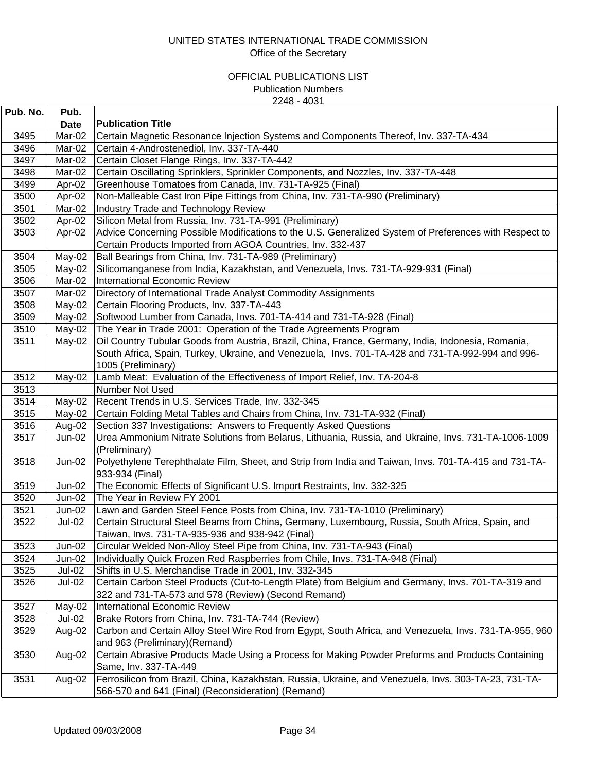| Pub. No.     | Pub.                           |                                                                                                                                          |
|--------------|--------------------------------|------------------------------------------------------------------------------------------------------------------------------------------|
|              | <b>Date</b>                    | <b>Publication Title</b>                                                                                                                 |
| 3495         | Mar-02                         | Certain Magnetic Resonance Injection Systems and Components Thereof, Inv. 337-TA-434                                                     |
| 3496         | Mar-02                         | Certain 4-Androstenediol, Inv. 337-TA-440                                                                                                |
| 3497         | Mar-02                         | Certain Closet Flange Rings, Inv. 337-TA-442                                                                                             |
| 3498         | Mar-02                         | Certain Oscillating Sprinklers, Sprinkler Components, and Nozzles, Inv. 337-TA-448                                                       |
| 3499         | Apr-02                         | Greenhouse Tomatoes from Canada, Inv. 731-TA-925 (Final)                                                                                 |
| 3500         | Apr-02                         | Non-Malleable Cast Iron Pipe Fittings from China, Inv. 731-TA-990 (Preliminary)                                                          |
| 3501         | Mar-02                         | Industry Trade and Technology Review                                                                                                     |
| 3502         | Apr-02                         | Silicon Metal from Russia, Inv. 731-TA-991 (Preliminary)                                                                                 |
| 3503         | Apr-02                         | Advice Concerning Possible Modifications to the U.S. Generalized System of Preferences with Respect to                                   |
|              |                                | Certain Products Imported from AGOA Countries, Inv. 332-437                                                                              |
| 3504         | May-02                         | Ball Bearings from China, Inv. 731-TA-989 (Preliminary)                                                                                  |
| 3505         | May-02                         | Silicomanganese from India, Kazakhstan, and Venezuela, Invs. 731-TA-929-931 (Final)                                                      |
| 3506         | Mar-02                         | International Economic Review                                                                                                            |
| 3507         | Mar-02                         | Directory of International Trade Analyst Commodity Assignments                                                                           |
| 3508         | May-02                         | Certain Flooring Products, Inv. 337-TA-443                                                                                               |
| 3509         | May-02                         | Softwood Lumber from Canada, Invs. 701-TA-414 and 731-TA-928 (Final)                                                                     |
| 3510         | May-02                         | The Year in Trade 2001: Operation of the Trade Agreements Program                                                                        |
| 3511         | May-02                         | Oil Country Tubular Goods from Austria, Brazil, China, France, Germany, India, Indonesia, Romania,                                       |
|              |                                | South Africa, Spain, Turkey, Ukraine, and Venezuela, Invs. 701-TA-428 and 731-TA-992-994 and 996-                                        |
|              |                                | 1005 (Preliminary)                                                                                                                       |
| 3512         | May-02                         | Lamb Meat: Evaluation of the Effectiveness of Import Relief, Inv. TA-204-8                                                               |
| 3513         |                                | Number Not Used                                                                                                                          |
| 3514         | $May-02$                       | Recent Trends in U.S. Services Trade, Inv. 332-345                                                                                       |
| 3515         | May-02                         | Certain Folding Metal Tables and Chairs from China, Inv. 731-TA-932 (Final)                                                              |
| 3516         | Aug-02                         | Section 337 Investigations: Answers to Frequently Asked Questions                                                                        |
| 3517         | Jun-02                         | Urea Ammonium Nitrate Solutions from Belarus, Lithuania, Russia, and Ukraine, Invs. 731-TA-1006-1009                                     |
|              |                                | (Preliminary)                                                                                                                            |
| 3518         | $\overline{J}$ un-02           | Polyethylene Terephthalate Film, Sheet, and Strip from India and Taiwan, Invs. 701-TA-415 and 731-TA-                                    |
|              |                                | 933-934 (Final)                                                                                                                          |
| 3519         | $Jun-02$                       | The Economic Effects of Significant U.S. Import Restraints, Inv. 332-325                                                                 |
| 3520         | Jun-02                         | The Year in Review FY 2001                                                                                                               |
| 3521         | Jun-02                         | Lawn and Garden Steel Fence Posts from China, Inv. 731-TA-1010 (Preliminary)                                                             |
| 3522         | Jul-02                         | Certain Structural Steel Beams from China, Germany, Luxembourg, Russia, South Africa, Spain, and                                         |
|              |                                | Taiwan, Invs. 731-TA-935-936 and 938-942 (Final)                                                                                         |
| 3523         | Jun-02                         | Circular Welded Non-Alloy Steel Pipe from China, Inv. 731-TA-943 (Final)                                                                 |
| 3524         | Jun-02                         | Individually Quick Frozen Red Raspberries from Chile, Invs. 731-TA-948 (Final)<br>Shifts in U.S. Merchandise Trade in 2001, Inv. 332-345 |
| 3525<br>3526 | <b>Jul-02</b><br><b>Jul-02</b> | Certain Carbon Steel Products (Cut-to-Length Plate) from Belgium and Germany, Invs. 701-TA-319 and                                       |
|              |                                | 322 and 731-TA-573 and 578 (Review) (Second Remand)                                                                                      |
| 3527         | May-02                         | <b>International Economic Review</b>                                                                                                     |
| 3528         | Jul-02                         | Brake Rotors from China, Inv. 731-TA-744 (Review)                                                                                        |
| 3529         | Aug-02                         | Carbon and Certain Alloy Steel Wire Rod from Egypt, South Africa, and Venezuela, Invs. 731-TA-955, 960                                   |
|              |                                | and 963 (Preliminary) (Remand)                                                                                                           |
| 3530         | Aug-02                         | Certain Abrasive Products Made Using a Process for Making Powder Preforms and Products Containing                                        |
|              |                                | Same, Inv. 337-TA-449                                                                                                                    |
| 3531         | Aug-02                         | Ferrosilicon from Brazil, China, Kazakhstan, Russia, Ukraine, and Venezuela, Invs. 303-TA-23, 731-TA-                                    |
|              |                                | 566-570 and 641 (Final) (Reconsideration) (Remand)                                                                                       |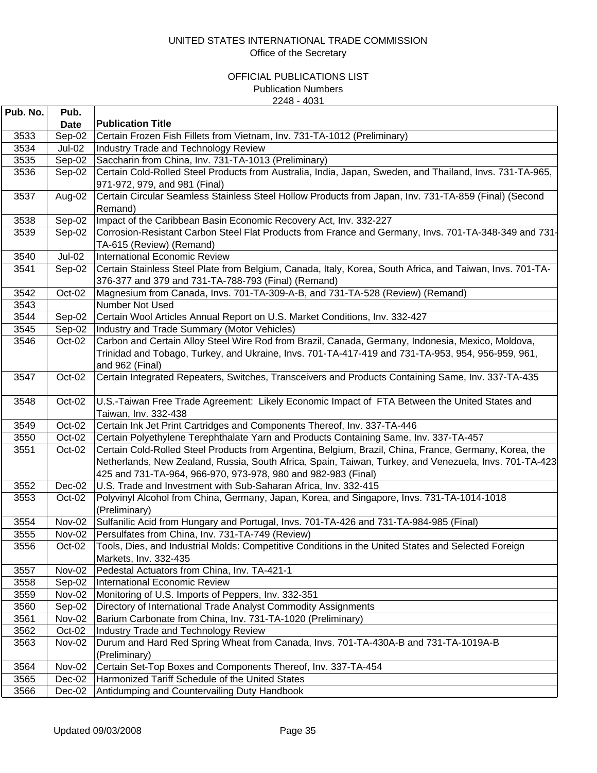| Pub. No. | Pub.          |                                                                                                                       |
|----------|---------------|-----------------------------------------------------------------------------------------------------------------------|
|          | <b>Date</b>   | <b>Publication Title</b>                                                                                              |
| 3533     | Sep-02        | Certain Frozen Fish Fillets from Vietnam, Inv. 731-TA-1012 (Preliminary)                                              |
| 3534     | <b>Jul-02</b> | <b>Industry Trade and Technology Review</b>                                                                           |
| 3535     | Sep-02        | Saccharin from China, Inv. 731-TA-1013 (Preliminary)                                                                  |
| 3536     | Sep-02        | Certain Cold-Rolled Steel Products from Australia, India, Japan, Sweden, and Thailand, Invs. 731-TA-965,              |
|          |               | 971-972, 979, and 981 (Final)                                                                                         |
| 3537     | Aug-02        | Certain Circular Seamless Stainless Steel Hollow Products from Japan, Inv. 731-TA-859 (Final) (Second                 |
|          |               | Remand)                                                                                                               |
| 3538     | Sep-02        | Impact of the Caribbean Basin Economic Recovery Act, Inv. 332-227                                                     |
| 3539     | Sep-02        | Corrosion-Resistant Carbon Steel Flat Products from France and Germany, Invs. 701-TA-348-349 and 731-                 |
|          |               | TA-615 (Review) (Remand)                                                                                              |
| 3540     | <b>Jul-02</b> | International Economic Review                                                                                         |
| 3541     | Sep-02        | Certain Stainless Steel Plate from Belgium, Canada, Italy, Korea, South Africa, and Taiwan, Invs. 701-TA-             |
|          |               | 376-377 and 379 and 731-TA-788-793 (Final) (Remand)                                                                   |
| 3542     | Oct-02        | Magnesium from Canada, Invs. 701-TA-309-A-B, and 731-TA-528 (Review) (Remand)                                         |
| 3543     |               | Number Not Used                                                                                                       |
| 3544     | Sep-02        | Certain Wool Articles Annual Report on U.S. Market Conditions, Inv. 332-427                                           |
| 3545     | Sep-02        | Industry and Trade Summary (Motor Vehicles)                                                                           |
| 3546     | Oct-02        | Carbon and Certain Alloy Steel Wire Rod from Brazil, Canada, Germany, Indonesia, Mexico, Moldova,                     |
|          |               | Trinidad and Tobago, Turkey, and Ukraine, Invs. 701-TA-417-419 and 731-TA-953, 954, 956-959, 961,                     |
| 3547     | Oct-02        | and 962 (Final)<br>Certain Integrated Repeaters, Switches, Transceivers and Products Containing Same, Inv. 337-TA-435 |
|          |               |                                                                                                                       |
| 3548     | Oct-02        | U.S.-Taiwan Free Trade Agreement: Likely Economic Impact of FTA Between the United States and                         |
|          |               | Taiwan, Inv. 332-438                                                                                                  |
| 3549     | Oct-02        | Certain Ink Jet Print Cartridges and Components Thereof, Inv. 337-TA-446                                              |
| 3550     | Oct-02        | Certain Polyethylene Terephthalate Yarn and Products Containing Same, Inv. 337-TA-457                                 |
| 3551     | Oct-02        | Certain Cold-Rolled Steel Products from Argentina, Belgium, Brazil, China, France, Germany, Korea, the                |
|          |               | Netherlands, New Zealand, Russia, South Africa, Spain, Taiwan, Turkey, and Venezuela, Invs. 701-TA-423                |
|          |               | 425 and 731-TA-964, 966-970, 973-978, 980 and 982-983 (Final)                                                         |
| 3552     | Dec-02        | U.S. Trade and Investment with Sub-Saharan Africa, Inv. 332-415                                                       |
| 3553     | Oct-02        | Polyvinyl Alcohol from China, Germany, Japan, Korea, and Singapore, Invs. 731-TA-1014-1018                            |
|          |               | (Preliminary)                                                                                                         |
| 3554     | Nov-02        | Sulfanilic Acid from Hungary and Portugal, Invs. 701-TA-426 and 731-TA-984-985 (Final)                                |
| 3555     | Nov-02        | Persulfates from China, Inv. 731-TA-749 (Review)                                                                      |
| 3556     | Oct-02        | Tools, Dies, and Industrial Molds: Competitive Conditions in the United States and Selected Foreign                   |
|          |               | Markets, Inv. 332-435                                                                                                 |
| 3557     | <b>Nov-02</b> | Pedestal Actuators from China, Inv. TA-421-1                                                                          |
| 3558     | Sep-02        | <b>International Economic Review</b>                                                                                  |
| 3559     | <b>Nov-02</b> | Monitoring of U.S. Imports of Peppers, Inv. 332-351                                                                   |
| 3560     | Sep-02        | Directory of International Trade Analyst Commodity Assignments                                                        |
| 3561     | <b>Nov-02</b> | Barium Carbonate from China, Inv. 731-TA-1020 (Preliminary)                                                           |
| 3562     | Oct-02        | <b>Industry Trade and Technology Review</b>                                                                           |
| 3563     | <b>Nov-02</b> | Durum and Hard Red Spring Wheat from Canada, Invs. 701-TA-430A-B and 731-TA-1019A-B                                   |
|          |               | (Preliminary)                                                                                                         |
| 3564     | Nov-02        | Certain Set-Top Boxes and Components Thereof, Inv. 337-TA-454                                                         |
| 3565     | Dec-02        | Harmonized Tariff Schedule of the United States                                                                       |
| 3566     | Dec-02        | Antidumping and Countervailing Duty Handbook                                                                          |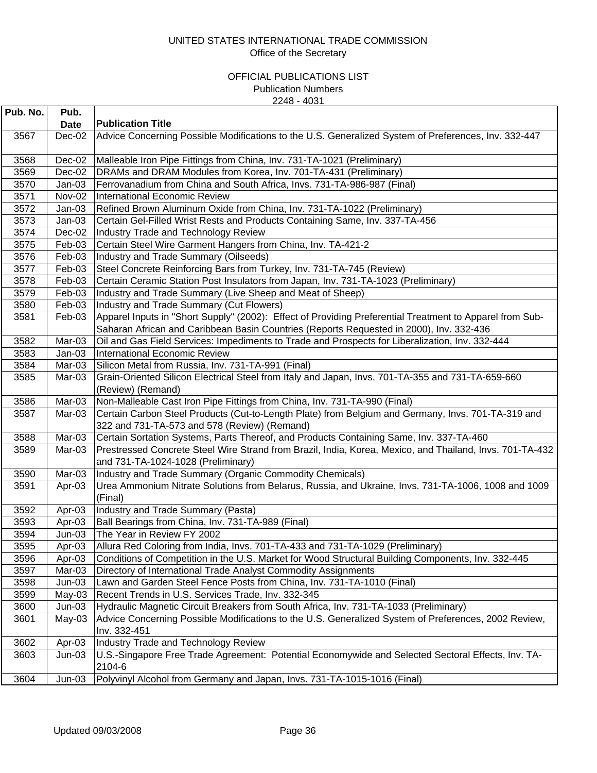| Pub. No. | Pub.        |                                                                                                                                                                                                     |
|----------|-------------|-----------------------------------------------------------------------------------------------------------------------------------------------------------------------------------------------------|
|          | <b>Date</b> | <b>Publication Title</b>                                                                                                                                                                            |
| 3567     | Dec-02      | Advice Concerning Possible Modifications to the U.S. Generalized System of Preferences, Inv. 332-447                                                                                                |
| 3568     | Dec-02      | Malleable Iron Pipe Fittings from China, Inv. 731-TA-1021 (Preliminary)                                                                                                                             |
| 3569     | Dec-02      | DRAMs and DRAM Modules from Korea, Inv. 701-TA-431 (Preliminary)                                                                                                                                    |
| 3570     | $Jan-03$    | Ferrovanadium from China and South Africa, Invs. 731-TA-986-987 (Final)                                                                                                                             |
| 3571     | Nov-02      | <b>International Economic Review</b>                                                                                                                                                                |
| 3572     | $Jan-03$    | Refined Brown Aluminum Oxide from China, Inv. 731-TA-1022 (Preliminary)                                                                                                                             |
| 3573     | $Jan-03$    | Certain Gel-Filled Wrist Rests and Products Containing Same, Inv. 337-TA-456                                                                                                                        |
| 3574     | Dec-02      | <b>Industry Trade and Technology Review</b>                                                                                                                                                         |
| 3575     | Feb-03      | Certain Steel Wire Garment Hangers from China, Inv. TA-421-2                                                                                                                                        |
| 3576     | Feb-03      | Industry and Trade Summary (Oilseeds)                                                                                                                                                               |
| 3577     | Feb-03      | Steel Concrete Reinforcing Bars from Turkey, Inv. 731-TA-745 (Review)                                                                                                                               |
| 3578     | Feb-03      | Certain Ceramic Station Post Insulators from Japan, Inv. 731-TA-1023 (Preliminary)                                                                                                                  |
| 3579     | Feb-03      | Industry and Trade Summary (Live Sheep and Meat of Sheep)                                                                                                                                           |
| 3580     | Feb-03      | Industry and Trade Summary (Cut Flowers)                                                                                                                                                            |
| 3581     | Feb-03      | Apparel Inputs in "Short Supply" (2002): Effect of Providing Preferential Treatment to Apparel from Sub-<br>Saharan African and Caribbean Basin Countries (Reports Requested in 2000), Inv. 332-436 |
| 3582     | Mar-03      | Oil and Gas Field Services: Impediments to Trade and Prospects for Liberalization, Inv. 332-444                                                                                                     |
| 3583     | $Jan-03$    | <b>International Economic Review</b>                                                                                                                                                                |
| 3584     | Mar-03      | Silicon Metal from Russia, Inv. 731-TA-991 (Final)                                                                                                                                                  |
| 3585     | Mar-03      | Grain-Oriented Silicon Electrical Steel from Italy and Japan, Invs. 701-TA-355 and 731-TA-659-660<br>(Review) (Remand)                                                                              |
| 3586     | Mar-03      | Non-Malleable Cast Iron Pipe Fittings from China, Inv. 731-TA-990 (Final)                                                                                                                           |
| 3587     | Mar-03      | Certain Carbon Steel Products (Cut-to-Length Plate) from Belgium and Germany, Invs. 701-TA-319 and<br>322 and 731-TA-573 and 578 (Review) (Remand)                                                  |
| 3588     | Mar-03      | Certain Sortation Systems, Parts Thereof, and Products Containing Same, Inv. 337-TA-460                                                                                                             |
| 3589     | Mar-03      | Prestressed Concrete Steel Wire Strand from Brazil, India, Korea, Mexico, and Thailand, Invs. 701-TA-432                                                                                            |
|          |             | and 731-TA-1024-1028 (Preliminary)                                                                                                                                                                  |
| 3590     | Mar-03      | Industry and Trade Summary (Organic Commodity Chemicals)                                                                                                                                            |
| 3591     | Apr-03      | Urea Ammonium Nitrate Solutions from Belarus, Russia, and Ukraine, Invs. 731-TA-1006, 1008 and 1009<br>(Final)                                                                                      |
| 3592     | Apr-03      | Industry and Trade Summary (Pasta)                                                                                                                                                                  |
| 3593     | Apr-03      | Ball Bearings from China, Inv. 731-TA-989 (Final)                                                                                                                                                   |
| 3594     | $Jun-03$    | The Year in Review FY 2002                                                                                                                                                                          |
| 3595     | Apr-03      | Allura Red Coloring from India, Invs. 701-TA-433 and 731-TA-1029 (Preliminary)                                                                                                                      |
| 3596     | Apr-03      | Conditions of Competition in the U.S. Market for Wood Structural Building Components, Inv. 332-445                                                                                                  |
| 3597     | Mar-03      | Directory of International Trade Analyst Commodity Assignments                                                                                                                                      |
| 3598     | $Jun-03$    | Lawn and Garden Steel Fence Posts from China, Inv. 731-TA-1010 (Final)                                                                                                                              |
| 3599     | May-03      | Recent Trends in U.S. Services Trade, Inv. 332-345                                                                                                                                                  |
| 3600     | $Jun-03$    | Hydraulic Magnetic Circuit Breakers from South Africa, Inv. 731-TA-1033 (Preliminary)                                                                                                               |
| 3601     | $May-03$    | Advice Concerning Possible Modifications to the U.S. Generalized System of Preferences, 2002 Review,<br>Inv. 332-451                                                                                |
| 3602     | Apr-03      | Industry Trade and Technology Review                                                                                                                                                                |
| 3603     | $Jun-03$    | U.S.-Singapore Free Trade Agreement: Potential Economywide and Selected Sectoral Effects, Inv. TA-<br>2104-6                                                                                        |
| 3604     | $Jun-03$    | Polyvinyl Alcohol from Germany and Japan, Invs. 731-TA-1015-1016 (Final)                                                                                                                            |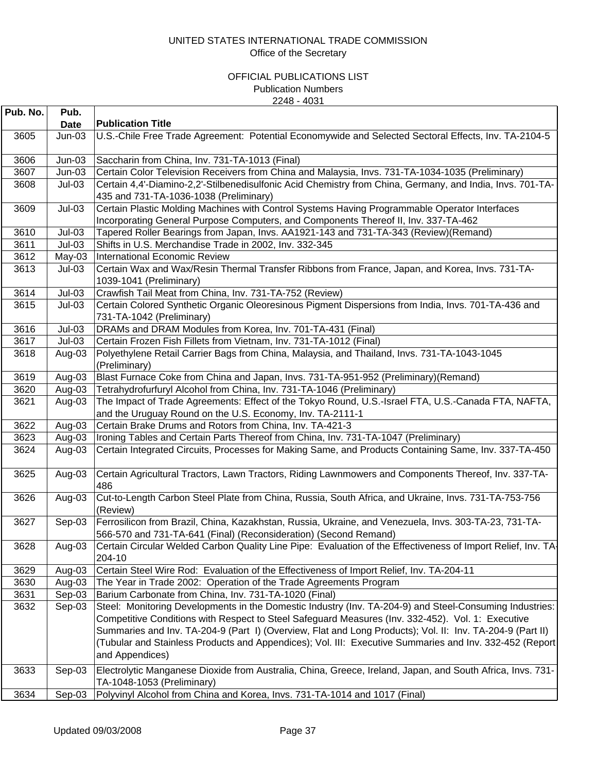| Pub. No. | Pub.        |                                                                                                                                                                                                                                                                                                                                                                                                                                                         |
|----------|-------------|---------------------------------------------------------------------------------------------------------------------------------------------------------------------------------------------------------------------------------------------------------------------------------------------------------------------------------------------------------------------------------------------------------------------------------------------------------|
|          | <b>Date</b> | <b>Publication Title</b>                                                                                                                                                                                                                                                                                                                                                                                                                                |
| 3605     | $Jun-03$    | U.S.-Chile Free Trade Agreement: Potential Economywide and Selected Sectoral Effects, Inv. TA-2104-5                                                                                                                                                                                                                                                                                                                                                    |
| 3606     | $Jun-03$    | Saccharin from China, Inv. 731-TA-1013 (Final)                                                                                                                                                                                                                                                                                                                                                                                                          |
| 3607     | $Jun-03$    | Certain Color Television Receivers from China and Malaysia, Invs. 731-TA-1034-1035 (Preliminary)                                                                                                                                                                                                                                                                                                                                                        |
| 3608     | $Jul-03$    | Certain 4,4'-Diamino-2,2'-Stilbenedisulfonic Acid Chemistry from China, Germany, and India, Invs. 701-TA-<br>435 and 731-TA-1036-1038 (Preliminary)                                                                                                                                                                                                                                                                                                     |
| 3609     | $Jul-03$    | Certain Plastic Molding Machines with Control Systems Having Programmable Operator Interfaces<br>Incorporating General Purpose Computers, and Components Thereof II, Inv. 337-TA-462                                                                                                                                                                                                                                                                    |
| 3610     | $Jul-03$    | Tapered Roller Bearings from Japan, Invs. AA1921-143 and 731-TA-343 (Review)(Remand)                                                                                                                                                                                                                                                                                                                                                                    |
| 3611     | $Jul-03$    | Shifts in U.S. Merchandise Trade in 2002, Inv. 332-345                                                                                                                                                                                                                                                                                                                                                                                                  |
| 3612     | May-03      | <b>International Economic Review</b>                                                                                                                                                                                                                                                                                                                                                                                                                    |
| 3613     | $Jul-03$    | Certain Wax and Wax/Resin Thermal Transfer Ribbons from France, Japan, and Korea, Invs. 731-TA-<br>1039-1041 (Preliminary)                                                                                                                                                                                                                                                                                                                              |
| 3614     | $Jul-03$    | Crawfish Tail Meat from China, Inv. 731-TA-752 (Review)                                                                                                                                                                                                                                                                                                                                                                                                 |
| 3615     | $Jul-03$    | Certain Colored Synthetic Organic Oleoresinous Pigment Dispersions from India, Invs. 701-TA-436 and<br>731-TA-1042 (Preliminary)                                                                                                                                                                                                                                                                                                                        |
| 3616     | $Jul-03$    | DRAMs and DRAM Modules from Korea, Inv. 701-TA-431 (Final)                                                                                                                                                                                                                                                                                                                                                                                              |
| 3617     | $Jul-03$    | Certain Frozen Fish Fillets from Vietnam, Inv. 731-TA-1012 (Final)                                                                                                                                                                                                                                                                                                                                                                                      |
| 3618     | Aug-03      | Polyethylene Retail Carrier Bags from China, Malaysia, and Thailand, Invs. 731-TA-1043-1045<br>(Preliminary)                                                                                                                                                                                                                                                                                                                                            |
| 3619     | Aug-03      | Blast Furnace Coke from China and Japan, Invs. 731-TA-951-952 (Preliminary) (Remand)                                                                                                                                                                                                                                                                                                                                                                    |
| 3620     | Aug-03      | Tetrahydrofurfuryl Alcohol from China, Inv. 731-TA-1046 (Preliminary)                                                                                                                                                                                                                                                                                                                                                                                   |
| 3621     | Aug-03      | The Impact of Trade Agreements: Effect of the Tokyo Round, U.S.-Israel FTA, U.S.-Canada FTA, NAFTA,<br>and the Uruguay Round on the U.S. Economy, Inv. TA-2111-1                                                                                                                                                                                                                                                                                        |
| 3622     | Aug-03      | Certain Brake Drums and Rotors from China, Inv. TA-421-3                                                                                                                                                                                                                                                                                                                                                                                                |
| 3623     | Aug-03      | Ironing Tables and Certain Parts Thereof from China, Inv. 731-TA-1047 (Preliminary)                                                                                                                                                                                                                                                                                                                                                                     |
| 3624     | Aug-03      | Certain Integrated Circuits, Processes for Making Same, and Products Containing Same, Inv. 337-TA-450                                                                                                                                                                                                                                                                                                                                                   |
| 3625     | Aug-03      | Certain Agricultural Tractors, Lawn Tractors, Riding Lawnmowers and Components Thereof, Inv. 337-TA-<br>486                                                                                                                                                                                                                                                                                                                                             |
| 3626     | Aug-03      | Cut-to-Length Carbon Steel Plate from China, Russia, South Africa, and Ukraine, Invs. 731-TA-753-756<br>(Review)                                                                                                                                                                                                                                                                                                                                        |
| 3627     | Sep-03      | Ferrosilicon from Brazil, China, Kazakhstan, Russia, Ukraine, and Venezuela, Invs. 303-TA-23, 731-TA-<br>566-570 and 731-TA-641 (Final) (Reconsideration) (Second Remand)                                                                                                                                                                                                                                                                               |
| 3628     | Aug-03      | Certain Circular Welded Carbon Quality Line Pipe: Evaluation of the Effectiveness of Import Relief, Inv. TA<br>204-10                                                                                                                                                                                                                                                                                                                                   |
| 3629     | Aug-03      | Certain Steel Wire Rod: Evaluation of the Effectiveness of Import Relief, Inv. TA-204-11                                                                                                                                                                                                                                                                                                                                                                |
| 3630     | Aug-03      | The Year in Trade 2002: Operation of the Trade Agreements Program                                                                                                                                                                                                                                                                                                                                                                                       |
| 3631     | Sep-03      | Barium Carbonate from China, Inv. 731-TA-1020 (Final)                                                                                                                                                                                                                                                                                                                                                                                                   |
| 3632     | Sep-03      | Steel: Monitoring Developments in the Domestic Industry (Inv. TA-204-9) and Steel-Consuming Industries:<br>Competitive Conditions with Respect to Steel Safeguard Measures (Inv. 332-452). Vol. 1: Executive<br>Summaries and Inv. TA-204-9 (Part I) (Overview, Flat and Long Products); Vol. II: Inv. TA-204-9 (Part II)<br>(Tubular and Stainless Products and Appendices); Vol. III: Executive Summaries and Inv. 332-452 (Report<br>and Appendices) |
| 3633     | Sep-03      | Electrolytic Manganese Dioxide from Australia, China, Greece, Ireland, Japan, and South Africa, Invs. 731-<br>TA-1048-1053 (Preliminary)                                                                                                                                                                                                                                                                                                                |
| 3634     | Sep-03      | Polyvinyl Alcohol from China and Korea, Invs. 731-TA-1014 and 1017 (Final)                                                                                                                                                                                                                                                                                                                                                                              |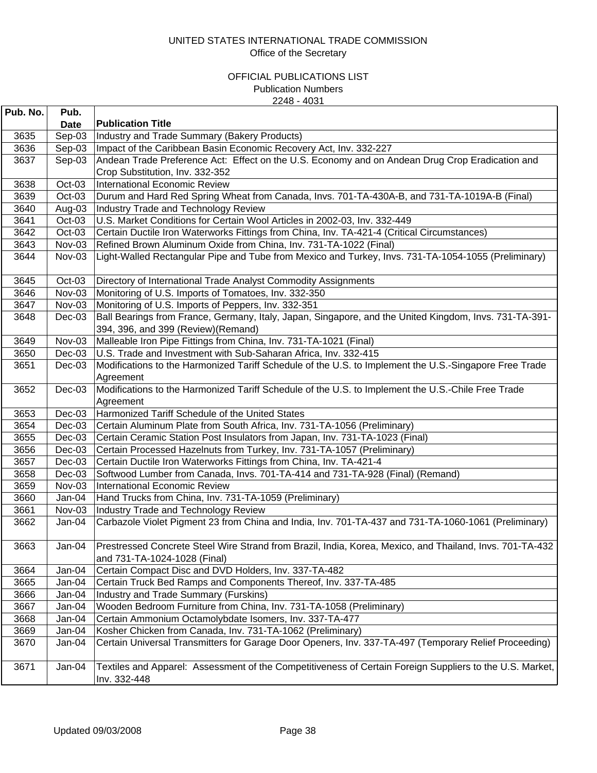| Pub. No. | Pub.        |                                                                                                                                              |
|----------|-------------|----------------------------------------------------------------------------------------------------------------------------------------------|
|          | <b>Date</b> | <b>Publication Title</b>                                                                                                                     |
| 3635     | Sep-03      | Industry and Trade Summary (Bakery Products)                                                                                                 |
| 3636     | Sep-03      | Impact of the Caribbean Basin Economic Recovery Act, Inv. 332-227                                                                            |
| 3637     | Sep-03      | Andean Trade Preference Act: Effect on the U.S. Economy and on Andean Drug Crop Eradication and                                              |
|          |             | Crop Substitution, Inv. 332-352                                                                                                              |
| 3638     | Oct-03      | <b>International Economic Review</b>                                                                                                         |
| 3639     | Oct-03      | Durum and Hard Red Spring Wheat from Canada, Invs. 701-TA-430A-B, and 731-TA-1019A-B (Final)                                                 |
| 3640     | Aug-03      | Industry Trade and Technology Review                                                                                                         |
| 3641     | Oct-03      | U.S. Market Conditions for Certain Wool Articles in 2002-03, Inv. 332-449                                                                    |
| 3642     | Oct-03      | Certain Ductile Iron Waterworks Fittings from China, Inv. TA-421-4 (Critical Circumstances)                                                  |
| 3643     | Nov-03      | Refined Brown Aluminum Oxide from China, Inv. 731-TA-1022 (Final)                                                                            |
| 3644     | Nov-03      | Light-Walled Rectangular Pipe and Tube from Mexico and Turkey, Invs. 731-TA-1054-1055 (Preliminary)                                          |
| 3645     | Oct-03      | Directory of International Trade Analyst Commodity Assignments                                                                               |
| 3646     | Nov-03      | Monitoring of U.S. Imports of Tomatoes, Inv. 332-350                                                                                         |
| 3647     | Nov-03      | Monitoring of U.S. Imports of Peppers, Inv. 332-351                                                                                          |
| 3648     | $Dec-03$    | Ball Bearings from France, Germany, Italy, Japan, Singapore, and the United Kingdom, Invs. 731-TA-391-<br>394, 396, and 399 (Review)(Remand) |
| 3649     | Nov-03      | Malleable Iron Pipe Fittings from China, Inv. 731-TA-1021 (Final)                                                                            |
| 3650     | $Dec-03$    | U.S. Trade and Investment with Sub-Saharan Africa, Inv. 332-415                                                                              |
| 3651     | Dec-03      | Modifications to the Harmonized Tariff Schedule of the U.S. to Implement the U.S.-Singapore Free Trade                                       |
|          |             | Agreement                                                                                                                                    |
| 3652     | $Dec-03$    | Modifications to the Harmonized Tariff Schedule of the U.S. to Implement the U.S.-Chile Free Trade                                           |
|          |             | Agreement                                                                                                                                    |
| 3653     | $Dec-03$    | Harmonized Tariff Schedule of the United States                                                                                              |
| 3654     | $Dec-03$    | Certain Aluminum Plate from South Africa, Inv. 731-TA-1056 (Preliminary)                                                                     |
| 3655     | $Dec-03$    | Certain Ceramic Station Post Insulators from Japan, Inv. 731-TA-1023 (Final)                                                                 |
| 3656     | $Dec-03$    | Certain Processed Hazelnuts from Turkey, Inv. 731-TA-1057 (Preliminary)                                                                      |
| 3657     | $Dec-03$    | Certain Ductile Iron Waterworks Fittings from China, Inv. TA-421-4                                                                           |
| 3658     | $Dec-03$    | Softwood Lumber from Canada, Invs. 701-TA-414 and 731-TA-928 (Final) (Remand)                                                                |
| 3659     | Nov-03      | International Economic Review                                                                                                                |
| 3660     | Jan-04      | Hand Trucks from China, Inv. 731-TA-1059 (Preliminary)                                                                                       |
| 3661     | Nov-03      | Industry Trade and Technology Review                                                                                                         |
| 3662     | Jan-04      | Carbazole Violet Pigment 23 from China and India, Inv. 701-TA-437 and 731-TA-1060-1061 (Preliminary)                                         |
| 3663     | Jan-04      | Prestressed Concrete Steel Wire Strand from Brazil, India, Korea, Mexico, and Thailand, Invs. 701-TA-432<br>and 731-TA-1024-1028 (Final)     |
| 3664     | Jan-04      | Certain Compact Disc and DVD Holders, Inv. 337-TA-482                                                                                        |
| 3665     | Jan-04      | Certain Truck Bed Ramps and Components Thereof, Inv. 337-TA-485                                                                              |
| 3666     | Jan-04      | <b>Industry and Trade Summary (Furskins)</b>                                                                                                 |
| 3667     | Jan-04      | Wooden Bedroom Furniture from China, Inv. 731-TA-1058 (Preliminary)                                                                          |
| 3668     | Jan-04      | Certain Ammonium Octamolybdate Isomers, Inv. 337-TA-477                                                                                      |
| 3669     | Jan-04      | Kosher Chicken from Canada, Inv. 731-TA-1062 (Preliminary)                                                                                   |
| 3670     | Jan-04      | Certain Universal Transmitters for Garage Door Openers, Inv. 337-TA-497 (Temporary Relief Proceeding)                                        |
| 3671     | Jan-04      | Textiles and Apparel: Assessment of the Competitiveness of Certain Foreign Suppliers to the U.S. Market,<br>Inv. 332-448                     |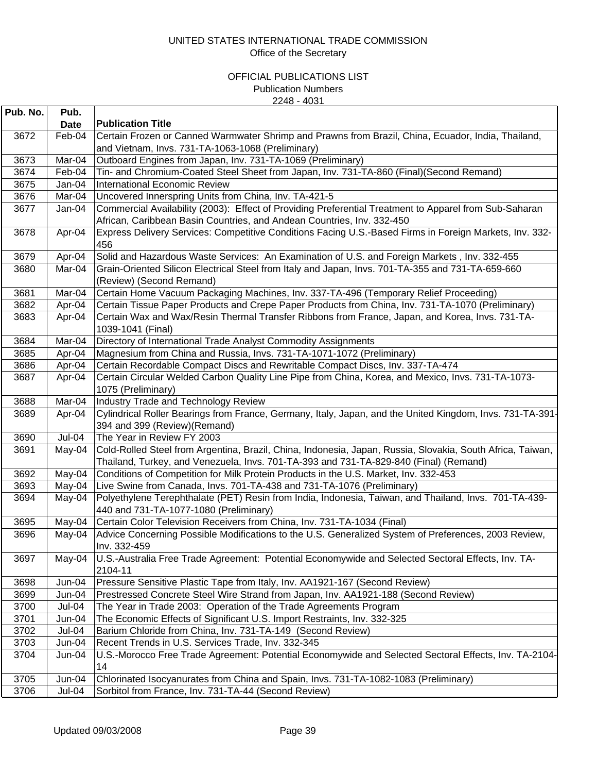| <b>Publication Title</b><br><b>Date</b><br>3672<br>Feb-04<br>Certain Frozen or Canned Warmwater Shrimp and Prawns from Brazil, China, Ecuador, India, Thailand,<br>and Vietnam, Invs. 731-TA-1063-1068 (Preliminary) |  |
|----------------------------------------------------------------------------------------------------------------------------------------------------------------------------------------------------------------------|--|
|                                                                                                                                                                                                                      |  |
|                                                                                                                                                                                                                      |  |
|                                                                                                                                                                                                                      |  |
| 3673<br>Mar-04<br>Outboard Engines from Japan, Inv. 731-TA-1069 (Preliminary)                                                                                                                                        |  |
| 3674<br>Tin- and Chromium-Coated Steel Sheet from Japan, Inv. 731-TA-860 (Final)(Second Remand)<br>Feb-04                                                                                                            |  |
| 3675<br><b>International Economic Review</b><br>Jan-04                                                                                                                                                               |  |
| 3676<br>Uncovered Innerspring Units from China, Inv. TA-421-5<br>Mar-04                                                                                                                                              |  |
| Commercial Availability (2003): Effect of Providing Preferential Treatment to Apparel from Sub-Saharan<br>3677<br>Jan-04<br>African, Caribbean Basin Countries, and Andean Countries, Inv. 332-450                   |  |
| 3678<br>Express Delivery Services: Competitive Conditions Facing U.S.-Based Firms in Foreign Markets, Inv. 332-<br>Apr-04<br>456                                                                                     |  |
| 3679<br>Apr-04<br>Solid and Hazardous Waste Services: An Examination of U.S. and Foreign Markets, Inv. 332-455                                                                                                       |  |
| Grain-Oriented Silicon Electrical Steel from Italy and Japan, Invs. 701-TA-355 and 731-TA-659-660<br>3680<br>Mar-04<br>(Review) (Second Remand)                                                                      |  |
| 3681<br>Mar-04<br>Certain Home Vacuum Packaging Machines, Inv. 337-TA-496 (Temporary Relief Proceeding)                                                                                                              |  |
| 3682<br>Certain Tissue Paper Products and Crepe Paper Products from China, Inv. 731-TA-1070 (Preliminary)<br>Apr-04                                                                                                  |  |
| 3683<br>Certain Wax and Wax/Resin Thermal Transfer Ribbons from France, Japan, and Korea, Invs. 731-TA-<br>Apr-04<br>1039-1041 (Final)                                                                               |  |
| Mar-04<br>3684<br>Directory of International Trade Analyst Commodity Assignments                                                                                                                                     |  |
| 3685<br>Magnesium from China and Russia, Invs. 731-TA-1071-1072 (Preliminary)<br>Apr-04                                                                                                                              |  |
| 3686<br>Certain Recordable Compact Discs and Rewritable Compact Discs, Inv. 337-TA-474<br>Apr-04                                                                                                                     |  |
| Certain Circular Welded Carbon Quality Line Pipe from China, Korea, and Mexico, Invs. 731-TA-1073-<br>3687<br>Apr-04                                                                                                 |  |
| 1075 (Preliminary)                                                                                                                                                                                                   |  |
| Mar-04<br>3688<br>Industry Trade and Technology Review                                                                                                                                                               |  |
| 3689<br>Cylindrical Roller Bearings from France, Germany, Italy, Japan, and the United Kingdom, Invs. 731-TA-391-<br>Apr-04                                                                                          |  |
| 394 and 399 (Review) (Remand)                                                                                                                                                                                        |  |
| Jul-04<br>3690<br>The Year in Review FY 2003                                                                                                                                                                         |  |
| Cold-Rolled Steel from Argentina, Brazil, China, Indonesia, Japan, Russia, Slovakia, South Africa, Taiwan,<br>3691<br>May-04                                                                                         |  |
| Thailand, Turkey, and Venezuela, Invs. 701-TA-393 and 731-TA-829-840 (Final) (Remand)                                                                                                                                |  |
| 3692<br>Conditions of Competition for Milk Protein Products in the U.S. Market, Inv. 332-453<br>May-04                                                                                                               |  |
| 3693<br>Live Swine from Canada, Invs. 701-TA-438 and 731-TA-1076 (Preliminary)<br>May-04                                                                                                                             |  |
| Polyethylene Terephthalate (PET) Resin from India, Indonesia, Taiwan, and Thailand, Invs. 701-TA-439-<br>3694<br>May-04<br>440 and 731-TA-1077-1080 (Preliminary)                                                    |  |
| 3695<br>May-04<br>Certain Color Television Receivers from China, Inv. 731-TA-1034 (Final)                                                                                                                            |  |
| Advice Concerning Possible Modifications to the U.S. Generalized System of Preferences, 2003 Review,<br>3696<br>May-04<br>Inv. 332-459                                                                               |  |
| U.S.-Australia Free Trade Agreement: Potential Economywide and Selected Sectoral Effects, Inv. TA-<br>3697<br>May-04<br>2104-11                                                                                      |  |
| Jun-04<br>Pressure Sensitive Plastic Tape from Italy, Inv. AA1921-167 (Second Review)<br>3698                                                                                                                        |  |
| Prestressed Concrete Steel Wire Strand from Japan, Inv. AA1921-188 (Second Review)<br>3699<br>Jun-04                                                                                                                 |  |
| 3700<br>The Year in Trade 2003: Operation of the Trade Agreements Program<br>Jul-04                                                                                                                                  |  |
| 3701<br>The Economic Effects of Significant U.S. Import Restraints, Inv. 332-325<br>Jun-04                                                                                                                           |  |
| 3702<br>Jul-04<br>Barium Chloride from China, Inv. 731-TA-149 (Second Review)                                                                                                                                        |  |
| 3703<br>Recent Trends in U.S. Services Trade, Inv. 332-345<br>Jun-04                                                                                                                                                 |  |
| U.S.-Morocco Free Trade Agreement: Potential Economywide and Selected Sectoral Effects, Inv. TA-2104-<br>3704<br>Jun-04<br>14                                                                                        |  |
| Chlorinated Isocyanurates from China and Spain, Invs. 731-TA-1082-1083 (Preliminary)<br>3705<br>Jun-04                                                                                                               |  |
| 3706<br>Sorbitol from France, Inv. 731-TA-44 (Second Review)<br>Jul-04                                                                                                                                               |  |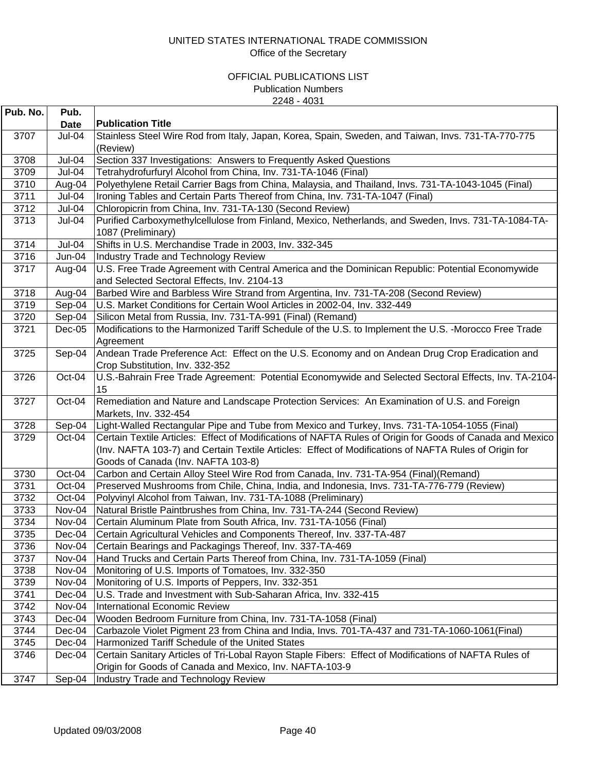| Pub. No. | Pub.        |                                                                                                                       |
|----------|-------------|-----------------------------------------------------------------------------------------------------------------------|
|          | <b>Date</b> | <b>Publication Title</b>                                                                                              |
| 3707     | Jul-04      | Stainless Steel Wire Rod from Italy, Japan, Korea, Spain, Sweden, and Taiwan, Invs. 731-TA-770-775<br>(Review)        |
| 3708     | Jul-04      | Section 337 Investigations: Answers to Frequently Asked Questions                                                     |
| 3709     | Jul-04      | Tetrahydrofurfuryl Alcohol from China, Inv. 731-TA-1046 (Final)                                                       |
| 3710     | Aug-04      | Polyethylene Retail Carrier Bags from China, Malaysia, and Thailand, Invs. 731-TA-1043-1045 (Final)                   |
| 3711     | Jul-04      | Ironing Tables and Certain Parts Thereof from China, Inv. 731-TA-1047 (Final)                                         |
| 3712     | Jul-04      | Chloropicrin from China, Inv. 731-TA-130 (Second Review)                                                              |
| 3713     | Jul-04      | Purified Carboxymethylcellulose from Finland, Mexico, Netherlands, and Sweden, Invs. 731-TA-1084-TA-                  |
|          |             | 1087 (Preliminary)                                                                                                    |
| 3714     | Jul-04      | Shifts in U.S. Merchandise Trade in 2003, Inv. 332-345                                                                |
| 3716     | $Jun-04$    | Industry Trade and Technology Review                                                                                  |
| 3717     | Aug-04      | U.S. Free Trade Agreement with Central America and the Dominican Republic: Potential Economywide                      |
|          |             | and Selected Sectoral Effects, Inv. 2104-13                                                                           |
| 3718     | Aug-04      | Barbed Wire and Barbless Wire Strand from Argentina, Inv. 731-TA-208 (Second Review)                                  |
| 3719     | Sep-04      | U.S. Market Conditions for Certain Wool Articles in 2002-04, Inv. 332-449                                             |
| 3720     | Sep-04      | Silicon Metal from Russia, Inv. 731-TA-991 (Final) (Remand)                                                           |
| 3721     | $Dec-05$    | Modifications to the Harmonized Tariff Schedule of the U.S. to Implement the U.S. -Morocco Free Trade                 |
|          |             | Agreement                                                                                                             |
| 3725     | Sep-04      | Andean Trade Preference Act: Effect on the U.S. Economy and on Andean Drug Crop Eradication and                       |
|          |             | Crop Substitution, Inv. 332-352                                                                                       |
| 3726     | Oct-04      | U.S.-Bahrain Free Trade Agreement: Potential Economywide and Selected Sectoral Effects, Inv. TA-2104-                 |
|          |             | 15                                                                                                                    |
| 3727     | Oct-04      | Remediation and Nature and Landscape Protection Services: An Examination of U.S. and Foreign<br>Markets, Inv. 332-454 |
| 3728     | Sep-04      | Light-Walled Rectangular Pipe and Tube from Mexico and Turkey, Invs. 731-TA-1054-1055 (Final)                         |
| 3729     | Oct-04      | Certain Textile Articles: Effect of Modifications of NAFTA Rules of Origin for Goods of Canada and Mexico             |
|          |             | (Inv. NAFTA 103-7) and Certain Textile Articles: Effect of Modifications of NAFTA Rules of Origin for                 |
|          |             | Goods of Canada (Inv. NAFTA 103-8)                                                                                    |
| 3730     | Oct-04      | Carbon and Certain Alloy Steel Wire Rod from Canada, Inv. 731-TA-954 (Final)(Remand)                                  |
| 3731     | Oct-04      | Preserved Mushrooms from Chile, China, India, and Indonesia, Invs. 731-TA-776-779 (Review)                            |
| 3732     | Oct-04      | Polyvinyl Alcohol from Taiwan, Inv. 731-TA-1088 (Preliminary)                                                         |
| 3733     | Nov-04      | Natural Bristle Paintbrushes from China, Inv. 731-TA-244 (Second Review)                                              |
| 3734     | Nov-04      | Certain Aluminum Plate from South Africa, Inv. 731-TA-1056 (Final)                                                    |
| 3735     | Dec-04      | Certain Agricultural Vehicles and Components Thereof, Inv. 337-TA-487                                                 |
| 3736     | Nov-04      | Certain Bearings and Packagings Thereof, Inv. 337-TA-469                                                              |
| 3737     | Nov-04      | Hand Trucks and Certain Parts Thereof from China, Inv. 731-TA-1059 (Final)                                            |
| 3738     | Nov-04      | Monitoring of U.S. Imports of Tomatoes, Inv. 332-350                                                                  |
| 3739     | Nov-04      | Monitoring of U.S. Imports of Peppers, Inv. 332-351                                                                   |
| 3741     | Dec-04      | U.S. Trade and Investment with Sub-Saharan Africa, Inv. 332-415                                                       |
| 3742     | Nov-04      | <b>International Economic Review</b>                                                                                  |
| 3743     | Dec-04      | Wooden Bedroom Furniture from China, Inv. 731-TA-1058 (Final)                                                         |
| 3744     | Dec-04      | Carbazole Violet Pigment 23 from China and India, Invs. 701-TA-437 and 731-TA-1060-1061 (Final)                       |
| 3745     | Dec-04      | Harmonized Tariff Schedule of the United States                                                                       |
| 3746     | Dec-04      | Certain Sanitary Articles of Tri-Lobal Rayon Staple Fibers: Effect of Modifications of NAFTA Rules of                 |
|          |             | Origin for Goods of Canada and Mexico, Inv. NAFTA-103-9                                                               |
| 3747     | Sep-04      | Industry Trade and Technology Review                                                                                  |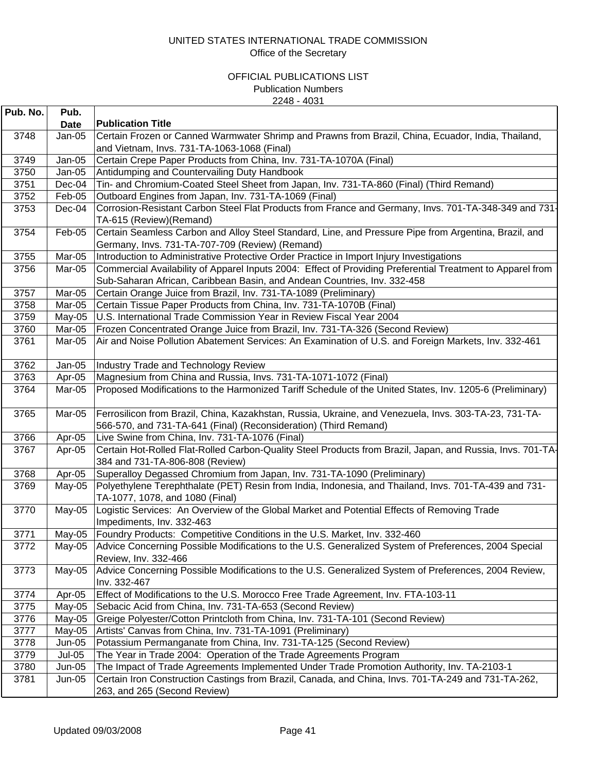| Pub. No. | Pub.          |                                                                                                                                                          |
|----------|---------------|----------------------------------------------------------------------------------------------------------------------------------------------------------|
|          | <b>Date</b>   | <b>Publication Title</b>                                                                                                                                 |
| 3748     | $Jan-05$      | Certain Frozen or Canned Warmwater Shrimp and Prawns from Brazil, China, Ecuador, India, Thailand,                                                       |
|          |               | and Vietnam, Invs. 731-TA-1063-1068 (Final)                                                                                                              |
| 3749     | $Jan-05$      | Certain Crepe Paper Products from China, Inv. 731-TA-1070A (Final)                                                                                       |
| 3750     | Jan-05        | Antidumping and Countervailing Duty Handbook                                                                                                             |
| 3751     | Dec-04        | Tin- and Chromium-Coated Steel Sheet from Japan, Inv. 731-TA-860 (Final) (Third Remand)                                                                  |
| 3752     | Feb-05        | Outboard Engines from Japan, Inv. 731-TA-1069 (Final)                                                                                                    |
| 3753     | Dec-04        | Corrosion-Resistant Carbon Steel Flat Products from France and Germany, Invs. 701-TA-348-349 and 731-<br>TA-615 (Review) (Remand)                        |
| 3754     | Feb-05        | Certain Seamless Carbon and Alloy Steel Standard, Line, and Pressure Pipe from Argentina, Brazil, and<br>Germany, Invs. 731-TA-707-709 (Review) (Remand) |
| 3755     | Mar-05        | Introduction to Administrative Protective Order Practice in Import Injury Investigations                                                                 |
| 3756     | Mar-05        | Commercial Availability of Apparel Inputs 2004: Effect of Providing Preferential Treatment to Apparel from                                               |
|          |               | Sub-Saharan African, Caribbean Basin, and Andean Countries, Inv. 332-458                                                                                 |
| 3757     | Mar-05        | Certain Orange Juice from Brazil, Inv. 731-TA-1089 (Preliminary)                                                                                         |
| 3758     | Mar-05        | Certain Tissue Paper Products from China, Inv. 731-TA-1070B (Final)                                                                                      |
| 3759     | May-05        | U.S. International Trade Commission Year in Review Fiscal Year 2004                                                                                      |
| 3760     | Mar-05        | Frozen Concentrated Orange Juice from Brazil, Inv. 731-TA-326 (Second Review)                                                                            |
| 3761     | Mar-05        | Air and Noise Pollution Abatement Services: An Examination of U.S. and Foreign Markets, Inv. 332-461                                                     |
| 3762     | Jan-05        | Industry Trade and Technology Review                                                                                                                     |
| 3763     | Apr-05        | Magnesium from China and Russia, Invs. 731-TA-1071-1072 (Final)                                                                                          |
| 3764     | Mar-05        | Proposed Modifications to the Harmonized Tariff Schedule of the United States, Inv. 1205-6 (Preliminary)                                                 |
| 3765     | Mar-05        | Ferrosilicon from Brazil, China, Kazakhstan, Russia, Ukraine, and Venezuela, Invs. 303-TA-23, 731-TA-                                                    |
|          |               | 566-570, and 731-TA-641 (Final) (Reconsideration) (Third Remand)                                                                                         |
| 3766     | Apr-05        | Live Swine from China, Inv. 731-TA-1076 (Final)                                                                                                          |
| 3767     | Apr-05        | Certain Hot-Rolled Flat-Rolled Carbon-Quality Steel Products from Brazil, Japan, and Russia, Invs. 701-TA-                                               |
|          |               | 384 and 731-TA-806-808 (Review)                                                                                                                          |
| 3768     | Apr-05        | Superalloy Degassed Chromium from Japan, Inv. 731-TA-1090 (Preliminary)                                                                                  |
| 3769     | May-05        | Polyethylene Terephthalate (PET) Resin from India, Indonesia, and Thailand, Invs. 701-TA-439 and 731-                                                    |
|          |               | TA-1077, 1078, and 1080 (Final)                                                                                                                          |
| 3770     | May-05        | Logistic Services: An Overview of the Global Market and Potential Effects of Removing Trade                                                              |
|          |               | Impediments, Inv. 332-463                                                                                                                                |
| 3771     | $May-05$      | Foundry Products: Competitive Conditions in the U.S. Market, Inv. 332-460                                                                                |
| 3772     |               | May-05 Advice Concerning Possible Modifications to the U.S. Generalized System of Preferences, 2004 Special                                              |
|          |               | Review, Inv. 332-466                                                                                                                                     |
| 3773     | May-05        | Advice Concerning Possible Modifications to the U.S. Generalized System of Preferences, 2004 Review,                                                     |
|          |               | Inv. 332-467                                                                                                                                             |
| 3774     | Apr-05        | Effect of Modifications to the U.S. Morocco Free Trade Agreement, Inv. FTA-103-11                                                                        |
| 3775     | $May-05$      | Sebacic Acid from China, Inv. 731-TA-653 (Second Review)                                                                                                 |
| 3776     | $May-05$      | Greige Polyester/Cotton Printcloth from China, Inv. 731-TA-101 (Second Review)                                                                           |
| 3777     | May-05        | Artists' Canvas from China, Inv. 731-TA-1091 (Preliminary)                                                                                               |
| 3778     | $Jun-05$      | Potassium Permanganate from China, Inv. 731-TA-125 (Second Review)                                                                                       |
| 3779     | <b>Jul-05</b> | The Year in Trade 2004: Operation of the Trade Agreements Program                                                                                        |
| 3780     | $Jun-05$      | The Impact of Trade Agreements Implemented Under Trade Promotion Authority, Inv. TA-2103-1                                                               |
| 3781     | $Jun-05$      | Certain Iron Construction Castings from Brazil, Canada, and China, Invs. 701-TA-249 and 731-TA-262,                                                      |
|          |               | 263, and 265 (Second Review)                                                                                                                             |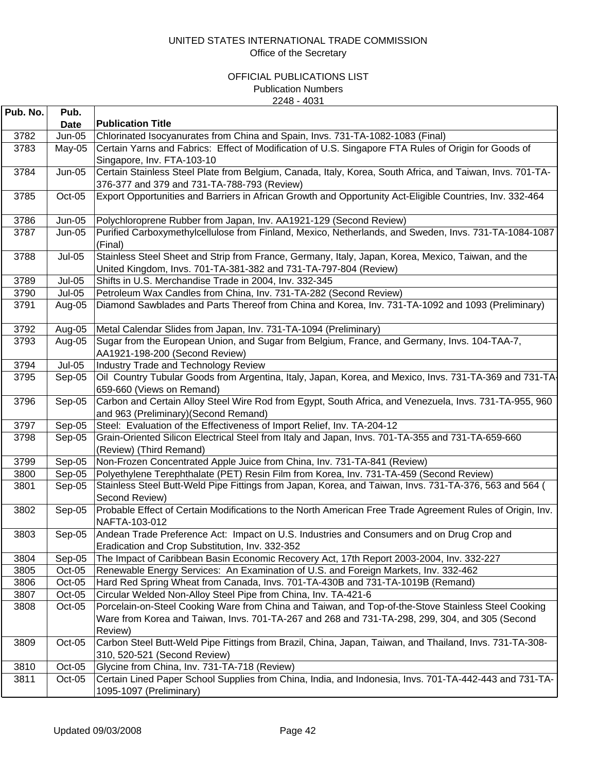| Pub. No.     | Pub.             |                                                                                                                                                                       |
|--------------|------------------|-----------------------------------------------------------------------------------------------------------------------------------------------------------------------|
|              | <b>Date</b>      | <b>Publication Title</b>                                                                                                                                              |
| 3782         | <b>Jun-05</b>    | Chlorinated Isocyanurates from China and Spain, Invs. 731-TA-1082-1083 (Final)                                                                                        |
| 3783         | May-05           | Certain Yarns and Fabrics: Effect of Modification of U.S. Singapore FTA Rules of Origin for Goods of                                                                  |
|              |                  | Singapore, Inv. FTA-103-10                                                                                                                                            |
| 3784         | <b>Jun-05</b>    | Certain Stainless Steel Plate from Belgium, Canada, Italy, Korea, South Africa, and Taiwan, Invs. 701-TA-                                                             |
|              |                  | 376-377 and 379 and 731-TA-788-793 (Review)                                                                                                                           |
| 3785         | Oct-05           | Export Opportunities and Barriers in African Growth and Opportunity Act-Eligible Countries, Inv. 332-464                                                              |
| 3786         | $Jun-05$         | Polychloroprene Rubber from Japan, Inv. AA1921-129 (Second Review)                                                                                                    |
| 3787         | <b>Jun-05</b>    | Purified Carboxymethylcellulose from Finland, Mexico, Netherlands, and Sweden, Invs. 731-TA-1084-1087                                                                 |
|              |                  | (Final)                                                                                                                                                               |
| 3788         | <b>Jul-05</b>    | Stainless Steel Sheet and Strip from France, Germany, Italy, Japan, Korea, Mexico, Taiwan, and the                                                                    |
|              |                  | United Kingdom, Invs. 701-TA-381-382 and 731-TA-797-804 (Review)                                                                                                      |
| 3789         | <b>Jul-05</b>    | Shifts in U.S. Merchandise Trade in 2004, Inv. 332-345                                                                                                                |
| 3790         | <b>Jul-05</b>    | Petroleum Wax Candles from China, Inv. 731-TA-282 (Second Review)                                                                                                     |
| 3791         | Aug-05           | Diamond Sawblades and Parts Thereof from China and Korea, Inv. 731-TA-1092 and 1093 (Preliminary)                                                                     |
|              |                  |                                                                                                                                                                       |
| 3792         | Aug-05           | Metal Calendar Slides from Japan, Inv. 731-TA-1094 (Preliminary)                                                                                                      |
| 3793         | Aug-05           | Sugar from the European Union, and Sugar from Belgium, France, and Germany, Invs. 104-TAA-7,                                                                          |
|              | <b>Jul-05</b>    | AA1921-198-200 (Second Review)                                                                                                                                        |
| 3794<br>3795 | Sep-05           | Industry Trade and Technology Review<br>Oil Country Tubular Goods from Argentina, Italy, Japan, Korea, and Mexico, Invs. 731-TA-369 and 731-TA                        |
|              |                  | 659-660 (Views on Remand)                                                                                                                                             |
| 3796         | Sep-05           | Carbon and Certain Alloy Steel Wire Rod from Egypt, South Africa, and Venezuela, Invs. 731-TA-955, 960                                                                |
|              |                  | and 963 (Preliminary) (Second Remand)                                                                                                                                 |
| 3797         | Sep-05           | Steel: Evaluation of the Effectiveness of Import Relief, Inv. TA-204-12                                                                                               |
| 3798         | Sep-05           | Grain-Oriented Silicon Electrical Steel from Italy and Japan, Invs. 701-TA-355 and 731-TA-659-660                                                                     |
|              |                  | (Review) (Third Remand)                                                                                                                                               |
| 3799         | Sep-05           | Non-Frozen Concentrated Apple Juice from China, Inv. 731-TA-841 (Review)                                                                                              |
| 3800         | Sep-05           | Polyethylene Terephthalate (PET) Resin Film from Korea, Inv. 731-TA-459 (Second Review)                                                                               |
| 3801         | Sep-05           | Stainless Steel Butt-Weld Pipe Fittings from Japan, Korea, and Taiwan, Invs. 731-TA-376, 563 and 564 (                                                                |
|              |                  | Second Review)                                                                                                                                                        |
| 3802         | Sep-05           | Probable Effect of Certain Modifications to the North American Free Trade Agreement Rules of Origin, Inv.                                                             |
|              |                  | NAFTA-103-012                                                                                                                                                         |
| 3803         | Sep-05           | Andean Trade Preference Act: Impact on U.S. Industries and Consumers and on Drug Crop and                                                                             |
|              |                  | Eradication and Crop Substitution, Inv. 332-352                                                                                                                       |
| 3804         | Sep-05<br>Oct-05 | The Impact of Caribbean Basin Economic Recovery Act, 17th Report 2003-2004, Inv. 332-227                                                                              |
| 3805<br>3806 | Oct-05           | Renewable Energy Services: An Examination of U.S. and Foreign Markets, Inv. 332-462<br>Hard Red Spring Wheat from Canada, Invs. 701-TA-430B and 731-TA-1019B (Remand) |
| 3807         | Oct-05           | Circular Welded Non-Alloy Steel Pipe from China, Inv. TA-421-6                                                                                                        |
| 3808         | Oct-05           | Porcelain-on-Steel Cooking Ware from China and Taiwan, and Top-of-the-Stove Stainless Steel Cooking                                                                   |
|              |                  | Ware from Korea and Taiwan, Invs. 701-TA-267 and 268 and 731-TA-298, 299, 304, and 305 (Second                                                                        |
|              |                  | Review)                                                                                                                                                               |
| 3809         | Oct-05           | Carbon Steel Butt-Weld Pipe Fittings from Brazil, China, Japan, Taiwan, and Thailand, Invs. 731-TA-308-                                                               |
|              |                  | 310, 520-521 (Second Review)                                                                                                                                          |
| 3810         | Oct-05           | Glycine from China, Inv. 731-TA-718 (Review)                                                                                                                          |
| 3811         | $Oct-05$         | Certain Lined Paper School Supplies from China, India, and Indonesia, Invs. 701-TA-442-443 and 731-TA-                                                                |
|              |                  | 1095-1097 (Preliminary)                                                                                                                                               |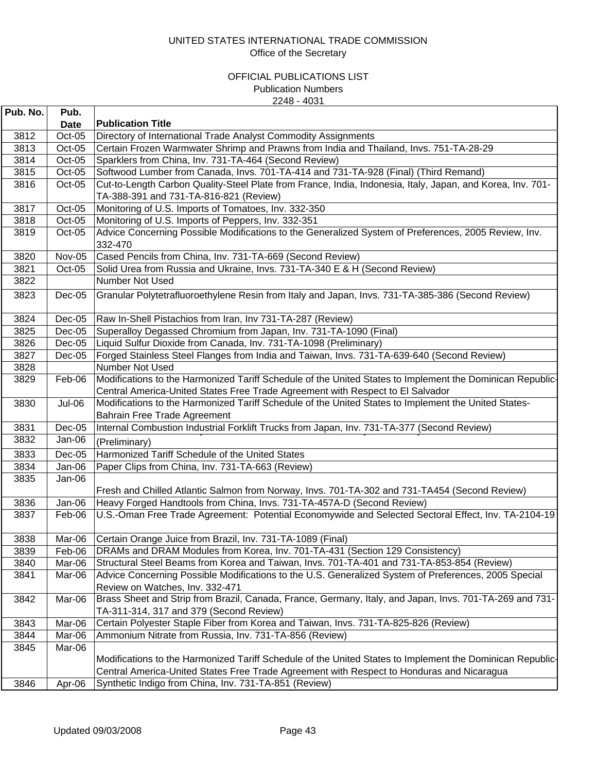| Pub. No. | Pub.             |                                                                                                            |
|----------|------------------|------------------------------------------------------------------------------------------------------------|
|          | <b>Date</b>      | <b>Publication Title</b>                                                                                   |
| 3812     | Oct-05           | Directory of International Trade Analyst Commodity Assignments                                             |
| 3813     | Oct-05           | Certain Frozen Warmwater Shrimp and Prawns from India and Thailand, Invs. 751-TA-28-29                     |
| 3814     | Oct-05           | Sparklers from China, Inv. 731-TA-464 (Second Review)                                                      |
| 3815     | $Oct-05$         | Softwood Lumber from Canada, Invs. 701-TA-414 and 731-TA-928 (Final) (Third Remand)                        |
| 3816     | Oct-05           | Cut-to-Length Carbon Quality-Steel Plate from France, India, Indonesia, Italy, Japan, and Korea, Inv. 701- |
|          |                  | TA-388-391 and 731-TA-816-821 (Review)                                                                     |
| 3817     | Oct-05           | Monitoring of U.S. Imports of Tomatoes, Inv. 332-350                                                       |
| 3818     | Oct-05           | Monitoring of U.S. Imports of Peppers, Inv. 332-351                                                        |
| 3819     | $Oct-05$         | Advice Concerning Possible Modifications to the Generalized System of Preferences, 2005 Review, Inv.       |
|          |                  | 332-470                                                                                                    |
| 3820     | Nov-05           | Cased Pencils from China, Inv. 731-TA-669 (Second Review)                                                  |
| 3821     | $Oct-05$         | Solid Urea from Russia and Ukraine, Invs. 731-TA-340 E & H (Second Review)                                 |
| 3822     |                  | Number Not Used                                                                                            |
| 3823     | $Dec-05$         | Granular Polytetrafluoroethylene Resin from Italy and Japan, Invs. 731-TA-385-386 (Second Review)          |
|          |                  |                                                                                                            |
| 3824     | $Dec-05$         | Raw In-Shell Pistachios from Iran, Inv 731-TA-287 (Review)                                                 |
| 3825     | $Dec-05$         | Superalloy Degassed Chromium from Japan, Inv. 731-TA-1090 (Final)                                          |
| 3826     | $Dec-05$         | Liquid Sulfur Dioxide from Canada, Inv. 731-TA-1098 (Preliminary)                                          |
| 3827     | Dec-05           | Forged Stainless Steel Flanges from India and Taiwan, Invs. 731-TA-639-640 (Second Review)                 |
| 3828     |                  | Number Not Used                                                                                            |
| 3829     | Feb-06           | Modifications to the Harmonized Tariff Schedule of the United States to Implement the Dominican Republic-  |
|          |                  | Central America-United States Free Trade Agreement with Respect to El Salvador                             |
| 3830     | Jul-06           | Modifications to the Harmonized Tariff Schedule of the United States to Implement the United States-       |
|          |                  | Bahrain Free Trade Agreement                                                                               |
| 3831     | $Dec-05$         | Internal Combustion Industrial Forklift Trucks from Japan, Inv. 731-TA-377 (Second Review)                 |
| 3832     | Jan-06           | (Preliminary)                                                                                              |
| 3833     | $Dec-05$         | Harmonized Tariff Schedule of the United States                                                            |
| 3834     | Jan-06           | Paper Clips from China, Inv. 731-TA-663 (Review)                                                           |
| 3835     | Jan-06           |                                                                                                            |
|          |                  | Fresh and Chilled Atlantic Salmon from Norway, Invs. 701-TA-302 and 731-TA454 (Second Review)              |
| 3836     | Jan-06           | Heavy Forged Handtools from China, Invs. 731-TA-457A-D (Second Review)                                     |
| 3837     | Feb-06           | U.S.-Oman Free Trade Agreement: Potential Economywide and Selected Sectoral Effect, Inv. TA-2104-19        |
|          |                  |                                                                                                            |
| 3838     | Mar-06           | Certain Orange Juice from Brazil, Inv. 731-TA-1089 (Final)                                                 |
| 3839     | Feb-06           | DRAMs and DRAM Modules from Korea, Inv. 701-TA-431 (Section 129 Consistency)                               |
| 3840     | Mar-06           | Structural Steel Beams from Korea and Taiwan, Invs. 701-TA-401 and 731-TA-853-854 (Review)                 |
| 3841     | Mar-06           | Advice Concerning Possible Modifications to the U.S. Generalized System of Preferences, 2005 Special       |
|          |                  | Review on Watches, Inv. 332-471                                                                            |
| 3842     | Mar-06           | Brass Sheet and Strip from Brazil, Canada, France, Germany, Italy, and Japan, Invs. 701-TA-269 and 731-    |
|          |                  | TA-311-314, 317 and 379 (Second Review)                                                                    |
| 3843     | Mar-06           | Certain Polyester Staple Fiber from Korea and Taiwan, Invs. 731-TA-825-826 (Review)                        |
| 3844     |                  | Ammonium Nitrate from Russia, Inv. 731-TA-856 (Review)                                                     |
|          | Mar-06<br>Mar-06 |                                                                                                            |
| 3845     |                  | Modifications to the Harmonized Tariff Schedule of the United States to Implement the Dominican Republic-  |
|          |                  | Central America-United States Free Trade Agreement with Respect to Honduras and Nicaragua                  |
|          |                  |                                                                                                            |
| 3846     | Apr-06           | Synthetic Indigo from China, Inv. 731-TA-851 (Review)                                                      |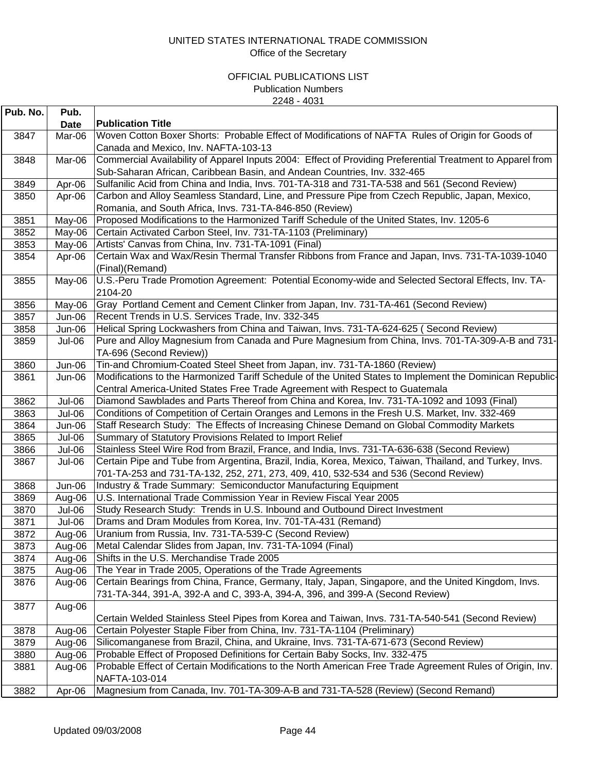| <b>Publication Title</b><br><b>Date</b><br>Woven Cotton Boxer Shorts: Probable Effect of Modifications of NAFTA Rules of Origin for Goods of<br>3847<br>Mar-06<br>Canada and Mexico, Inv. NAFTA-103-13<br>Commercial Availability of Apparel Inputs 2004: Effect of Providing Preferential Treatment to Apparel from<br>3848<br>Mar-06<br>Sub-Saharan African, Caribbean Basin, and Andean Countries, Inv. 332-465<br>3849<br>Sulfanilic Acid from China and India, Invs. 701-TA-318 and 731-TA-538 and 561 (Second Review)<br>Apr-06<br>Carbon and Alloy Seamless Standard, Line, and Pressure Pipe from Czech Republic, Japan, Mexico,<br>3850<br>Apr-06<br>Romania, and South Africa, Invs. 731-TA-846-850 (Review)<br>Proposed Modifications to the Harmonized Tariff Schedule of the United States, Inv. 1205-6<br>3851<br>May-06<br>3852<br>Certain Activated Carbon Steel, Inv. 731-TA-1103 (Preliminary)<br>May-06<br>Artists' Canvas from China, Inv. 731-TA-1091 (Final)<br>3853<br>May-06<br>Certain Wax and Wax/Resin Thermal Transfer Ribbons from France and Japan, Invs. 731-TA-1039-1040<br>3854<br>Apr-06<br>(Final)(Remand)<br>U.S.-Peru Trade Promotion Agreement: Potential Economy-wide and Selected Sectoral Effects, Inv. TA-<br>3855<br>May-06<br>2104-20<br>Gray Portland Cement and Cement Clinker from Japan, Inv. 731-TA-461 (Second Review)<br>3856<br>May-06<br>Recent Trends in U.S. Services Trade, Inv. 332-345<br>3857<br>$Jun-06$<br>Helical Spring Lockwashers from China and Taiwan, Invs. 731-TA-624-625 (Second Review)<br>3858<br>$Jun-06$<br>Pure and Alloy Magnesium from Canada and Pure Magnesium from China, Invs. 701-TA-309-A-B and 731-<br>3859<br>Jul-06<br>TA-696 (Second Review))<br>Tin-and Chromium-Coated Steel Sheet from Japan, inv. 731-TA-1860 (Review)<br>3860<br>Jun-06<br>Modifications to the Harmonized Tariff Schedule of the United States to Implement the Dominican Republic-<br>3861<br>Jun-06<br>Central America-United States Free Trade Agreement with Respect to Guatemala<br>Diamond Sawblades and Parts Thereof from China and Korea, Inv. 731-TA-1092 and 1093 (Final)<br>3862<br>Jul-06<br>3863<br>Conditions of Competition of Certain Oranges and Lemons in the Fresh U.S. Market, Inv. 332-469<br>Jul-06<br>Staff Research Study: The Effects of Increasing Chinese Demand on Global Commodity Markets<br>3864<br>Jun-06<br>3865<br>Summary of Statutory Provisions Related to Import Relief<br>Jul-06<br>Stainless Steel Wire Rod from Brazil, France, and India, Invs. 731-TA-636-638 (Second Review)<br>3866<br>Jul-06<br>Certain Pipe and Tube from Argentina, Brazil, India, Korea, Mexico, Taiwan, Thailand, and Turkey, Invs.<br>3867<br>Jul-06<br>701-TA-253 and 731-TA-132, 252, 271, 273, 409, 410, 532-534 and 536 (Second Review)<br>Industry & Trade Summary: Semiconductor Manufacturing Equipment<br>3868<br>Jun-06<br>U.S. International Trade Commission Year in Review Fiscal Year 2005<br>3869<br>Aug-06<br>Study Research Study: Trends in U.S. Inbound and Outbound Direct Investment<br>3870<br>Jul-06<br>Drams and Dram Modules from Korea, Inv. 701-TA-431 (Remand)<br>3871<br>Jul-06<br>Uranium from Russia, Inv. 731-TA-539-C (Second Review)<br>3872<br>Aug-06<br>3873<br>Metal Calendar Slides from Japan, Inv. 731-TA-1094 (Final)<br>Aug-06<br>Shifts in the U.S. Merchandise Trade 2005<br>3874<br>Aug-06<br>The Year in Trade 2005, Operations of the Trade Agreements<br>3875<br>Aug-06<br>Certain Bearings from China, France, Germany, Italy, Japan, Singapore, and the United Kingdom, Invs.<br>3876<br>Aug-06<br>731-TA-344, 391-A, 392-A and C, 393-A, 394-A, 396, and 399-A (Second Review)<br>3877<br>Aug-06<br>Certain Welded Stainless Steel Pipes from Korea and Taiwan, Invs. 731-TA-540-541 (Second Review)<br>Certain Polyester Staple Fiber from China, Inv. 731-TA-1104 (Preliminary)<br>3878<br>Aug-06<br>Silicomanganese from Brazil, China, and Ukraine, Invs. 731-TA-671-673 (Second Review)<br>3879<br>Aug-06 | Pub. No. | Pub. |  |
|---------------------------------------------------------------------------------------------------------------------------------------------------------------------------------------------------------------------------------------------------------------------------------------------------------------------------------------------------------------------------------------------------------------------------------------------------------------------------------------------------------------------------------------------------------------------------------------------------------------------------------------------------------------------------------------------------------------------------------------------------------------------------------------------------------------------------------------------------------------------------------------------------------------------------------------------------------------------------------------------------------------------------------------------------------------------------------------------------------------------------------------------------------------------------------------------------------------------------------------------------------------------------------------------------------------------------------------------------------------------------------------------------------------------------------------------------------------------------------------------------------------------------------------------------------------------------------------------------------------------------------------------------------------------------------------------------------------------------------------------------------------------------------------------------------------------------------------------------------------------------------------------------------------------------------------------------------------------------------------------------------------------------------------------------------------------------------------------------------------------------------------------------------------------------------------------------------------------------------------------------------------------------------------------------------------------------------------------------------------------------------------------------------------------------------------------------------------------------------------------------------------------------------------------------------------------------------------------------------------------------------------------------------------------------------------------------------------------------------------------------------------------------------------------------------------------------------------------------------------------------------------------------------------------------------------------------------------------------------------------------------------------------------------------------------------------------------------------------------------------------------------------------------------------------------------------------------------------------------------------------------------------------------------------------------------------------------------------------------------------------------------------------------------------------------------------------------------------------------------------------------------------------------------------------------------------------------------------------------------------------------------------------------------------------------------------------------------------------------------------------------------------------------------------------------------------------------------------------------------------------------------------------------------------------------------------------------------------------------------------------------------------------------------------------|----------|------|--|
|                                                                                                                                                                                                                                                                                                                                                                                                                                                                                                                                                                                                                                                                                                                                                                                                                                                                                                                                                                                                                                                                                                                                                                                                                                                                                                                                                                                                                                                                                                                                                                                                                                                                                                                                                                                                                                                                                                                                                                                                                                                                                                                                                                                                                                                                                                                                                                                                                                                                                                                                                                                                                                                                                                                                                                                                                                                                                                                                                                                                                                                                                                                                                                                                                                                                                                                                                                                                                                                                                                                                                                                                                                                                                                                                                                                                                                                                                                                                                                                                                                                   |          |      |  |
|                                                                                                                                                                                                                                                                                                                                                                                                                                                                                                                                                                                                                                                                                                                                                                                                                                                                                                                                                                                                                                                                                                                                                                                                                                                                                                                                                                                                                                                                                                                                                                                                                                                                                                                                                                                                                                                                                                                                                                                                                                                                                                                                                                                                                                                                                                                                                                                                                                                                                                                                                                                                                                                                                                                                                                                                                                                                                                                                                                                                                                                                                                                                                                                                                                                                                                                                                                                                                                                                                                                                                                                                                                                                                                                                                                                                                                                                                                                                                                                                                                                   |          |      |  |
|                                                                                                                                                                                                                                                                                                                                                                                                                                                                                                                                                                                                                                                                                                                                                                                                                                                                                                                                                                                                                                                                                                                                                                                                                                                                                                                                                                                                                                                                                                                                                                                                                                                                                                                                                                                                                                                                                                                                                                                                                                                                                                                                                                                                                                                                                                                                                                                                                                                                                                                                                                                                                                                                                                                                                                                                                                                                                                                                                                                                                                                                                                                                                                                                                                                                                                                                                                                                                                                                                                                                                                                                                                                                                                                                                                                                                                                                                                                                                                                                                                                   |          |      |  |
|                                                                                                                                                                                                                                                                                                                                                                                                                                                                                                                                                                                                                                                                                                                                                                                                                                                                                                                                                                                                                                                                                                                                                                                                                                                                                                                                                                                                                                                                                                                                                                                                                                                                                                                                                                                                                                                                                                                                                                                                                                                                                                                                                                                                                                                                                                                                                                                                                                                                                                                                                                                                                                                                                                                                                                                                                                                                                                                                                                                                                                                                                                                                                                                                                                                                                                                                                                                                                                                                                                                                                                                                                                                                                                                                                                                                                                                                                                                                                                                                                                                   |          |      |  |
|                                                                                                                                                                                                                                                                                                                                                                                                                                                                                                                                                                                                                                                                                                                                                                                                                                                                                                                                                                                                                                                                                                                                                                                                                                                                                                                                                                                                                                                                                                                                                                                                                                                                                                                                                                                                                                                                                                                                                                                                                                                                                                                                                                                                                                                                                                                                                                                                                                                                                                                                                                                                                                                                                                                                                                                                                                                                                                                                                                                                                                                                                                                                                                                                                                                                                                                                                                                                                                                                                                                                                                                                                                                                                                                                                                                                                                                                                                                                                                                                                                                   |          |      |  |
|                                                                                                                                                                                                                                                                                                                                                                                                                                                                                                                                                                                                                                                                                                                                                                                                                                                                                                                                                                                                                                                                                                                                                                                                                                                                                                                                                                                                                                                                                                                                                                                                                                                                                                                                                                                                                                                                                                                                                                                                                                                                                                                                                                                                                                                                                                                                                                                                                                                                                                                                                                                                                                                                                                                                                                                                                                                                                                                                                                                                                                                                                                                                                                                                                                                                                                                                                                                                                                                                                                                                                                                                                                                                                                                                                                                                                                                                                                                                                                                                                                                   |          |      |  |
|                                                                                                                                                                                                                                                                                                                                                                                                                                                                                                                                                                                                                                                                                                                                                                                                                                                                                                                                                                                                                                                                                                                                                                                                                                                                                                                                                                                                                                                                                                                                                                                                                                                                                                                                                                                                                                                                                                                                                                                                                                                                                                                                                                                                                                                                                                                                                                                                                                                                                                                                                                                                                                                                                                                                                                                                                                                                                                                                                                                                                                                                                                                                                                                                                                                                                                                                                                                                                                                                                                                                                                                                                                                                                                                                                                                                                                                                                                                                                                                                                                                   |          |      |  |
|                                                                                                                                                                                                                                                                                                                                                                                                                                                                                                                                                                                                                                                                                                                                                                                                                                                                                                                                                                                                                                                                                                                                                                                                                                                                                                                                                                                                                                                                                                                                                                                                                                                                                                                                                                                                                                                                                                                                                                                                                                                                                                                                                                                                                                                                                                                                                                                                                                                                                                                                                                                                                                                                                                                                                                                                                                                                                                                                                                                                                                                                                                                                                                                                                                                                                                                                                                                                                                                                                                                                                                                                                                                                                                                                                                                                                                                                                                                                                                                                                                                   |          |      |  |
|                                                                                                                                                                                                                                                                                                                                                                                                                                                                                                                                                                                                                                                                                                                                                                                                                                                                                                                                                                                                                                                                                                                                                                                                                                                                                                                                                                                                                                                                                                                                                                                                                                                                                                                                                                                                                                                                                                                                                                                                                                                                                                                                                                                                                                                                                                                                                                                                                                                                                                                                                                                                                                                                                                                                                                                                                                                                                                                                                                                                                                                                                                                                                                                                                                                                                                                                                                                                                                                                                                                                                                                                                                                                                                                                                                                                                                                                                                                                                                                                                                                   |          |      |  |
|                                                                                                                                                                                                                                                                                                                                                                                                                                                                                                                                                                                                                                                                                                                                                                                                                                                                                                                                                                                                                                                                                                                                                                                                                                                                                                                                                                                                                                                                                                                                                                                                                                                                                                                                                                                                                                                                                                                                                                                                                                                                                                                                                                                                                                                                                                                                                                                                                                                                                                                                                                                                                                                                                                                                                                                                                                                                                                                                                                                                                                                                                                                                                                                                                                                                                                                                                                                                                                                                                                                                                                                                                                                                                                                                                                                                                                                                                                                                                                                                                                                   |          |      |  |
|                                                                                                                                                                                                                                                                                                                                                                                                                                                                                                                                                                                                                                                                                                                                                                                                                                                                                                                                                                                                                                                                                                                                                                                                                                                                                                                                                                                                                                                                                                                                                                                                                                                                                                                                                                                                                                                                                                                                                                                                                                                                                                                                                                                                                                                                                                                                                                                                                                                                                                                                                                                                                                                                                                                                                                                                                                                                                                                                                                                                                                                                                                                                                                                                                                                                                                                                                                                                                                                                                                                                                                                                                                                                                                                                                                                                                                                                                                                                                                                                                                                   |          |      |  |
|                                                                                                                                                                                                                                                                                                                                                                                                                                                                                                                                                                                                                                                                                                                                                                                                                                                                                                                                                                                                                                                                                                                                                                                                                                                                                                                                                                                                                                                                                                                                                                                                                                                                                                                                                                                                                                                                                                                                                                                                                                                                                                                                                                                                                                                                                                                                                                                                                                                                                                                                                                                                                                                                                                                                                                                                                                                                                                                                                                                                                                                                                                                                                                                                                                                                                                                                                                                                                                                                                                                                                                                                                                                                                                                                                                                                                                                                                                                                                                                                                                                   |          |      |  |
|                                                                                                                                                                                                                                                                                                                                                                                                                                                                                                                                                                                                                                                                                                                                                                                                                                                                                                                                                                                                                                                                                                                                                                                                                                                                                                                                                                                                                                                                                                                                                                                                                                                                                                                                                                                                                                                                                                                                                                                                                                                                                                                                                                                                                                                                                                                                                                                                                                                                                                                                                                                                                                                                                                                                                                                                                                                                                                                                                                                                                                                                                                                                                                                                                                                                                                                                                                                                                                                                                                                                                                                                                                                                                                                                                                                                                                                                                                                                                                                                                                                   |          |      |  |
|                                                                                                                                                                                                                                                                                                                                                                                                                                                                                                                                                                                                                                                                                                                                                                                                                                                                                                                                                                                                                                                                                                                                                                                                                                                                                                                                                                                                                                                                                                                                                                                                                                                                                                                                                                                                                                                                                                                                                                                                                                                                                                                                                                                                                                                                                                                                                                                                                                                                                                                                                                                                                                                                                                                                                                                                                                                                                                                                                                                                                                                                                                                                                                                                                                                                                                                                                                                                                                                                                                                                                                                                                                                                                                                                                                                                                                                                                                                                                                                                                                                   |          |      |  |
|                                                                                                                                                                                                                                                                                                                                                                                                                                                                                                                                                                                                                                                                                                                                                                                                                                                                                                                                                                                                                                                                                                                                                                                                                                                                                                                                                                                                                                                                                                                                                                                                                                                                                                                                                                                                                                                                                                                                                                                                                                                                                                                                                                                                                                                                                                                                                                                                                                                                                                                                                                                                                                                                                                                                                                                                                                                                                                                                                                                                                                                                                                                                                                                                                                                                                                                                                                                                                                                                                                                                                                                                                                                                                                                                                                                                                                                                                                                                                                                                                                                   |          |      |  |
|                                                                                                                                                                                                                                                                                                                                                                                                                                                                                                                                                                                                                                                                                                                                                                                                                                                                                                                                                                                                                                                                                                                                                                                                                                                                                                                                                                                                                                                                                                                                                                                                                                                                                                                                                                                                                                                                                                                                                                                                                                                                                                                                                                                                                                                                                                                                                                                                                                                                                                                                                                                                                                                                                                                                                                                                                                                                                                                                                                                                                                                                                                                                                                                                                                                                                                                                                                                                                                                                                                                                                                                                                                                                                                                                                                                                                                                                                                                                                                                                                                                   |          |      |  |
|                                                                                                                                                                                                                                                                                                                                                                                                                                                                                                                                                                                                                                                                                                                                                                                                                                                                                                                                                                                                                                                                                                                                                                                                                                                                                                                                                                                                                                                                                                                                                                                                                                                                                                                                                                                                                                                                                                                                                                                                                                                                                                                                                                                                                                                                                                                                                                                                                                                                                                                                                                                                                                                                                                                                                                                                                                                                                                                                                                                                                                                                                                                                                                                                                                                                                                                                                                                                                                                                                                                                                                                                                                                                                                                                                                                                                                                                                                                                                                                                                                                   |          |      |  |
|                                                                                                                                                                                                                                                                                                                                                                                                                                                                                                                                                                                                                                                                                                                                                                                                                                                                                                                                                                                                                                                                                                                                                                                                                                                                                                                                                                                                                                                                                                                                                                                                                                                                                                                                                                                                                                                                                                                                                                                                                                                                                                                                                                                                                                                                                                                                                                                                                                                                                                                                                                                                                                                                                                                                                                                                                                                                                                                                                                                                                                                                                                                                                                                                                                                                                                                                                                                                                                                                                                                                                                                                                                                                                                                                                                                                                                                                                                                                                                                                                                                   |          |      |  |
|                                                                                                                                                                                                                                                                                                                                                                                                                                                                                                                                                                                                                                                                                                                                                                                                                                                                                                                                                                                                                                                                                                                                                                                                                                                                                                                                                                                                                                                                                                                                                                                                                                                                                                                                                                                                                                                                                                                                                                                                                                                                                                                                                                                                                                                                                                                                                                                                                                                                                                                                                                                                                                                                                                                                                                                                                                                                                                                                                                                                                                                                                                                                                                                                                                                                                                                                                                                                                                                                                                                                                                                                                                                                                                                                                                                                                                                                                                                                                                                                                                                   |          |      |  |
|                                                                                                                                                                                                                                                                                                                                                                                                                                                                                                                                                                                                                                                                                                                                                                                                                                                                                                                                                                                                                                                                                                                                                                                                                                                                                                                                                                                                                                                                                                                                                                                                                                                                                                                                                                                                                                                                                                                                                                                                                                                                                                                                                                                                                                                                                                                                                                                                                                                                                                                                                                                                                                                                                                                                                                                                                                                                                                                                                                                                                                                                                                                                                                                                                                                                                                                                                                                                                                                                                                                                                                                                                                                                                                                                                                                                                                                                                                                                                                                                                                                   |          |      |  |
|                                                                                                                                                                                                                                                                                                                                                                                                                                                                                                                                                                                                                                                                                                                                                                                                                                                                                                                                                                                                                                                                                                                                                                                                                                                                                                                                                                                                                                                                                                                                                                                                                                                                                                                                                                                                                                                                                                                                                                                                                                                                                                                                                                                                                                                                                                                                                                                                                                                                                                                                                                                                                                                                                                                                                                                                                                                                                                                                                                                                                                                                                                                                                                                                                                                                                                                                                                                                                                                                                                                                                                                                                                                                                                                                                                                                                                                                                                                                                                                                                                                   |          |      |  |
|                                                                                                                                                                                                                                                                                                                                                                                                                                                                                                                                                                                                                                                                                                                                                                                                                                                                                                                                                                                                                                                                                                                                                                                                                                                                                                                                                                                                                                                                                                                                                                                                                                                                                                                                                                                                                                                                                                                                                                                                                                                                                                                                                                                                                                                                                                                                                                                                                                                                                                                                                                                                                                                                                                                                                                                                                                                                                                                                                                                                                                                                                                                                                                                                                                                                                                                                                                                                                                                                                                                                                                                                                                                                                                                                                                                                                                                                                                                                                                                                                                                   |          |      |  |
|                                                                                                                                                                                                                                                                                                                                                                                                                                                                                                                                                                                                                                                                                                                                                                                                                                                                                                                                                                                                                                                                                                                                                                                                                                                                                                                                                                                                                                                                                                                                                                                                                                                                                                                                                                                                                                                                                                                                                                                                                                                                                                                                                                                                                                                                                                                                                                                                                                                                                                                                                                                                                                                                                                                                                                                                                                                                                                                                                                                                                                                                                                                                                                                                                                                                                                                                                                                                                                                                                                                                                                                                                                                                                                                                                                                                                                                                                                                                                                                                                                                   |          |      |  |
|                                                                                                                                                                                                                                                                                                                                                                                                                                                                                                                                                                                                                                                                                                                                                                                                                                                                                                                                                                                                                                                                                                                                                                                                                                                                                                                                                                                                                                                                                                                                                                                                                                                                                                                                                                                                                                                                                                                                                                                                                                                                                                                                                                                                                                                                                                                                                                                                                                                                                                                                                                                                                                                                                                                                                                                                                                                                                                                                                                                                                                                                                                                                                                                                                                                                                                                                                                                                                                                                                                                                                                                                                                                                                                                                                                                                                                                                                                                                                                                                                                                   |          |      |  |
|                                                                                                                                                                                                                                                                                                                                                                                                                                                                                                                                                                                                                                                                                                                                                                                                                                                                                                                                                                                                                                                                                                                                                                                                                                                                                                                                                                                                                                                                                                                                                                                                                                                                                                                                                                                                                                                                                                                                                                                                                                                                                                                                                                                                                                                                                                                                                                                                                                                                                                                                                                                                                                                                                                                                                                                                                                                                                                                                                                                                                                                                                                                                                                                                                                                                                                                                                                                                                                                                                                                                                                                                                                                                                                                                                                                                                                                                                                                                                                                                                                                   |          |      |  |
|                                                                                                                                                                                                                                                                                                                                                                                                                                                                                                                                                                                                                                                                                                                                                                                                                                                                                                                                                                                                                                                                                                                                                                                                                                                                                                                                                                                                                                                                                                                                                                                                                                                                                                                                                                                                                                                                                                                                                                                                                                                                                                                                                                                                                                                                                                                                                                                                                                                                                                                                                                                                                                                                                                                                                                                                                                                                                                                                                                                                                                                                                                                                                                                                                                                                                                                                                                                                                                                                                                                                                                                                                                                                                                                                                                                                                                                                                                                                                                                                                                                   |          |      |  |
|                                                                                                                                                                                                                                                                                                                                                                                                                                                                                                                                                                                                                                                                                                                                                                                                                                                                                                                                                                                                                                                                                                                                                                                                                                                                                                                                                                                                                                                                                                                                                                                                                                                                                                                                                                                                                                                                                                                                                                                                                                                                                                                                                                                                                                                                                                                                                                                                                                                                                                                                                                                                                                                                                                                                                                                                                                                                                                                                                                                                                                                                                                                                                                                                                                                                                                                                                                                                                                                                                                                                                                                                                                                                                                                                                                                                                                                                                                                                                                                                                                                   |          |      |  |
|                                                                                                                                                                                                                                                                                                                                                                                                                                                                                                                                                                                                                                                                                                                                                                                                                                                                                                                                                                                                                                                                                                                                                                                                                                                                                                                                                                                                                                                                                                                                                                                                                                                                                                                                                                                                                                                                                                                                                                                                                                                                                                                                                                                                                                                                                                                                                                                                                                                                                                                                                                                                                                                                                                                                                                                                                                                                                                                                                                                                                                                                                                                                                                                                                                                                                                                                                                                                                                                                                                                                                                                                                                                                                                                                                                                                                                                                                                                                                                                                                                                   |          |      |  |
|                                                                                                                                                                                                                                                                                                                                                                                                                                                                                                                                                                                                                                                                                                                                                                                                                                                                                                                                                                                                                                                                                                                                                                                                                                                                                                                                                                                                                                                                                                                                                                                                                                                                                                                                                                                                                                                                                                                                                                                                                                                                                                                                                                                                                                                                                                                                                                                                                                                                                                                                                                                                                                                                                                                                                                                                                                                                                                                                                                                                                                                                                                                                                                                                                                                                                                                                                                                                                                                                                                                                                                                                                                                                                                                                                                                                                                                                                                                                                                                                                                                   |          |      |  |
|                                                                                                                                                                                                                                                                                                                                                                                                                                                                                                                                                                                                                                                                                                                                                                                                                                                                                                                                                                                                                                                                                                                                                                                                                                                                                                                                                                                                                                                                                                                                                                                                                                                                                                                                                                                                                                                                                                                                                                                                                                                                                                                                                                                                                                                                                                                                                                                                                                                                                                                                                                                                                                                                                                                                                                                                                                                                                                                                                                                                                                                                                                                                                                                                                                                                                                                                                                                                                                                                                                                                                                                                                                                                                                                                                                                                                                                                                                                                                                                                                                                   |          |      |  |
|                                                                                                                                                                                                                                                                                                                                                                                                                                                                                                                                                                                                                                                                                                                                                                                                                                                                                                                                                                                                                                                                                                                                                                                                                                                                                                                                                                                                                                                                                                                                                                                                                                                                                                                                                                                                                                                                                                                                                                                                                                                                                                                                                                                                                                                                                                                                                                                                                                                                                                                                                                                                                                                                                                                                                                                                                                                                                                                                                                                                                                                                                                                                                                                                                                                                                                                                                                                                                                                                                                                                                                                                                                                                                                                                                                                                                                                                                                                                                                                                                                                   |          |      |  |
|                                                                                                                                                                                                                                                                                                                                                                                                                                                                                                                                                                                                                                                                                                                                                                                                                                                                                                                                                                                                                                                                                                                                                                                                                                                                                                                                                                                                                                                                                                                                                                                                                                                                                                                                                                                                                                                                                                                                                                                                                                                                                                                                                                                                                                                                                                                                                                                                                                                                                                                                                                                                                                                                                                                                                                                                                                                                                                                                                                                                                                                                                                                                                                                                                                                                                                                                                                                                                                                                                                                                                                                                                                                                                                                                                                                                                                                                                                                                                                                                                                                   |          |      |  |
|                                                                                                                                                                                                                                                                                                                                                                                                                                                                                                                                                                                                                                                                                                                                                                                                                                                                                                                                                                                                                                                                                                                                                                                                                                                                                                                                                                                                                                                                                                                                                                                                                                                                                                                                                                                                                                                                                                                                                                                                                                                                                                                                                                                                                                                                                                                                                                                                                                                                                                                                                                                                                                                                                                                                                                                                                                                                                                                                                                                                                                                                                                                                                                                                                                                                                                                                                                                                                                                                                                                                                                                                                                                                                                                                                                                                                                                                                                                                                                                                                                                   |          |      |  |
|                                                                                                                                                                                                                                                                                                                                                                                                                                                                                                                                                                                                                                                                                                                                                                                                                                                                                                                                                                                                                                                                                                                                                                                                                                                                                                                                                                                                                                                                                                                                                                                                                                                                                                                                                                                                                                                                                                                                                                                                                                                                                                                                                                                                                                                                                                                                                                                                                                                                                                                                                                                                                                                                                                                                                                                                                                                                                                                                                                                                                                                                                                                                                                                                                                                                                                                                                                                                                                                                                                                                                                                                                                                                                                                                                                                                                                                                                                                                                                                                                                                   |          |      |  |
|                                                                                                                                                                                                                                                                                                                                                                                                                                                                                                                                                                                                                                                                                                                                                                                                                                                                                                                                                                                                                                                                                                                                                                                                                                                                                                                                                                                                                                                                                                                                                                                                                                                                                                                                                                                                                                                                                                                                                                                                                                                                                                                                                                                                                                                                                                                                                                                                                                                                                                                                                                                                                                                                                                                                                                                                                                                                                                                                                                                                                                                                                                                                                                                                                                                                                                                                                                                                                                                                                                                                                                                                                                                                                                                                                                                                                                                                                                                                                                                                                                                   |          |      |  |
|                                                                                                                                                                                                                                                                                                                                                                                                                                                                                                                                                                                                                                                                                                                                                                                                                                                                                                                                                                                                                                                                                                                                                                                                                                                                                                                                                                                                                                                                                                                                                                                                                                                                                                                                                                                                                                                                                                                                                                                                                                                                                                                                                                                                                                                                                                                                                                                                                                                                                                                                                                                                                                                                                                                                                                                                                                                                                                                                                                                                                                                                                                                                                                                                                                                                                                                                                                                                                                                                                                                                                                                                                                                                                                                                                                                                                                                                                                                                                                                                                                                   |          |      |  |
|                                                                                                                                                                                                                                                                                                                                                                                                                                                                                                                                                                                                                                                                                                                                                                                                                                                                                                                                                                                                                                                                                                                                                                                                                                                                                                                                                                                                                                                                                                                                                                                                                                                                                                                                                                                                                                                                                                                                                                                                                                                                                                                                                                                                                                                                                                                                                                                                                                                                                                                                                                                                                                                                                                                                                                                                                                                                                                                                                                                                                                                                                                                                                                                                                                                                                                                                                                                                                                                                                                                                                                                                                                                                                                                                                                                                                                                                                                                                                                                                                                                   |          |      |  |
|                                                                                                                                                                                                                                                                                                                                                                                                                                                                                                                                                                                                                                                                                                                                                                                                                                                                                                                                                                                                                                                                                                                                                                                                                                                                                                                                                                                                                                                                                                                                                                                                                                                                                                                                                                                                                                                                                                                                                                                                                                                                                                                                                                                                                                                                                                                                                                                                                                                                                                                                                                                                                                                                                                                                                                                                                                                                                                                                                                                                                                                                                                                                                                                                                                                                                                                                                                                                                                                                                                                                                                                                                                                                                                                                                                                                                                                                                                                                                                                                                                                   |          |      |  |
|                                                                                                                                                                                                                                                                                                                                                                                                                                                                                                                                                                                                                                                                                                                                                                                                                                                                                                                                                                                                                                                                                                                                                                                                                                                                                                                                                                                                                                                                                                                                                                                                                                                                                                                                                                                                                                                                                                                                                                                                                                                                                                                                                                                                                                                                                                                                                                                                                                                                                                                                                                                                                                                                                                                                                                                                                                                                                                                                                                                                                                                                                                                                                                                                                                                                                                                                                                                                                                                                                                                                                                                                                                                                                                                                                                                                                                                                                                                                                                                                                                                   |          |      |  |
|                                                                                                                                                                                                                                                                                                                                                                                                                                                                                                                                                                                                                                                                                                                                                                                                                                                                                                                                                                                                                                                                                                                                                                                                                                                                                                                                                                                                                                                                                                                                                                                                                                                                                                                                                                                                                                                                                                                                                                                                                                                                                                                                                                                                                                                                                                                                                                                                                                                                                                                                                                                                                                                                                                                                                                                                                                                                                                                                                                                                                                                                                                                                                                                                                                                                                                                                                                                                                                                                                                                                                                                                                                                                                                                                                                                                                                                                                                                                                                                                                                                   |          |      |  |
|                                                                                                                                                                                                                                                                                                                                                                                                                                                                                                                                                                                                                                                                                                                                                                                                                                                                                                                                                                                                                                                                                                                                                                                                                                                                                                                                                                                                                                                                                                                                                                                                                                                                                                                                                                                                                                                                                                                                                                                                                                                                                                                                                                                                                                                                                                                                                                                                                                                                                                                                                                                                                                                                                                                                                                                                                                                                                                                                                                                                                                                                                                                                                                                                                                                                                                                                                                                                                                                                                                                                                                                                                                                                                                                                                                                                                                                                                                                                                                                                                                                   |          |      |  |
|                                                                                                                                                                                                                                                                                                                                                                                                                                                                                                                                                                                                                                                                                                                                                                                                                                                                                                                                                                                                                                                                                                                                                                                                                                                                                                                                                                                                                                                                                                                                                                                                                                                                                                                                                                                                                                                                                                                                                                                                                                                                                                                                                                                                                                                                                                                                                                                                                                                                                                                                                                                                                                                                                                                                                                                                                                                                                                                                                                                                                                                                                                                                                                                                                                                                                                                                                                                                                                                                                                                                                                                                                                                                                                                                                                                                                                                                                                                                                                                                                                                   |          |      |  |
|                                                                                                                                                                                                                                                                                                                                                                                                                                                                                                                                                                                                                                                                                                                                                                                                                                                                                                                                                                                                                                                                                                                                                                                                                                                                                                                                                                                                                                                                                                                                                                                                                                                                                                                                                                                                                                                                                                                                                                                                                                                                                                                                                                                                                                                                                                                                                                                                                                                                                                                                                                                                                                                                                                                                                                                                                                                                                                                                                                                                                                                                                                                                                                                                                                                                                                                                                                                                                                                                                                                                                                                                                                                                                                                                                                                                                                                                                                                                                                                                                                                   |          |      |  |
|                                                                                                                                                                                                                                                                                                                                                                                                                                                                                                                                                                                                                                                                                                                                                                                                                                                                                                                                                                                                                                                                                                                                                                                                                                                                                                                                                                                                                                                                                                                                                                                                                                                                                                                                                                                                                                                                                                                                                                                                                                                                                                                                                                                                                                                                                                                                                                                                                                                                                                                                                                                                                                                                                                                                                                                                                                                                                                                                                                                                                                                                                                                                                                                                                                                                                                                                                                                                                                                                                                                                                                                                                                                                                                                                                                                                                                                                                                                                                                                                                                                   |          |      |  |
| Probable Effect of Proposed Definitions for Certain Baby Socks, Inv. 332-475<br>3880<br>Aug-06                                                                                                                                                                                                                                                                                                                                                                                                                                                                                                                                                                                                                                                                                                                                                                                                                                                                                                                                                                                                                                                                                                                                                                                                                                                                                                                                                                                                                                                                                                                                                                                                                                                                                                                                                                                                                                                                                                                                                                                                                                                                                                                                                                                                                                                                                                                                                                                                                                                                                                                                                                                                                                                                                                                                                                                                                                                                                                                                                                                                                                                                                                                                                                                                                                                                                                                                                                                                                                                                                                                                                                                                                                                                                                                                                                                                                                                                                                                                                    |          |      |  |
| Probable Effect of Certain Modifications to the North American Free Trade Agreement Rules of Origin, Inv.<br>3881<br>Aug-06<br>NAFTA-103-014                                                                                                                                                                                                                                                                                                                                                                                                                                                                                                                                                                                                                                                                                                                                                                                                                                                                                                                                                                                                                                                                                                                                                                                                                                                                                                                                                                                                                                                                                                                                                                                                                                                                                                                                                                                                                                                                                                                                                                                                                                                                                                                                                                                                                                                                                                                                                                                                                                                                                                                                                                                                                                                                                                                                                                                                                                                                                                                                                                                                                                                                                                                                                                                                                                                                                                                                                                                                                                                                                                                                                                                                                                                                                                                                                                                                                                                                                                      |          |      |  |
| Magnesium from Canada, Inv. 701-TA-309-A-B and 731-TA-528 (Review) (Second Remand)<br>3882<br>Apr-06                                                                                                                                                                                                                                                                                                                                                                                                                                                                                                                                                                                                                                                                                                                                                                                                                                                                                                                                                                                                                                                                                                                                                                                                                                                                                                                                                                                                                                                                                                                                                                                                                                                                                                                                                                                                                                                                                                                                                                                                                                                                                                                                                                                                                                                                                                                                                                                                                                                                                                                                                                                                                                                                                                                                                                                                                                                                                                                                                                                                                                                                                                                                                                                                                                                                                                                                                                                                                                                                                                                                                                                                                                                                                                                                                                                                                                                                                                                                              |          |      |  |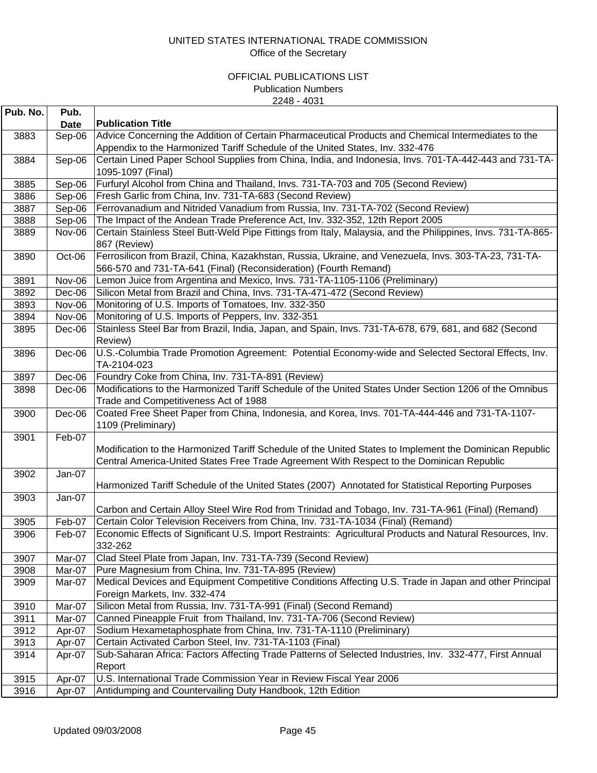| Pub. No. | Pub.        |                                                                                                                                                                                                      |
|----------|-------------|------------------------------------------------------------------------------------------------------------------------------------------------------------------------------------------------------|
|          | <b>Date</b> | <b>Publication Title</b>                                                                                                                                                                             |
| 3883     | Sep-06      | Advice Concerning the Addition of Certain Pharmaceutical Products and Chemical Intermediates to the<br>Appendix to the Harmonized Tariff Schedule of the United States, Inv. 332-476                 |
| 3884     | Sep-06      | Certain Lined Paper School Supplies from China, India, and Indonesia, Invs. 701-TA-442-443 and 731-TA-<br>1095-1097 (Final)                                                                          |
| 3885     | Sep-06      | Furfuryl Alcohol from China and Thailand, Invs. 731-TA-703 and 705 (Second Review)                                                                                                                   |
| 3886     | Sep-06      | Fresh Garlic from China, Inv. 731-TA-683 (Second Review)                                                                                                                                             |
| 3887     | Sep-06      | Ferrovanadium and Nitrided Vanadium from Russia, Inv. 731-TA-702 (Second Review)                                                                                                                     |
| 3888     | Sep-06      | The Impact of the Andean Trade Preference Act, Inv. 332-352, 12th Report 2005                                                                                                                        |
| 3889     | Nov-06      | Certain Stainless Steel Butt-Weld Pipe Fittings from Italy, Malaysia, and the Philippines, Invs. 731-TA-865-<br>867 (Review)                                                                         |
| 3890     | Oct-06      | Ferrosilicon from Brazil, China, Kazakhstan, Russia, Ukraine, and Venezuela, Invs. 303-TA-23, 731-TA-<br>566-570 and 731-TA-641 (Final) (Reconsideration) (Fourth Remand)                            |
| 3891     | Nov-06      | Lemon Juice from Argentina and Mexico, Invs. 731-TA-1105-1106 (Preliminary)                                                                                                                          |
| 3892     | Dec-06      | Silicon Metal from Brazil and China, Invs. 731-TA-471-472 (Second Review)                                                                                                                            |
| 3893     | Nov-06      | Monitoring of U.S. Imports of Tomatoes, Inv. 332-350                                                                                                                                                 |
| 3894     | Nov-06      | Monitoring of U.S. Imports of Peppers, Inv. 332-351                                                                                                                                                  |
| 3895     | Dec-06      | Stainless Steel Bar from Brazil, India, Japan, and Spain, Invs. 731-TA-678, 679, 681, and 682 (Second<br>Review)                                                                                     |
| 3896     | Dec-06      | U.S.-Columbia Trade Promotion Agreement: Potential Economy-wide and Selected Sectoral Effects, Inv.<br>TA-2104-023                                                                                   |
| 3897     | Dec-06      | Foundry Coke from China, Inv. 731-TA-891 (Review)                                                                                                                                                    |
| 3898     | Dec-06      | Modifications to the Harmonized Tariff Schedule of the United States Under Section 1206 of the Omnibus<br>Trade and Competitiveness Act of 1988                                                      |
| 3900     | $Dec-06$    | Coated Free Sheet Paper from China, Indonesia, and Korea, Invs. 701-TA-444-446 and 731-TA-1107-<br>1109 (Preliminary)                                                                                |
| 3901     | Feb-07      | Modification to the Harmonized Tariff Schedule of the United States to Implement the Dominican Republic<br>Central America-United States Free Trade Agreement With Respect to the Dominican Republic |
| 3902     | Jan-07      | Harmonized Tariff Schedule of the United States (2007) Annotated for Statistical Reporting Purposes                                                                                                  |
| 3903     | Jan-07      |                                                                                                                                                                                                      |
|          |             | Carbon and Certain Alloy Steel Wire Rod from Trinidad and Tobago, Inv. 731-TA-961 (Final) (Remand)                                                                                                   |
| 3905     | Feb-07      | Certain Color Television Receivers from China, Inv. 731-TA-1034 (Final) (Remand)                                                                                                                     |
| 3906     | Feb-07      | Economic Effects of Significant U.S. Import Restraints: Agricultural Products and Natural Resources, Inv.<br>332-262                                                                                 |
| 3907     | Mar-07      | Clad Steel Plate from Japan, Inv. 731-TA-739 (Second Review)                                                                                                                                         |
| 3908     | Mar-07      | Pure Magnesium from China, Inv. 731-TA-895 (Review)                                                                                                                                                  |
| 3909     | Mar-07      | Medical Devices and Equipment Competitive Conditions Affecting U.S. Trade in Japan and other Principal<br>Foreign Markets, Inv. 332-474                                                              |
| 3910     | Mar-07      | Silicon Metal from Russia, Inv. 731-TA-991 (Final) (Second Remand)                                                                                                                                   |
| 3911     | Mar-07      | Canned Pineapple Fruit from Thailand, Inv. 731-TA-706 (Second Review)                                                                                                                                |
| 3912     | Apr-07      | Sodium Hexametaphosphate from China, Inv. 731-TA-1110 (Preliminary)                                                                                                                                  |
| 3913     | Apr-07      | Certain Activated Carbon Steel, Inv. 731-TA-1103 (Final)                                                                                                                                             |
| 3914     | Apr-07      | Sub-Saharan Africa: Factors Affecting Trade Patterns of Selected Industries, Inv. 332-477, First Annual<br>Report                                                                                    |
| 3915     | Apr-07      | U.S. International Trade Commission Year in Review Fiscal Year 2006                                                                                                                                  |
| 3916     | Apr-07      | Antidumping and Countervailing Duty Handbook, 12th Edition                                                                                                                                           |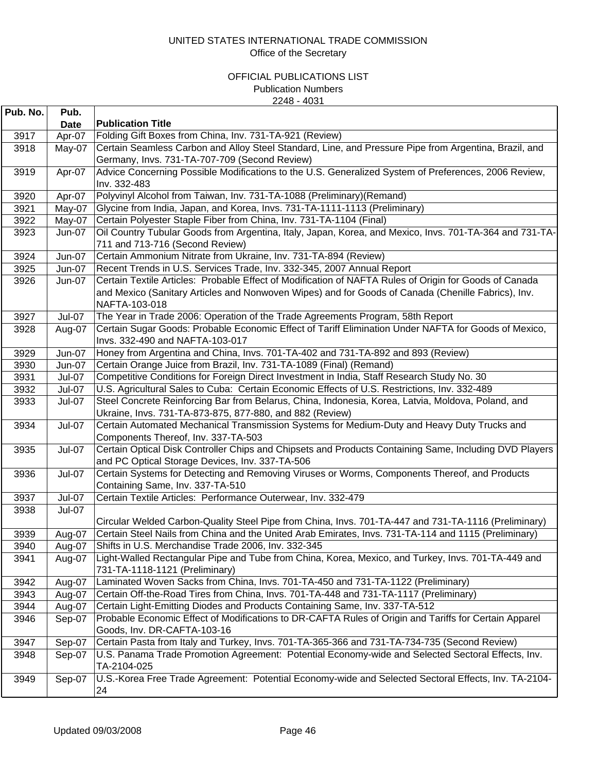| Pub. No. | Pub.          |                                                                                                                                            |
|----------|---------------|--------------------------------------------------------------------------------------------------------------------------------------------|
|          | <b>Date</b>   | <b>Publication Title</b>                                                                                                                   |
| 3917     | Apr-07        | Folding Gift Boxes from China, Inv. 731-TA-921 (Review)                                                                                    |
| 3918     | May-07        | Certain Seamless Carbon and Alloy Steel Standard, Line, and Pressure Pipe from Argentina, Brazil, and                                      |
|          |               | Germany, Invs. 731-TA-707-709 (Second Review)                                                                                              |
| 3919     | Apr-07        | Advice Concerning Possible Modifications to the U.S. Generalized System of Preferences, 2006 Review,                                       |
|          |               | Inv. 332-483                                                                                                                               |
| 3920     | Apr-07        | Polyvinyl Alcohol from Taiwan, Inv. 731-TA-1088 (Preliminary) (Remand)                                                                     |
| 3921     | May-07        | Glycine from India, Japan, and Korea, Invs. 731-TA-1111-1113 (Preliminary)                                                                 |
| 3922     | May-07        | Certain Polyester Staple Fiber from China, Inv. 731-TA-1104 (Final)                                                                        |
| 3923     | <b>Jun-07</b> | Oil Country Tubular Goods from Argentina, Italy, Japan, Korea, and Mexico, Invs. 701-TA-364 and 731-TA-<br>711 and 713-716 (Second Review) |
| 3924     | Jun-07        | Certain Ammonium Nitrate from Ukraine, Inv. 731-TA-894 (Review)                                                                            |
| 3925     | <b>Jun-07</b> | Recent Trends in U.S. Services Trade, Inv. 332-345, 2007 Annual Report                                                                     |
| 3926     | <b>Jun-07</b> | Certain Textile Articles: Probable Effect of Modification of NAFTA Rules of Origin for Goods of Canada                                     |
|          |               | and Mexico (Sanitary Articles and Nonwoven Wipes) and for Goods of Canada (Chenille Fabrics), Inv.                                         |
|          |               | NAFTA-103-018                                                                                                                              |
| 3927     | <b>Jul-07</b> | The Year in Trade 2006: Operation of the Trade Agreements Program, 58th Report                                                             |
| 3928     | Aug-07        | Certain Sugar Goods: Probable Economic Effect of Tariff Elimination Under NAFTA for Goods of Mexico,                                       |
|          |               | Invs. 332-490 and NAFTA-103-017                                                                                                            |
| 3929     | <b>Jun-07</b> | Honey from Argentina and China, Invs. 701-TA-402 and 731-TA-892 and 893 (Review)                                                           |
| 3930     | Jun-07        | Certain Orange Juice from Brazil, Inv. 731-TA-1089 (Final) (Remand)                                                                        |
| 3931     | Jul-07        | Competitive Conditions for Foreign Direct Investment in India, Staff Research Study No. 30                                                 |
| 3932     | <b>Jul-07</b> | U.S. Agricultural Sales to Cuba: Certain Economic Effects of U.S. Restrictions, Inv. 332-489                                               |
| 3933     | Jul-07        | Steel Concrete Reinforcing Bar from Belarus, China, Indonesia, Korea, Latvia, Moldova, Poland, and                                         |
|          |               | Ukraine, Invs. 731-TA-873-875, 877-880, and 882 (Review)                                                                                   |
| 3934     | <b>Jul-07</b> | Certain Automated Mechanical Transmission Systems for Medium-Duty and Heavy Duty Trucks and                                                |
|          |               | Components Thereof, Inv. 337-TA-503                                                                                                        |
| 3935     | <b>Jul-07</b> | Certain Optical Disk Controller Chips and Chipsets and Products Containing Same, Including DVD Players                                     |
|          |               | and PC Optical Storage Devices, Inv. 337-TA-506                                                                                            |
| 3936     | <b>Jul-07</b> | Certain Systems for Detecting and Removing Viruses or Worms, Components Thereof, and Products                                              |
| 3937     | <b>Jul-07</b> | Containing Same, Inv. 337-TA-510<br>Certain Textile Articles: Performance Outerwear, Inv. 332-479                                          |
| 3938     | <b>Jul-07</b> |                                                                                                                                            |
|          |               | Circular Welded Carbon-Quality Steel Pipe from China, Invs. 701-TA-447 and 731-TA-1116 (Preliminary)                                       |
| 3939     | Aug-07        | Certain Steel Nails from China and the United Arab Emirates, Invs. 731-TA-114 and 1115 (Preliminary)                                       |
| 3940     | Aug-07        | Shifts in U.S. Merchandise Trade 2006, Inv. 332-345                                                                                        |
| 3941     | Aug-07        | Light-Walled Rectangular Pipe and Tube from China, Korea, Mexico, and Turkey, Invs. 701-TA-449 and<br>731-TA-1118-1121 (Preliminary)       |
| 3942     | Aug-07        | Laminated Woven Sacks from China, Invs. 701-TA-450 and 731-TA-1122 (Preliminary)                                                           |
| 3943     | Aug-07        | Certain Off-the-Road Tires from China, Invs. 701-TA-448 and 731-TA-1117 (Preliminary)                                                      |
| 3944     | Aug-07        | Certain Light-Emitting Diodes and Products Containing Same, Inv. 337-TA-512                                                                |
| 3946     | Sep-07        | Probable Economic Effect of Modifications to DR-CAFTA Rules of Origin and Tariffs for Certain Apparel                                      |
|          |               | Goods, Inv. DR-CAFTA-103-16                                                                                                                |
| 3947     | Sep-07        | Certain Pasta from Italy and Turkey, Invs. 701-TA-365-366 and 731-TA-734-735 (Second Review)                                               |
| 3948     | Sep-07        | U.S. Panama Trade Promotion Agreement: Potential Economy-wide and Selected Sectoral Effects, Inv.                                          |
|          |               | TA-2104-025                                                                                                                                |
| 3949     | Sep-07        | U.S.-Korea Free Trade Agreement: Potential Economy-wide and Selected Sectoral Effects, Inv. TA-2104-                                       |
|          |               | 24                                                                                                                                         |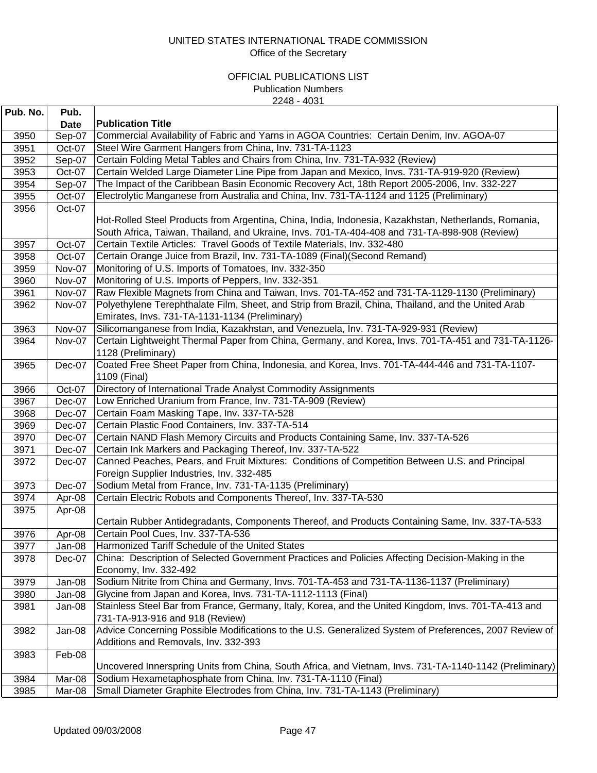| Pub. No. | Pub.   |                                                                                                                                                                                                       |
|----------|--------|-------------------------------------------------------------------------------------------------------------------------------------------------------------------------------------------------------|
|          | Date   | <b>Publication Title</b>                                                                                                                                                                              |
| 3950     | Sep-07 | Commercial Availability of Fabric and Yarns in AGOA Countries: Certain Denim, Inv. AGOA-07                                                                                                            |
| 3951     | Oct-07 | Steel Wire Garment Hangers from China, Inv. 731-TA-1123                                                                                                                                               |
| 3952     | Sep-07 | Certain Folding Metal Tables and Chairs from China, Inv. 731-TA-932 (Review)                                                                                                                          |
| 3953     | Oct-07 | Certain Welded Large Diameter Line Pipe from Japan and Mexico, Invs. 731-TA-919-920 (Review)                                                                                                          |
| 3954     | Sep-07 | The Impact of the Caribbean Basin Economic Recovery Act, 18th Report 2005-2006, Inv. 332-227                                                                                                          |
| 3955     | Oct-07 | Electrolytic Manganese from Australia and China, Inv. 731-TA-1124 and 1125 (Preliminary)                                                                                                              |
| 3956     | Oct-07 |                                                                                                                                                                                                       |
|          |        | Hot-Rolled Steel Products from Argentina, China, India, Indonesia, Kazakhstan, Netherlands, Romania,<br>South Africa, Taiwan, Thailand, and Ukraine, Invs. 701-TA-404-408 and 731-TA-898-908 (Review) |
| 3957     | Oct-07 | Certain Textile Articles: Travel Goods of Textile Materials, Inv. 332-480                                                                                                                             |
| 3958     | Oct-07 | Certain Orange Juice from Brazil, Inv. 731-TA-1089 (Final) (Second Remand)                                                                                                                            |
| 3959     | Nov-07 | Monitoring of U.S. Imports of Tomatoes, Inv. 332-350                                                                                                                                                  |
| 3960     | Nov-07 | Monitoring of U.S. Imports of Peppers, Inv. 332-351                                                                                                                                                   |
| 3961     | Nov-07 | Raw Flexible Magnets from China and Taiwan, Invs. 701-TA-452 and 731-TA-1129-1130 (Preliminary)                                                                                                       |
| 3962     | Nov-07 | Polyethylene Terephthalate Film, Sheet, and Strip from Brazil, China, Thailand, and the United Arab<br>Emirates, Invs. 731-TA-1131-1134 (Preliminary)                                                 |
| 3963     | Nov-07 | Silicomanganese from India, Kazakhstan, and Venezuela, Inv. 731-TA-929-931 (Review)                                                                                                                   |
| 3964     | Nov-07 | Certain Lightweight Thermal Paper from China, Germany, and Korea, Invs. 701-TA-451 and 731-TA-1126-<br>1128 (Preliminary)                                                                             |
| 3965     | Dec-07 | Coated Free Sheet Paper from China, Indonesia, and Korea, Invs. 701-TA-444-446 and 731-TA-1107-<br>1109 (Final)                                                                                       |
| 3966     | Oct-07 | Directory of International Trade Analyst Commodity Assignments                                                                                                                                        |
| 3967     | Dec-07 | Low Enriched Uranium from France, Inv. 731-TA-909 (Review)                                                                                                                                            |
| 3968     | Dec-07 | Certain Foam Masking Tape, Inv. 337-TA-528                                                                                                                                                            |
| 3969     | Dec-07 | Certain Plastic Food Containers, Inv. 337-TA-514                                                                                                                                                      |
| 3970     | Dec-07 | Certain NAND Flash Memory Circuits and Products Containing Same, Inv. 337-TA-526                                                                                                                      |
| 3971     | Dec-07 | Certain Ink Markers and Packaging Thereof, Inv. 337-TA-522                                                                                                                                            |
| 3972     | Dec-07 | Canned Peaches, Pears, and Fruit Mixtures: Conditions of Competition Between U.S. and Principal<br>Foreign Supplier Industries, Inv. 332-485                                                          |
| 3973     | Dec-07 | Sodium Metal from France, Inv. 731-TA-1135 (Preliminary)                                                                                                                                              |
| 3974     | Apr-08 | Certain Electric Robots and Components Thereof, Inv. 337-TA-530                                                                                                                                       |
| 3975     | Apr-08 |                                                                                                                                                                                                       |
|          |        | Certain Rubber Antidegradants, Components Thereof, and Products Containing Same, Inv. 337-TA-533                                                                                                      |
| 3976     | Apr-08 | Certain Pool Cues, Inv. 337-TA-536                                                                                                                                                                    |
| 3977     | Jan-08 | Harmonized Tariff Schedule of the United States                                                                                                                                                       |
| 3978     | Dec-07 | China: Description of Selected Government Practices and Policies Affecting Decision-Making in the<br>Economy, Inv. 332-492                                                                            |
| 3979     | Jan-08 | Sodium Nitrite from China and Germany, Invs. 701-TA-453 and 731-TA-1136-1137 (Preliminary)                                                                                                            |
| 3980     | Jan-08 | Glycine from Japan and Korea, Invs. 731-TA-1112-1113 (Final)                                                                                                                                          |
| 3981     | Jan-08 | Stainless Steel Bar from France, Germany, Italy, Korea, and the United Kingdom, Invs. 701-TA-413 and<br>731-TA-913-916 and 918 (Review)                                                               |
| 3982     | Jan-08 | Advice Concerning Possible Modifications to the U.S. Generalized System of Preferences, 2007 Review of<br>Additions and Removals, Inv. 332-393                                                        |
| 3983     | Feb-08 |                                                                                                                                                                                                       |
|          |        | Uncovered Innerspring Units from China, South Africa, and Vietnam, Invs. 731-TA-1140-1142 (Preliminary)                                                                                               |
| 3984     | Mar-08 | Sodium Hexametaphosphate from China, Inv. 731-TA-1110 (Final)                                                                                                                                         |
| 3985     | Mar-08 | Small Diameter Graphite Electrodes from China, Inv. 731-TA-1143 (Preliminary)                                                                                                                         |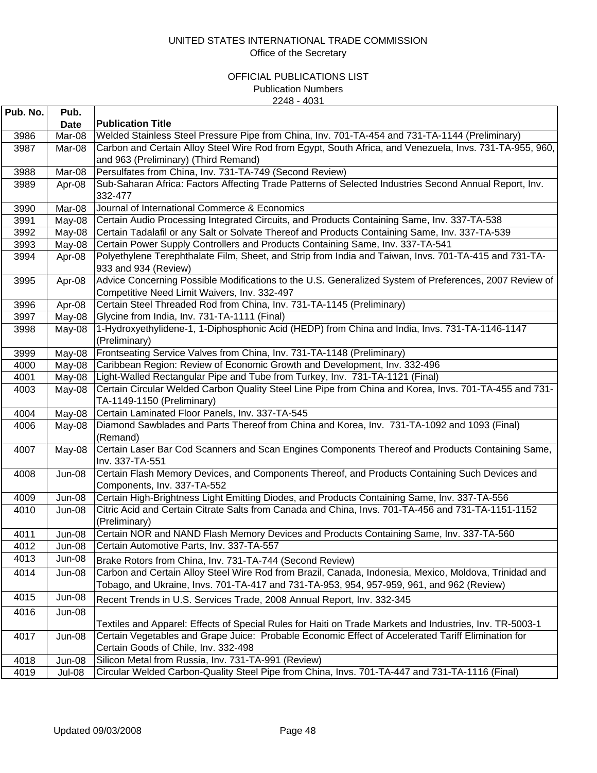| Pub. No. | Pub.          |                                                                                                                     |
|----------|---------------|---------------------------------------------------------------------------------------------------------------------|
|          | <b>Date</b>   | <b>Publication Title</b>                                                                                            |
| 3986     | Mar-08        | Welded Stainless Steel Pressure Pipe from China, Inv. 701-TA-454 and 731-TA-1144 (Preliminary)                      |
| 3987     | Mar-08        | Carbon and Certain Alloy Steel Wire Rod from Egypt, South Africa, and Venezuela, Invs. 731-TA-955, 960,             |
|          |               | and 963 (Preliminary) (Third Remand)                                                                                |
| 3988     | Mar-08        | Persulfates from China, Inv. 731-TA-749 (Second Review)                                                             |
| 3989     | Apr-08        | Sub-Saharan Africa: Factors Affecting Trade Patterns of Selected Industries Second Annual Report, Inv.              |
|          |               | 332-477                                                                                                             |
| 3990     | Mar-08        | Journal of International Commerce & Economics                                                                       |
| 3991     | May-08        | Certain Audio Processing Integrated Circuits, and Products Containing Same, Inv. 337-TA-538                         |
| 3992     | May-08        | Certain Tadalafil or any Salt or Solvate Thereof and Products Containing Same, Inv. 337-TA-539                      |
| 3993     | May-08        | Certain Power Supply Controllers and Products Containing Same, Inv. 337-TA-541                                      |
| 3994     | Apr-08        | Polyethylene Terephthalate Film, Sheet, and Strip from India and Taiwan, Invs. 701-TA-415 and 731-TA-               |
|          |               | 933 and 934 (Review)                                                                                                |
| 3995     | Apr-08        | Advice Concerning Possible Modifications to the U.S. Generalized System of Preferences, 2007 Review of              |
|          |               | Competitive Need Limit Waivers, Inv. 332-497                                                                        |
| 3996     | Apr-08        | Certain Steel Threaded Rod from China, Inv. 731-TA-1145 (Preliminary)                                               |
| 3997     | May-08        | Glycine from India, Inv. 731-TA-1111 (Final)                                                                        |
| 3998     | May-08        | 1-Hydroxyethylidene-1, 1-Diphosphonic Acid (HEDP) from China and India, Invs. 731-TA-1146-1147                      |
|          |               | (Preliminary)                                                                                                       |
| 3999     | May-08        | Frontseating Service Valves from China, Inv. 731-TA-1148 (Preliminary)                                              |
| 4000     | May-08        | Caribbean Region: Review of Economic Growth and Development, Inv. 332-496                                           |
| 4001     | May-08        | Light-Walled Rectangular Pipe and Tube from Turkey, Inv. 731-TA-1121 (Final)                                        |
| 4003     | May-08        | Certain Circular Welded Carbon Quality Steel Line Pipe from China and Korea, Invs. 701-TA-455 and 731-              |
|          |               | TA-1149-1150 (Preliminary)                                                                                          |
| 4004     | May-08        | Certain Laminated Floor Panels, Inv. 337-TA-545                                                                     |
| 4006     | May-08        | Diamond Sawblades and Parts Thereof from China and Korea, Inv. 731-TA-1092 and 1093 (Final)<br>(Remand)             |
| 4007     | May-08        | Certain Laser Bar Cod Scanners and Scan Engines Components Thereof and Products Containing Same,<br>Inv. 337-TA-551 |
| 4008     | <b>Jun-08</b> | Certain Flash Memory Devices, and Components Thereof, and Products Containing Such Devices and                      |
|          |               | Components, Inv. 337-TA-552                                                                                         |
| 4009     | <b>Jun-08</b> | Certain High-Brightness Light Emitting Diodes, and Products Containing Same, Inv. 337-TA-556                        |
| 4010     | Jun-08        | Citric Acid and Certain Citrate Salts from Canada and China, Invs. 701-TA-456 and 731-TA-1151-1152                  |
|          |               | (Preliminary)                                                                                                       |
| 4011     | Jun-08        | Certain NOR and NAND Flash Memory Devices and Products Containing Same, Inv. 337-TA-560                             |
| 4012     | Jun-08        | Certain Automotive Parts, Inv. 337-TA-557                                                                           |
| 4013     | Jun-08        | Brake Rotors from China, Inv. 731-TA-744 (Second Review)                                                            |
| 4014     | Jun-08        | Carbon and Certain Alloy Steel Wire Rod from Brazil, Canada, Indonesia, Mexico, Moldova, Trinidad and               |
|          |               | Tobago, and Ukraine, Invs. 701-TA-417 and 731-TA-953, 954, 957-959, 961, and 962 (Review)                           |
| 4015     | Jun-08        | Recent Trends in U.S. Services Trade, 2008 Annual Report, Inv. 332-345                                              |
| 4016     | Jun-08        |                                                                                                                     |
|          |               | Textiles and Apparel: Effects of Special Rules for Haiti on Trade Markets and Industries, Inv. TR-5003-1            |
| 4017     | <b>Jun-08</b> | Certain Vegetables and Grape Juice: Probable Economic Effect of Accelerated Tariff Elimination for                  |
|          |               | Certain Goods of Chile, Inv. 332-498                                                                                |
| 4018     | Jun-08        | Silicon Metal from Russia, Inv. 731-TA-991 (Review)                                                                 |
| 4019     | Jul-08        | Circular Welded Carbon-Quality Steel Pipe from China, Invs. 701-TA-447 and 731-TA-1116 (Final)                      |